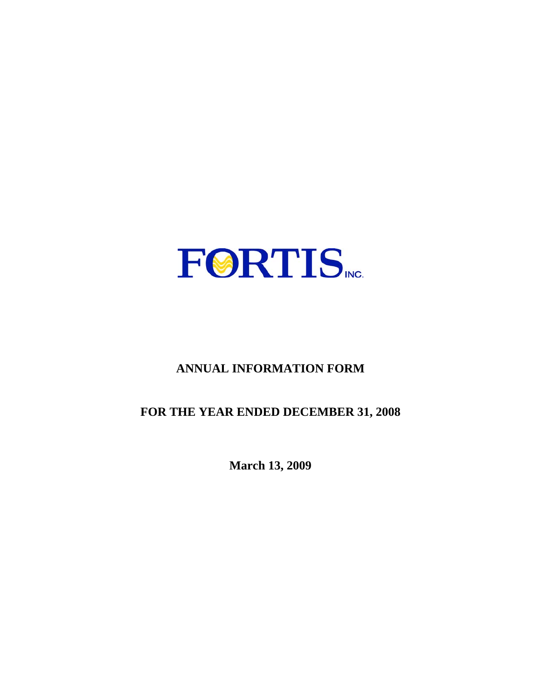

# **ANNUAL INFORMATION FORM**

# **FOR THE YEAR ENDED DECEMBER 31, 2008**

**March 13, 2009**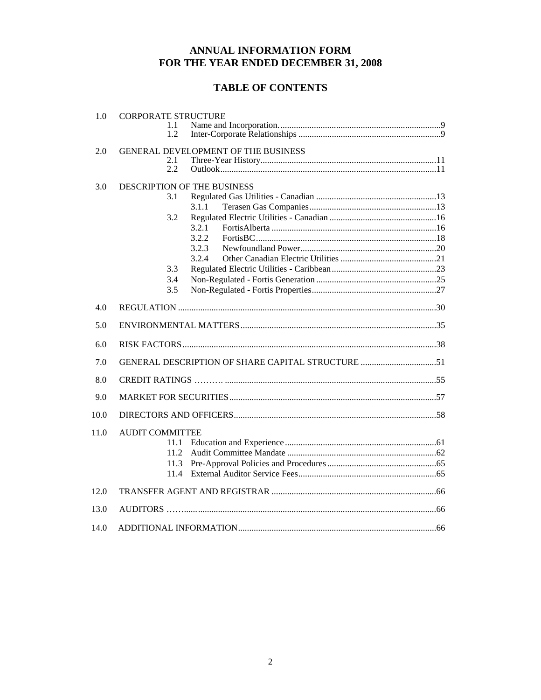## ANNUAL INFORMATION FORM FOR THE YEAR ENDED DECEMBER 31, 2008

## **TABLE OF CONTENTS**

| 1.0  | <b>CORPORATE STRUCTURE</b><br>1.1<br>1.2                                                                           |  |
|------|--------------------------------------------------------------------------------------------------------------------|--|
| 2.0  | GENERAL DEVELOPMENT OF THE BUSINESS<br>2.1<br>2.2                                                                  |  |
| 3.0  | <b>DESCRIPTION OF THE BUSINESS</b><br>3.1<br>3.1.1<br>3.2<br>3.2.1<br>3.2.2<br>3.2.3<br>3.2.4<br>3.3<br>3.4<br>3.5 |  |
| 4.0  |                                                                                                                    |  |
| 5.0  |                                                                                                                    |  |
| 6.0  |                                                                                                                    |  |
| 7.0  | GENERAL DESCRIPTION OF SHARE CAPITAL STRUCTURE 51                                                                  |  |
| 8.0  |                                                                                                                    |  |
| 9.0  |                                                                                                                    |  |
| 10.0 |                                                                                                                    |  |
| 11.0 | <b>AUDIT COMMITTEE</b><br>11.1<br>11.2<br>11.3<br>11.4                                                             |  |
| 12.0 |                                                                                                                    |  |
| 13.0 |                                                                                                                    |  |
| 14.0 |                                                                                                                    |  |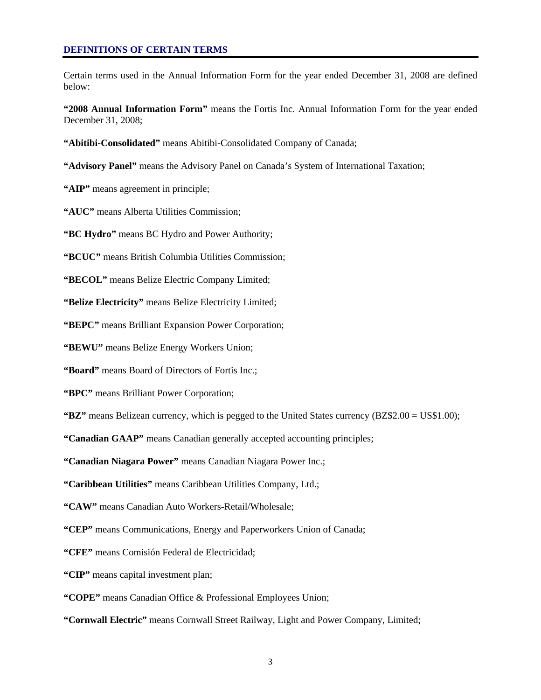Certain terms used in the Annual Information Form for the year ended December 31, 2008 are defined below:

**"2008 Annual Information Form"** means the Fortis Inc. Annual Information Form for the year ended December 31, 2008;

**"Abitibi-Consolidated"** means Abitibi-Consolidated Company of Canada;

**"Advisory Panel"** means the Advisory Panel on Canada's System of International Taxation;

**"AIP"** means agreement in principle;

**"AUC"** means Alberta Utilities Commission;

**"BC Hydro"** means BC Hydro and Power Authority;

**"BCUC"** means British Columbia Utilities Commission;

**"BECOL"** means Belize Electric Company Limited;

**"Belize Electricity"** means Belize Electricity Limited;

**"BEPC"** means Brilliant Expansion Power Corporation;

**"BEWU"** means Belize Energy Workers Union;

**"Board"** means Board of Directors of Fortis Inc.;

**"BPC"** means Brilliant Power Corporation;

**"BZ"** means Belizean currency, which is pegged to the United States currency (BZ\$2.00 = US\$1.00);

**"Canadian GAAP"** means Canadian generally accepted accounting principles;

**"Canadian Niagara Power"** means Canadian Niagara Power Inc.;

**"Caribbean Utilities"** means Caribbean Utilities Company, Ltd.;

**"CAW"** means Canadian Auto Workers-Retail/Wholesale;

**"CEP"** means Communications, Energy and Paperworkers Union of Canada;

**"CFE"** means Comisión Federal de Electricidad;

**"CIP"** means capital investment plan;

**"COPE"** means Canadian Office & Professional Employees Union;

**"Cornwall Electric"** means Cornwall Street Railway, Light and Power Company, Limited;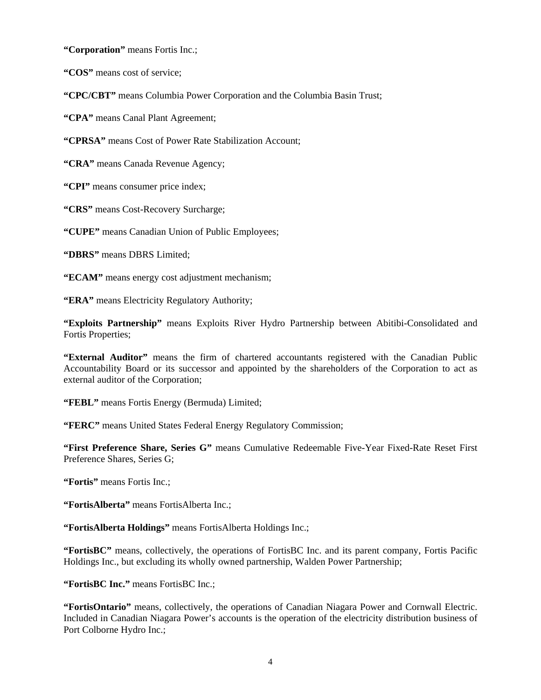**"Corporation"** means Fortis Inc.;

**"COS"** means cost of service;

**"CPC/CBT"** means Columbia Power Corporation and the Columbia Basin Trust;

**"CPA"** means Canal Plant Agreement;

**"CPRSA"** means Cost of Power Rate Stabilization Account;

**"CRA"** means Canada Revenue Agency;

**"CPI"** means consumer price index;

**"CRS"** means Cost-Recovery Surcharge;

**"CUPE"** means Canadian Union of Public Employees;

**"DBRS"** means DBRS Limited;

**"ECAM"** means energy cost adjustment mechanism;

**"ERA"** means Electricity Regulatory Authority;

**"Exploits Partnership"** means Exploits River Hydro Partnership between Abitibi-Consolidated and Fortis Properties;

**"External Auditor"** means the firm of chartered accountants registered with the Canadian Public Accountability Board or its successor and appointed by the shareholders of the Corporation to act as external auditor of the Corporation;

**"FEBL"** means Fortis Energy (Bermuda) Limited;

**"FERC"** means United States Federal Energy Regulatory Commission;

**"First Preference Share, Series G"** means Cumulative Redeemable Five-Year Fixed-Rate Reset First Preference Shares, Series G;

**"Fortis"** means Fortis Inc.;

**"FortisAlberta"** means FortisAlberta Inc.;

**"FortisAlberta Holdings"** means FortisAlberta Holdings Inc.;

**"FortisBC"** means, collectively, the operations of FortisBC Inc. and its parent company, Fortis Pacific Holdings Inc., but excluding its wholly owned partnership, Walden Power Partnership;

**"FortisBC Inc."** means FortisBC Inc.;

**"FortisOntario"** means, collectively, the operations of Canadian Niagara Power and Cornwall Electric. Included in Canadian Niagara Power's accounts is the operation of the electricity distribution business of Port Colborne Hydro Inc.;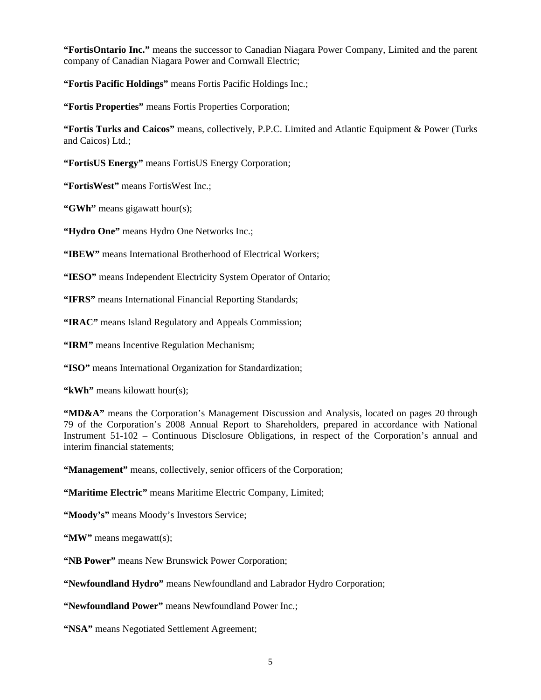**"FortisOntario Inc."** means the successor to Canadian Niagara Power Company, Limited and the parent company of Canadian Niagara Power and Cornwall Electric;

**"Fortis Pacific Holdings"** means Fortis Pacific Holdings Inc.;

**"Fortis Properties"** means Fortis Properties Corporation;

**"Fortis Turks and Caicos"** means, collectively, P.P.C. Limited and Atlantic Equipment & Power (Turks and Caicos) Ltd.;

**"FortisUS Energy"** means FortisUS Energy Corporation;

**"FortisWest"** means FortisWest Inc.;

**"GWh"** means gigawatt hour(s);

**"Hydro One"** means Hydro One Networks Inc.;

**"IBEW"** means International Brotherhood of Electrical Workers;

**"IESO"** means Independent Electricity System Operator of Ontario;

**"IFRS"** means International Financial Reporting Standards;

**"IRAC"** means Island Regulatory and Appeals Commission;

**"IRM"** means Incentive Regulation Mechanism;

**"ISO"** means International Organization for Standardization;

**"kWh"** means kilowatt hour(s);

"MD&A" means the Corporation's Management Discussion and Analysis, located on pages 20 through 79 of the Corporation's 2008 Annual Report to Shareholders, prepared in accordance with National Instrument 51-102 – Continuous Disclosure Obligations, in respect of the Corporation's annual and interim financial statements;

**"Management"** means, collectively, senior officers of the Corporation;

**"Maritime Electric"** means Maritime Electric Company, Limited;

"Moody's" means Moody's Investors Service;

**"MW"** means megawatt(s);

**"NB Power"** means New Brunswick Power Corporation;

**"Newfoundland Hydro"** means Newfoundland and Labrador Hydro Corporation;

**"Newfoundland Power"** means Newfoundland Power Inc.;

**"NSA"** means Negotiated Settlement Agreement;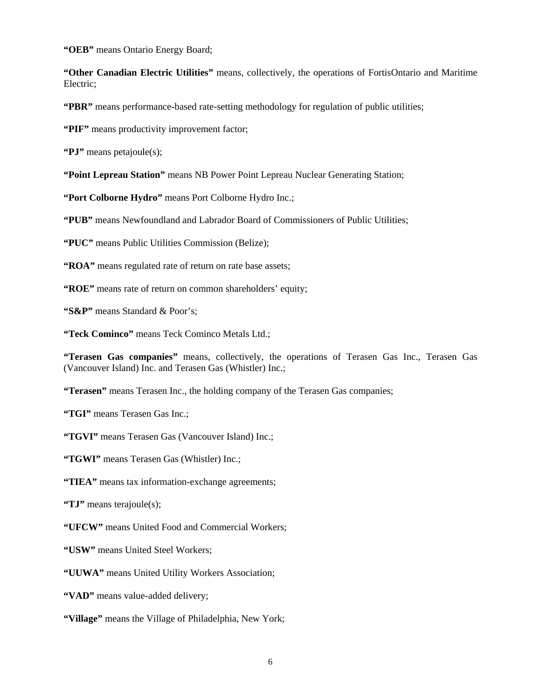**"OEB"** means Ontario Energy Board;

**"Other Canadian Electric Utilities"** means, collectively, the operations of FortisOntario and Maritime Electric;

**"PBR"** means performance-based rate-setting methodology for regulation of public utilities;

**"PIF"** means productivity improvement factor;

**"PJ"** means petajoule(s);

**"Point Lepreau Station"** means NB Power Point Lepreau Nuclear Generating Station;

**"Port Colborne Hydro"** means Port Colborne Hydro Inc.;

**"PUB"** means Newfoundland and Labrador Board of Commissioners of Public Utilities;

**"PUC"** means Public Utilities Commission (Belize);

**"ROA"** means regulated rate of return on rate base assets;

**"ROE"** means rate of return on common shareholders' equity;

**"S&P"** means Standard & Poor's;

**"Teck Cominco"** means Teck Cominco Metals Ltd.;

**"Terasen Gas companies"** means, collectively, the operations of Terasen Gas Inc., Terasen Gas (Vancouver Island) Inc. and Terasen Gas (Whistler) Inc.;

**"Terasen"** means Terasen Inc., the holding company of the Terasen Gas companies;

**"TGI"** means Terasen Gas Inc.;

**"TGVI"** means Terasen Gas (Vancouver Island) Inc.;

**"TGWI"** means Terasen Gas (Whistler) Inc.;

**"TIEA"** means tax information-exchange agreements;

**"TJ"** means terajoule(s);

**"UFCW"** means United Food and Commercial Workers;

**"USW"** means United Steel Workers;

**"UUWA"** means United Utility Workers Association;

**"VAD"** means value-added delivery;

**"Village"** means the Village of Philadelphia, New York;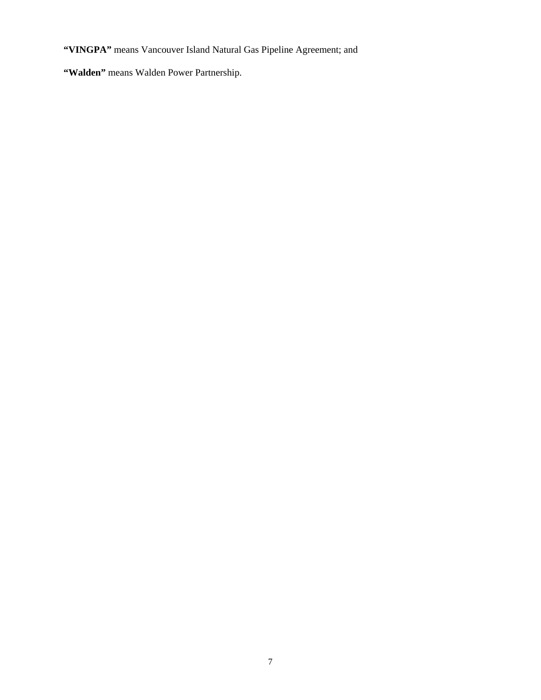**"VINGPA"** means Vancouver Island Natural Gas Pipeline Agreement; and

**"Walden"** means Walden Power Partnership.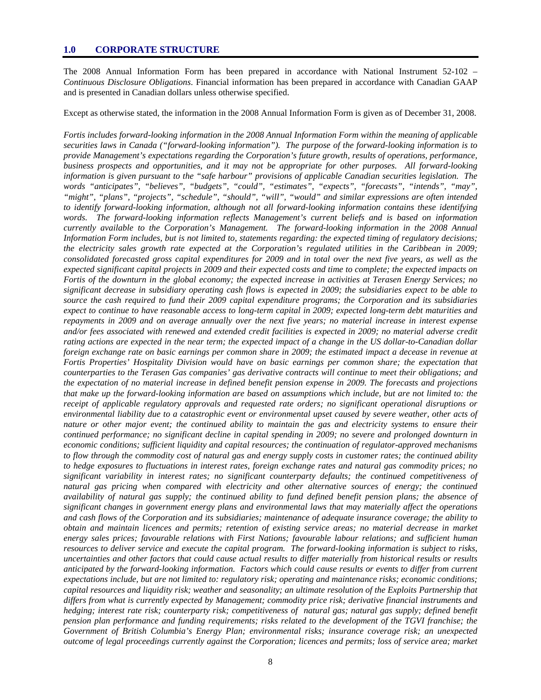The 2008 Annual Information Form has been prepared in accordance with National Instrument 52-102 – *Continuous Disclosure Obligations*. Financial information has been prepared in accordance with Canadian GAAP and is presented in Canadian dollars unless otherwise specified.

Except as otherwise stated, the information in the 2008 Annual Information Form is given as of December 31, 2008.

*Fortis includes forward-looking information in the 2008 Annual Information Form within the meaning of applicable securities laws in Canada ("forward-looking information"). The purpose of the forward-looking information is to provide Management's expectations regarding the Corporation's future growth, results of operations, performance, business prospects and opportunities, and it may not be appropriate for other purposes. All forward-looking information is given pursuant to the "safe harbour" provisions of applicable Canadian securities legislation. The words "anticipates", "believes", "budgets", "could", "estimates", "expects", "forecasts", "intends", "may", "might", "plans", "projects", "schedule", "should", "will", "would" and similar expressions are often intended to identify forward-looking information, although not all forward-looking information contains these identifying words. The forward-looking information reflects Management's current beliefs and is based on information currently available to the Corporation's Management. The forward-looking information in the 2008 Annual Information Form includes, but is not limited to, statements regarding: the expected timing of regulatory decisions; the electricity sales growth rate expected at the Corporation's regulated utilities in the Caribbean in 2009; consolidated forecasted gross capital expenditures for 2009 and in total over the next five years, as well as the expected significant capital projects in 2009 and their expected costs and time to complete; the expected impacts on Fortis of the downturn in the global economy; the expected increase in activities at Terasen Energy Services; no significant decrease in subsidiary operating cash flows is expected in 2009; the subsidiaries expect to be able to source the cash required to fund their 2009 capital expenditure programs; the Corporation and its subsidiaries expect to continue to have reasonable access to long-term capital in 2009; expected long-term debt maturities and repayments in 2009 and on average annually over the next five years; no material increase in interest expense*  and/or fees associated with renewed and extended credit facilities is expected in 2009; no material adverse credit *rating actions are expected in the near term; the expected impact of a change in the US dollar-to-Canadian dollar foreign exchange rate on basic earnings per common share in 2009; the estimated impact a decease in revenue at Fortis Properties' Hospitality Division would have on basic earnings per common share; the expectation that counterparties to the Terasen Gas companies' gas derivative contracts will continue to meet their obligations; and the expectation of no material increase in defined benefit pension expense in 2009. The forecasts and projections that make up the forward-looking information are based on assumptions which include, but are not limited to: the receipt of applicable regulatory approvals and requested rate orders; no significant operational disruptions or environmental liability due to a catastrophic event or environmental upset caused by severe weather, other acts of nature or other major event; the continued ability to maintain the gas and electricity systems to ensure their continued performance; no significant decline in capital spending in 2009; no severe and prolonged downturn in economic conditions; sufficient liquidity and capital resources; the continuation of regulator-approved mechanisms to flow through the commodity cost of natural gas and energy supply costs in customer rates; the continued ability to hedge exposures to fluctuations in interest rates, foreign exchange rates and natural gas commodity prices; no significant variability in interest rates; no significant counterparty defaults; the continued competitiveness of natural gas pricing when compared with electricity and other alternative sources of energy; the continued availability of natural gas supply; the continued ability to fund defined benefit pension plans; the absence of significant changes in government energy plans and environmental laws that may materially affect the operations and cash flows of the Corporation and its subsidiaries; maintenance of adequate insurance coverage; the ability to obtain and maintain licences and permits; retention of existing service areas; no material decrease in market energy sales prices; favourable relations with First Nations; favourable labour relations; and sufficient human resources to deliver service and execute the capital program. The forward-looking information is subject to risks, uncertainties and other factors that could cause actual results to differ materially from historical results or results anticipated by the forward-looking information. Factors which could cause results or events to differ from current expectations include, but are not limited to: regulatory risk; operating and maintenance risks; economic conditions; capital resources and liquidity risk; weather and seasonality; an ultimate resolution of the Exploits Partnership that differs from what is currently expected by Management; commodity price risk; derivative financial instruments and hedging; interest rate risk; counterparty risk; competitiveness of natural gas; natural gas supply; defined benefit pension plan performance and funding requirements; risks related to the development of the TGVI franchise; the Government of British Columbia's Energy Plan; environmental risks; insurance coverage risk; an unexpected outcome of legal proceedings currently against the Corporation; licences and permits; loss of service area; market*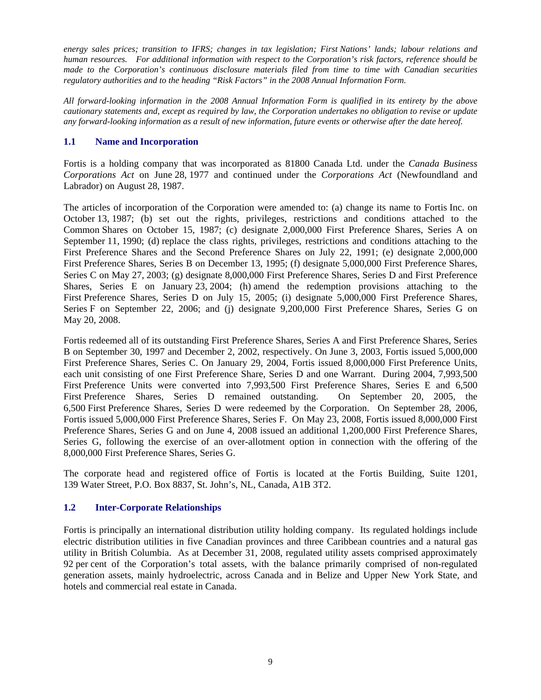*energy sales prices; transition to IFRS; changes in tax legislation; First Nations' lands; labour relations and human resources. For additional information with respect to the Corporation's risk factors, reference should be made to the Corporation's continuous disclosure materials filed from time to time with Canadian securities regulatory authorities and to the heading "Risk Factors" in the 2008 Annual Information Form.* 

*All forward-looking information in the 2008 Annual Information Form is qualified in its entirety by the above cautionary statements and, except as required by law, the Corporation undertakes no obligation to revise or update any forward-looking information as a result of new information, future events or otherwise after the date hereof.* 

## **1.1 Name and Incorporation**

Fortis is a holding company that was incorporated as 81800 Canada Ltd. under the *Canada Business Corporations Act* on June 28, 1977 and continued under the *Corporations Act* (Newfoundland and Labrador) on August 28, 1987.

The articles of incorporation of the Corporation were amended to: (a) change its name to Fortis Inc. on October 13, 1987; (b) set out the rights, privileges, restrictions and conditions attached to the Common Shares on October 15, 1987; (c) designate 2,000,000 First Preference Shares, Series A on September 11, 1990; (d) replace the class rights, privileges, restrictions and conditions attaching to the First Preference Shares and the Second Preference Shares on July 22, 1991; (e) designate 2,000,000 First Preference Shares, Series B on December 13, 1995; (f) designate 5,000,000 First Preference Shares, Series C on May 27, 2003; (g) designate 8,000,000 First Preference Shares, Series D and First Preference Shares, Series E on January 23, 2004; (h) amend the redemption provisions attaching to the First Preference Shares, Series D on July 15, 2005; (i) designate 5,000,000 First Preference Shares, Series F on September 22, 2006; and (j) designate 9,200,000 First Preference Shares, Series G on May 20, 2008.

Fortis redeemed all of its outstanding First Preference Shares, Series A and First Preference Shares, Series B on September 30, 1997 and December 2, 2002, respectively. On June 3, 2003, Fortis issued 5,000,000 First Preference Shares, Series C. On January 29, 2004, Fortis issued 8,000,000 First Preference Units, each unit consisting of one First Preference Share, Series D and one Warrant. During 2004, 7,993,500 First Preference Units were converted into 7,993,500 First Preference Shares, Series E and 6,500 First Preference Shares, Series D remained outstanding. On September 20, 2005. the First Preference Shares, Series D remained outstanding. 6,500 First Preference Shares, Series D were redeemed by the Corporation. On September 28, 2006, Fortis issued 5,000,000 First Preference Shares, Series F. On May 23, 2008, Fortis issued 8,000,000 First Preference Shares, Series G and on June 4, 2008 issued an additional 1,200,000 First Preference Shares, Series G, following the exercise of an over-allotment option in connection with the offering of the 8,000,000 First Preference Shares, Series G.

The corporate head and registered office of Fortis is located at the Fortis Building, Suite 1201, 139 Water Street, P.O. Box 8837, St. John's, NL, Canada, A1B 3T2.

## **1.2 Inter-Corporate Relationships**

Fortis is principally an international distribution utility holding company. Its regulated holdings include electric distribution utilities in five Canadian provinces and three Caribbean countries and a natural gas utility in British Columbia. As at December 31, 2008, regulated utility assets comprised approximately 92 per cent of the Corporation's total assets, with the balance primarily comprised of non-regulated generation assets, mainly hydroelectric, across Canada and in Belize and Upper New York State, and hotels and commercial real estate in Canada.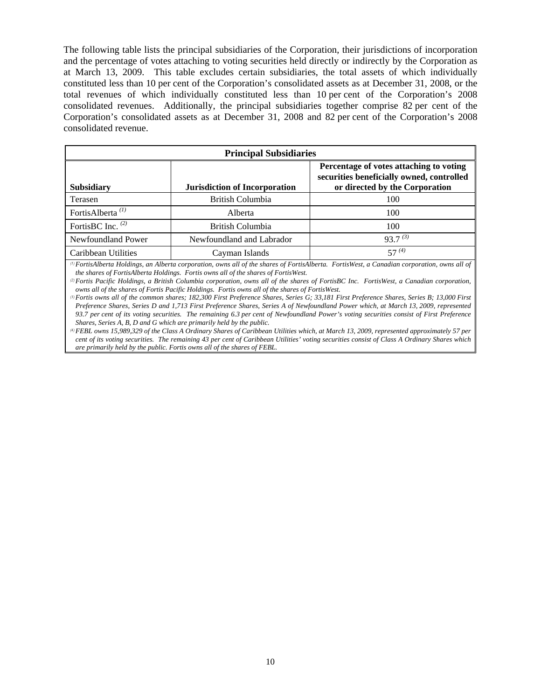The following table lists the principal subsidiaries of the Corporation, their jurisdictions of incorporation and the percentage of votes attaching to voting securities held directly or indirectly by the Corporation as at March 13, 2009. This table excludes certain subsidiaries, the total assets of which individually constituted less than 10 per cent of the Corporation's consolidated assets as at December 31, 2008, or the total revenues of which individually constituted less than 10 per cent of the Corporation's 2008 consolidated revenues. Additionally, the principal subsidiaries together comprise 82 per cent of the Corporation's consolidated assets as at December 31, 2008 and 82 per cent of the Corporation's 2008 consolidated revenue.

| <b>Principal Subsidiaries</b> |                                      |                                                                                                                        |  |  |  |
|-------------------------------|--------------------------------------|------------------------------------------------------------------------------------------------------------------------|--|--|--|
| <b>Subsidiary</b>             | <b>Jurisdiction of Incorporation</b> | Percentage of votes attaching to voting<br>securities beneficially owned, controlled<br>or directed by the Corporation |  |  |  |
| Terasen                       | British Columbia                     | 100                                                                                                                    |  |  |  |
| FortisAlberta <sup>(1)</sup>  | Alberta                              | 100                                                                                                                    |  |  |  |
| FortisBC Inc. $(2)$           | British Columbia                     | 100                                                                                                                    |  |  |  |
| Newfoundland Power            | Newfoundland and Labrador            | $93.7^{(3)}$                                                                                                           |  |  |  |
| Caribbean Utilities           | Cayman Islands                       | $57^{(4)}$                                                                                                             |  |  |  |

*(1)FortisAlberta Holdings, an Alberta corporation, owns all of the shares of FortisAlberta. FortisWest, a Canadian corporation, owns all of the shares of FortisAlberta Holdings. Fortis owns all of the shares of FortisWest.* 

*(2)Fortis Pacific Holdings, a British Columbia corporation, owns all of the shares of FortisBC Inc. FortisWest, a Canadian corporation, owns all of the shares of Fortis Pacific Holdings. Fortis owns all of the shares of FortisWest.* 

*(3)Fortis owns all of the common shares; 182,300 First Preference Shares, Series G; 33,181 First Preference Shares, Series B; 13,000 First Preference Shares, Series D and 1,713 First Preference Shares, Series A of Newfoundland Power which, at March 13, 2009, represented 93.7 per cent of its voting securities. The remaining 6.3 per cent of Newfoundland Power's voting securities consist of First Preference Shares, Series A, B, D and G which are primarily held by the public.* 

*(4)FEBL owns 15,989,329 of the Class A Ordinary Shares of Caribbean Utilities which, at March 13, 2009, represented approximately 57 per cent of its voting securities. The remaining 43 per cent of Caribbean Utilities' voting securities consist of Class A Ordinary Shares which are primarily held by the public. Fortis owns all of the shares of FEBL.*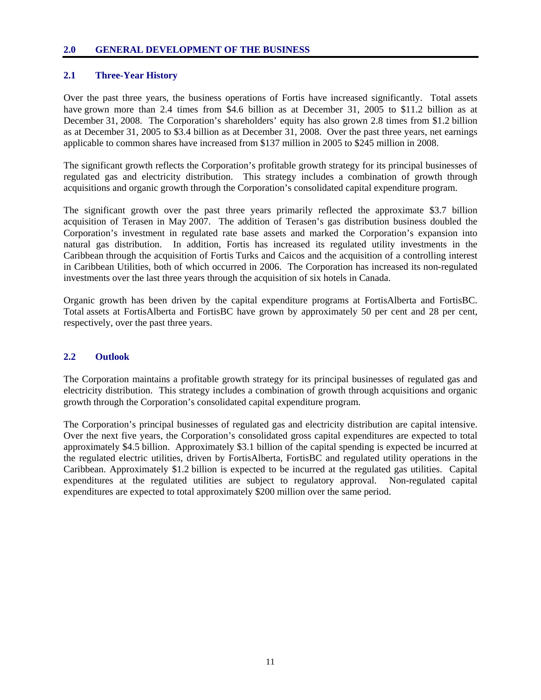#### **2.0 GENERAL DEVELOPMENT OF THE BUSINESS**

### **2.1 Three-Year History**

Over the past three years, the business operations of Fortis have increased significantly. Total assets have grown more than 2.4 times from \$4.6 billion as at December 31, 2005 to \$11.2 billion as at December 31, 2008. The Corporation's shareholders' equity has also grown 2.8 times from \$1.2 billion as at December 31, 2005 to \$3.4 billion as at December 31, 2008. Over the past three years, net earnings applicable to common shares have increased from \$137 million in 2005 to \$245 million in 2008.

The significant growth reflects the Corporation's profitable growth strategy for its principal businesses of regulated gas and electricity distribution. This strategy includes a combination of growth through acquisitions and organic growth through the Corporation's consolidated capital expenditure program.

The significant growth over the past three years primarily reflected the approximate \$3.7 billion acquisition of Terasen in May 2007. The addition of Terasen's gas distribution business doubled the Corporation's investment in regulated rate base assets and marked the Corporation's expansion into natural gas distribution. In addition, Fortis has increased its regulated utility investments in the Caribbean through the acquisition of Fortis Turks and Caicos and the acquisition of a controlling interest in Caribbean Utilities, both of which occurred in 2006. The Corporation has increased its non-regulated investments over the last three years through the acquisition of six hotels in Canada.

Organic growth has been driven by the capital expenditure programs at FortisAlberta and FortisBC. Total assets at FortisAlberta and FortisBC have grown by approximately 50 per cent and 28 per cent, respectively, over the past three years.

### **2.2 Outlook**

The Corporation maintains a profitable growth strategy for its principal businesses of regulated gas and electricity distribution. This strategy includes a combination of growth through acquisitions and organic growth through the Corporation's consolidated capital expenditure program.

The Corporation's principal businesses of regulated gas and electricity distribution are capital intensive. Over the next five years, the Corporation's consolidated gross capital expenditures are expected to total approximately \$4.5 billion. Approximately \$3.1 billion of the capital spending is expected be incurred at the regulated electric utilities, driven by FortisAlberta, FortisBC and regulated utility operations in the Caribbean. Approximately \$1.2 billion is expected to be incurred at the regulated gas utilities. Capital expenditures at the regulated utilities are subject to regulatory approval. Non-regulated capital expenditures are expected to total approximately \$200 million over the same period.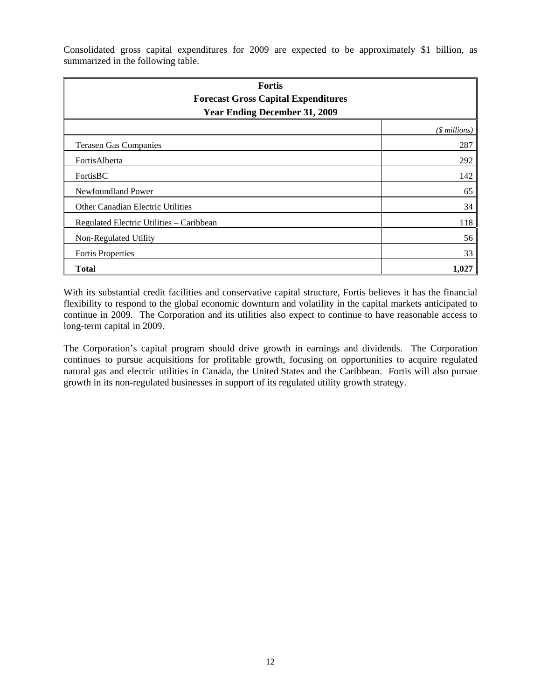Consolidated gross capital expenditures for 2009 are expected to be approximately \$1 billion, as summarized in the following table.

| <b>Fortis</b><br><b>Forecast Gross Capital Expenditures</b><br><b>Year Ending December 31, 2009</b> |                |  |  |
|-----------------------------------------------------------------------------------------------------|----------------|--|--|
|                                                                                                     | $($$ millions) |  |  |
| <b>Terasen Gas Companies</b>                                                                        | 287            |  |  |
| FortisAlberta                                                                                       | 292            |  |  |
| FortisBC                                                                                            | 142            |  |  |
| Newfoundland Power                                                                                  | 65             |  |  |
| <b>Other Canadian Electric Utilities</b>                                                            | 34             |  |  |
| Regulated Electric Utilities - Caribbean                                                            | 118            |  |  |
| Non-Regulated Utility                                                                               | 56             |  |  |
| <b>Fortis Properties</b>                                                                            | 33             |  |  |
| <b>Total</b>                                                                                        | 1,027          |  |  |

With its substantial credit facilities and conservative capital structure, Fortis believes it has the financial flexibility to respond to the global economic downturn and volatility in the capital markets anticipated to continue in 2009. The Corporation and its utilities also expect to continue to have reasonable access to long-term capital in 2009.

The Corporation's capital program should drive growth in earnings and dividends. The Corporation continues to pursue acquisitions for profitable growth, focusing on opportunities to acquire regulated natural gas and electric utilities in Canada, the United States and the Caribbean. Fortis will also pursue growth in its non-regulated businesses in support of its regulated utility growth strategy.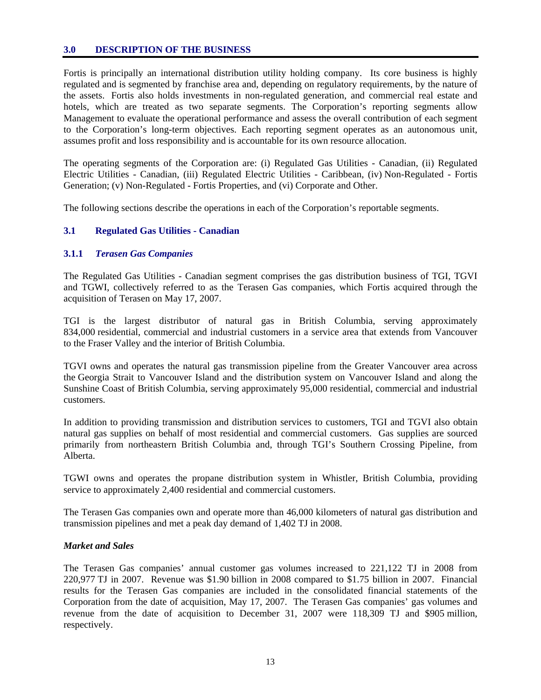#### **3.0 DESCRIPTION OF THE BUSINESS**

Fortis is principally an international distribution utility holding company. Its core business is highly regulated and is segmented by franchise area and, depending on regulatory requirements, by the nature of the assets. Fortis also holds investments in non-regulated generation, and commercial real estate and hotels, which are treated as two separate segments. The Corporation's reporting segments allow Management to evaluate the operational performance and assess the overall contribution of each segment to the Corporation's long-term objectives. Each reporting segment operates as an autonomous unit, assumes profit and loss responsibility and is accountable for its own resource allocation.

The operating segments of the Corporation are: (i) Regulated Gas Utilities - Canadian, (ii) Regulated Electric Utilities - Canadian, (iii) Regulated Electric Utilities - Caribbean, (iv) Non-Regulated - Fortis Generation; (v) Non-Regulated - Fortis Properties, and (vi) Corporate and Other.

The following sections describe the operations in each of the Corporation's reportable segments.

### **3.1 Regulated Gas Utilities - Canadian**

#### **3.1.1** *Terasen Gas Companies*

The Regulated Gas Utilities - Canadian segment comprises the gas distribution business of TGI, TGVI and TGWI, collectively referred to as the Terasen Gas companies, which Fortis acquired through the acquisition of Terasen on May 17, 2007.

TGI is the largest distributor of natural gas in British Columbia, serving approximately 834,000 residential, commercial and industrial customers in a service area that extends from Vancouver to the Fraser Valley and the interior of British Columbia.

TGVI owns and operates the natural gas transmission pipeline from the Greater Vancouver area across the Georgia Strait to Vancouver Island and the distribution system on Vancouver Island and along the Sunshine Coast of British Columbia, serving approximately 95,000 residential, commercial and industrial customers.

In addition to providing transmission and distribution services to customers, TGI and TGVI also obtain natural gas supplies on behalf of most residential and commercial customers. Gas supplies are sourced primarily from northeastern British Columbia and, through TGI's Southern Crossing Pipeline, from Alberta.

TGWI owns and operates the propane distribution system in Whistler, British Columbia, providing service to approximately 2,400 residential and commercial customers.

The Terasen Gas companies own and operate more than 46,000 kilometers of natural gas distribution and transmission pipelines and met a peak day demand of 1,402 TJ in 2008.

#### *Market and Sales*

The Terasen Gas companies' annual customer gas volumes increased to 221,122 TJ in 2008 from 220,977 TJ in 2007. Revenue was \$1.90 billion in 2008 compared to \$1.75 billion in 2007. Financial results for the Terasen Gas companies are included in the consolidated financial statements of the Corporation from the date of acquisition, May 17, 2007. The Terasen Gas companies' gas volumes and revenue from the date of acquisition to December 31, 2007 were 118,309 TJ and \$905 million, respectively.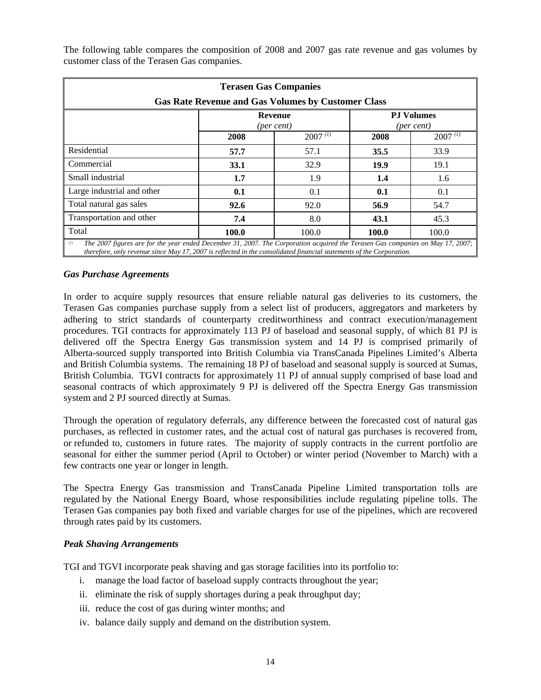The following table compares the composition of 2008 and 2007 gas rate revenue and gas volumes by customer class of the Terasen Gas companies.

| <b>Terasen Gas Companies</b>                                                                                                          |                                                           |              |       |              |  |
|---------------------------------------------------------------------------------------------------------------------------------------|-----------------------------------------------------------|--------------|-------|--------------|--|
|                                                                                                                                       | <b>Gas Rate Revenue and Gas Volumes by Customer Class</b> |              |       |              |  |
|                                                                                                                                       | <b>PJ Volumes</b><br>Revenue<br>(per cent)<br>(per cent)  |              |       |              |  |
|                                                                                                                                       | 2008                                                      | $2007^{(1)}$ | 2008  | $2007^{(1)}$ |  |
| Residential                                                                                                                           | 57.7                                                      | 57.1         | 35.5  | 33.9         |  |
| Commercial                                                                                                                            | 33.1                                                      | 32.9         | 19.9  | 19.1         |  |
| Small industrial                                                                                                                      | 1.7                                                       | 1.9          | 1.4   | 1.6          |  |
| Large industrial and other                                                                                                            | 0.1                                                       | 0.1          | 0.1   | 0.1          |  |
| Total natural gas sales                                                                                                               | 92.6                                                      | 92.0         | 56.9  | 54.7         |  |
| Transportation and other                                                                                                              | 7.4                                                       | 8.0          | 43.1  | 45.3         |  |
| Total                                                                                                                                 | 100.0                                                     | 100.0        | 100.0 | 100.0        |  |
| (1)<br>The 2007 figures are for the year ended December 31, 2007. The Corporation acquired the Terasen Gas companies on May 17, 2007; |                                                           |              |       |              |  |

*therefore, only revenue since May 17, 2007 is reflected in the consolidated financial statements of the Corporation.* 

## *Gas Purchase Agreements*

In order to acquire supply resources that ensure reliable natural gas deliveries to its customers, the Terasen Gas companies purchase supply from a select list of producers, aggregators and marketers by adhering to strict standards of counterparty creditworthiness and contract execution/management procedures. TGI contracts for approximately 113 PJ of baseload and seasonal supply, of which 81 PJ is delivered off the Spectra Energy Gas transmission system and 14 PJ is comprised primarily of Alberta-sourced supply transported into British Columbia via TransCanada Pipelines Limited's Alberta and British Columbia systems. The remaining 18 PJ of baseload and seasonal supply is sourced at Sumas, British Columbia. TGVI contracts for approximately 11 PJ of annual supply comprised of base load and seasonal contracts of which approximately 9 PJ is delivered off the Spectra Energy Gas transmission system and 2 PJ sourced directly at Sumas.

Through the operation of regulatory deferrals, any difference between the forecasted cost of natural gas purchases, as reflected in customer rates, and the actual cost of natural gas purchases is recovered from, or refunded to, customers in future rates. The majority of supply contracts in the current portfolio are seasonal for either the summer period (April to October) or winter period (November to March) with a few contracts one year or longer in length.

The Spectra Energy Gas transmission and TransCanada Pipeline Limited transportation tolls are regulated by the National Energy Board, whose responsibilities include regulating pipeline tolls. The Terasen Gas companies pay both fixed and variable charges for use of the pipelines, which are recovered through rates paid by its customers.

### *Peak Shaving Arrangements*

TGI and TGVI incorporate peak shaving and gas storage facilities into its portfolio to:

- i. manage the load factor of baseload supply contracts throughout the year;
- ii. eliminate the risk of supply shortages during a peak throughput day;
- iii. reduce the cost of gas during winter months; and
- iv. balance daily supply and demand on the distribution system.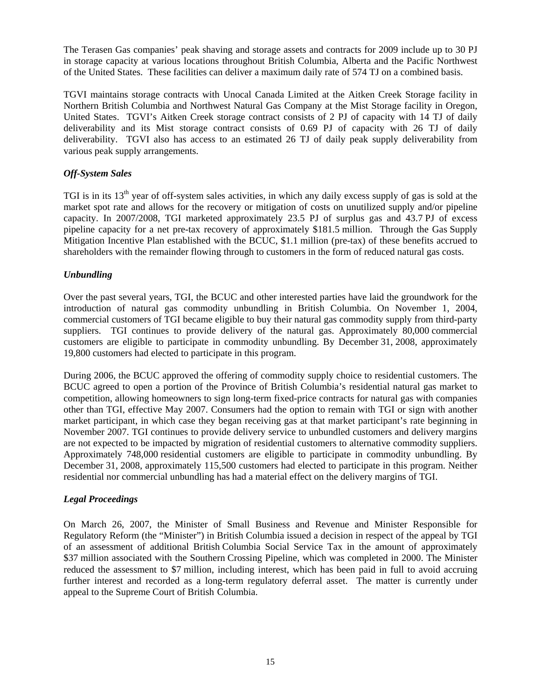The Terasen Gas companies' peak shaving and storage assets and contracts for 2009 include up to 30 PJ in storage capacity at various locations throughout British Columbia, Alberta and the Pacific Northwest of the United States. These facilities can deliver a maximum daily rate of 574 TJ on a combined basis.

TGVI maintains storage contracts with Unocal Canada Limited at the Aitken Creek Storage facility in Northern British Columbia and Northwest Natural Gas Company at the Mist Storage facility in Oregon, United States. TGVI's Aitken Creek storage contract consists of 2 PJ of capacity with 14 TJ of daily deliverability and its Mist storage contract consists of 0.69 PJ of capacity with 26 TJ of daily deliverability. TGVI also has access to an estimated 26 TJ of daily peak supply deliverability from various peak supply arrangements.

## *Off-System Sales*

TGI is in its  $13<sup>th</sup>$  year of off-system sales activities, in which any daily excess supply of gas is sold at the market spot rate and allows for the recovery or mitigation of costs on unutilized supply and/or pipeline capacity. In 2007/2008, TGI marketed approximately 23.5 PJ of surplus gas and 43.7 PJ of excess pipeline capacity for a net pre-tax recovery of approximately \$181.5 million. Through the Gas Supply Mitigation Incentive Plan established with the BCUC, \$1.1 million (pre-tax) of these benefits accrued to shareholders with the remainder flowing through to customers in the form of reduced natural gas costs.

## *Unbundling*

Over the past several years, TGI, the BCUC and other interested parties have laid the groundwork for the introduction of natural gas commodity unbundling in British Columbia. On November 1, 2004, commercial customers of TGI became eligible to buy their natural gas commodity supply from third-party suppliers. TGI continues to provide delivery of the natural gas. Approximately 80,000 commercial customers are eligible to participate in commodity unbundling. By December 31, 2008, approximately 19,800 customers had elected to participate in this program.

During 2006, the BCUC approved the offering of commodity supply choice to residential customers. The BCUC agreed to open a portion of the Province of British Columbia's residential natural gas market to competition, allowing homeowners to sign long-term fixed-price contracts for natural gas with companies other than TGI, effective May 2007. Consumers had the option to remain with TGI or sign with another market participant, in which case they began receiving gas at that market participant's rate beginning in November 2007. TGI continues to provide delivery service to unbundled customers and delivery margins are not expected to be impacted by migration of residential customers to alternative commodity suppliers. Approximately 748,000 residential customers are eligible to participate in commodity unbundling. By December 31, 2008, approximately 115,500 customers had elected to participate in this program. Neither residential nor commercial unbundling has had a material effect on the delivery margins of TGI.

### *Legal Proceedings*

On March 26, 2007, the Minister of Small Business and Revenue and Minister Responsible for Regulatory Reform (the "Minister") in British Columbia issued a decision in respect of the appeal by TGI of an assessment of additional British Columbia Social Service Tax in the amount of approximately \$37 million associated with the Southern Crossing Pipeline, which was completed in 2000. The Minister reduced the assessment to \$7 million, including interest, which has been paid in full to avoid accruing further interest and recorded as a long-term regulatory deferral asset. The matter is currently under appeal to the Supreme Court of British Columbia.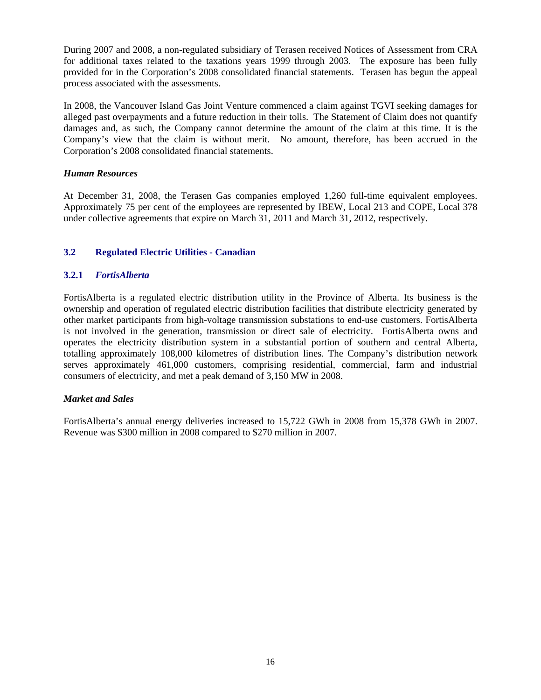During 2007 and 2008, a non-regulated subsidiary of Terasen received Notices of Assessment from CRA for additional taxes related to the taxations years 1999 through 2003. The exposure has been fully provided for in the Corporation's 2008 consolidated financial statements. Terasen has begun the appeal process associated with the assessments.

In 2008, the Vancouver Island Gas Joint Venture commenced a claim against TGVI seeking damages for alleged past overpayments and a future reduction in their tolls. The Statement of Claim does not quantify damages and, as such, the Company cannot determine the amount of the claim at this time. It is the Company's view that the claim is without merit. No amount, therefore, has been accrued in the Corporation's 2008 consolidated financial statements.

## *Human Resources*

At December 31, 2008, the Terasen Gas companies employed 1,260 full-time equivalent employees. Approximately 75 per cent of the employees are represented by IBEW, Local 213 and COPE, Local 378 under collective agreements that expire on March 31, 2011 and March 31, 2012, respectively.

## **3.2 Regulated Electric Utilities - Canadian**

## **3.2.1** *FortisAlberta*

FortisAlberta is a regulated electric distribution utility in the Province of Alberta. Its business is the ownership and operation of regulated electric distribution facilities that distribute electricity generated by other market participants from high-voltage transmission substations to end-use customers. FortisAlberta is not involved in the generation, transmission or direct sale of electricity. FortisAlberta owns and operates the electricity distribution system in a substantial portion of southern and central Alberta, totalling approximately 108,000 kilometres of distribution lines. The Company's distribution network serves approximately 461,000 customers, comprising residential, commercial, farm and industrial consumers of electricity, and met a peak demand of 3,150 MW in 2008.

## *Market and Sales*

FortisAlberta's annual energy deliveries increased to 15,722 GWh in 2008 from 15,378 GWh in 2007. Revenue was \$300 million in 2008 compared to \$270 million in 2007.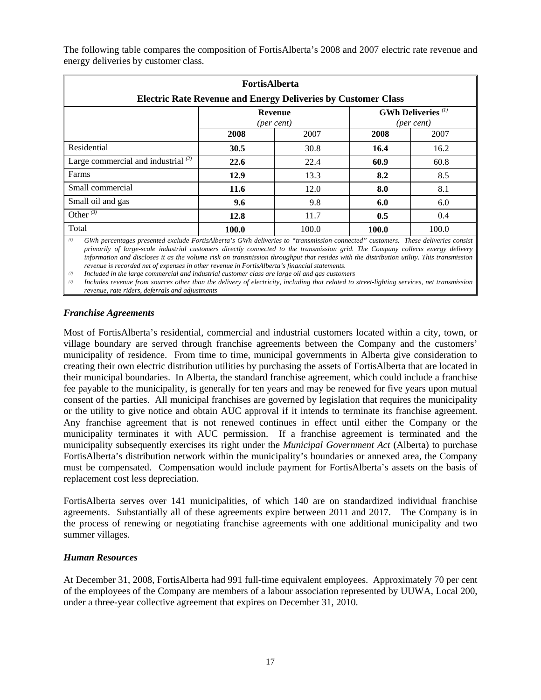| <b>FortisAlberta</b><br><b>Electric Rate Revenue and Energy Deliveries by Customer Class</b> |       |                                                                                    |       |       |  |
|----------------------------------------------------------------------------------------------|-------|------------------------------------------------------------------------------------|-------|-------|--|
|                                                                                              |       | <b>GWh Deliveries</b> <sup>(1)</sup><br><b>Revenue</b><br>(per cent)<br>(per cent) |       |       |  |
|                                                                                              | 2008  | 2007                                                                               | 2008  | 2007  |  |
| Residential                                                                                  | 30.5  | 30.8                                                                               | 16.4  | 16.2  |  |
| Large commercial and industrial $^{(2)}$                                                     | 22.6  | 22.4                                                                               | 60.9  | 60.8  |  |
| Farms                                                                                        | 12.9  | 13.3                                                                               | 8.2   | 8.5   |  |
| Small commercial                                                                             | 11.6  | 12.0                                                                               | 8.0   | 8.1   |  |
| Small oil and gas                                                                            | 9.6   | 9.8                                                                                | 6.0   | 6.0   |  |
| Other $\overline{^{(3)}}$                                                                    | 12.8  | 11.7                                                                               | 0.5   | 0.4   |  |
| Total                                                                                        | 100.0 | 100.0                                                                              | 100.0 | 100.0 |  |

The following table compares the composition of FortisAlberta's 2008 and 2007 electric rate revenue and energy deliveries by customer class.

*(1) GWh percentages presented exclude FortisAlberta's GWh deliveries to "transmission-connected" customers. These deliveries consist primarily of large-scale industrial customers directly connected to the transmission grid. The Company collects energy delivery information and discloses it as the volume risk on transmission throughput that resides with the distribution utility. This transmission revenue is recorded net of expenses in other revenue in FortisAlberta's financial statements.* 

*(2) Included in the large commercial and industrial customer class are large oil and gas customers* 

*(3) Includes revenue from sources other than the delivery of electricity, including that related to street-lighting services, net transmission revenue, rate riders, deferrals and adjustments* 

## *Franchise Agreements*

Most of FortisAlberta's residential, commercial and industrial customers located within a city, town, or village boundary are served through franchise agreements between the Company and the customers' municipality of residence. From time to time, municipal governments in Alberta give consideration to creating their own electric distribution utilities by purchasing the assets of FortisAlberta that are located in their municipal boundaries. In Alberta, the standard franchise agreement, which could include a franchise fee payable to the municipality, is generally for ten years and may be renewed for five years upon mutual consent of the parties. All municipal franchises are governed by legislation that requires the municipality or the utility to give notice and obtain AUC approval if it intends to terminate its franchise agreement. Any franchise agreement that is not renewed continues in effect until either the Company or the municipality terminates it with AUC permission. If a franchise agreement is terminated and the municipality subsequently exercises its right under the *Municipal Government Act* (Alberta) to purchase FortisAlberta's distribution network within the municipality's boundaries or annexed area, the Company must be compensated. Compensation would include payment for FortisAlberta's assets on the basis of replacement cost less depreciation.

FortisAlberta serves over 141 municipalities, of which 140 are on standardized individual franchise agreements. Substantially all of these agreements expire between 2011 and 2017. The Company is in the process of renewing or negotiating franchise agreements with one additional municipality and two summer villages.

### *Human Resources*

At December 31, 2008, FortisAlberta had 991 full-time equivalent employees. Approximately 70 per cent of the employees of the Company are members of a labour association represented by UUWA, Local 200, under a three-year collective agreement that expires on December 31, 2010.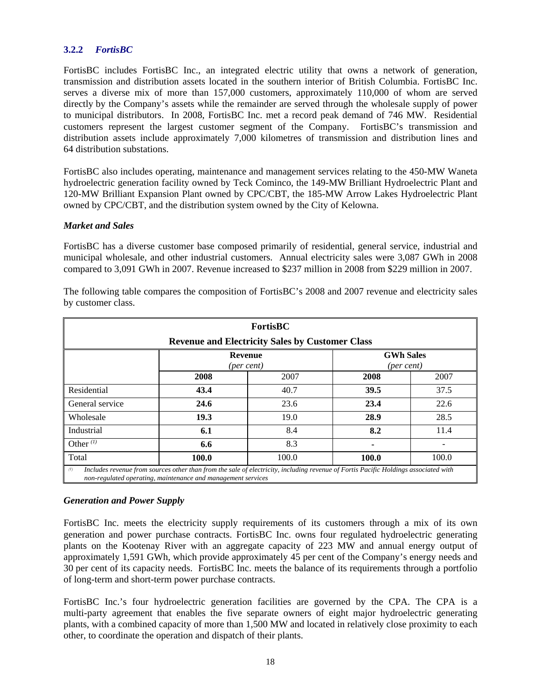### **3.2.2** *FortisBC*

FortisBC includes FortisBC Inc., an integrated electric utility that owns a network of generation, transmission and distribution assets located in the southern interior of British Columbia. FortisBC Inc. serves a diverse mix of more than 157,000 customers, approximately 110,000 of whom are served directly by the Company's assets while the remainder are served through the wholesale supply of power to municipal distributors. In 2008, FortisBC Inc. met a record peak demand of 746 MW. Residential customers represent the largest customer segment of the Company. FortisBC's transmission and distribution assets include approximately 7,000 kilometres of transmission and distribution lines and 64 distribution substations.

FortisBC also includes operating, maintenance and management services relating to the 450-MW Waneta hydroelectric generation facility owned by Teck Cominco, the 149-MW Brilliant Hydroelectric Plant and 120-MW Brilliant Expansion Plant owned by CPC/CBT, the 185-MW Arrow Lakes Hydroelectric Plant owned by CPC/CBT, and the distribution system owned by the City of Kelowna.

### *Market and Sales*

FortisBC has a diverse customer base composed primarily of residential, general service, industrial and municipal wholesale, and other industrial customers. Annual electricity sales were 3,087 GWh in 2008 compared to 3,091 GWh in 2007. Revenue increased to \$237 million in 2008 from \$229 million in 2007.

| <b>FortisBC</b>                                                                                                                                                                                            |      |                                                        |      |      |  |  |
|------------------------------------------------------------------------------------------------------------------------------------------------------------------------------------------------------------|------|--------------------------------------------------------|------|------|--|--|
|                                                                                                                                                                                                            |      | <b>Revenue and Electricity Sales by Customer Class</b> |      |      |  |  |
| <b>GWh Sales</b><br><b>Revenue</b><br>(per cent)<br>(per cent)                                                                                                                                             |      |                                                        |      |      |  |  |
|                                                                                                                                                                                                            | 2008 | 2007                                                   | 2008 | 2007 |  |  |
| Residential                                                                                                                                                                                                | 43.4 | 40.7                                                   | 39.5 | 37.5 |  |  |
| General service                                                                                                                                                                                            | 24.6 | 23.6                                                   | 23.4 | 22.6 |  |  |
| Wholesale                                                                                                                                                                                                  | 19.3 | 19.0                                                   | 28.9 | 28.5 |  |  |
| Industrial                                                                                                                                                                                                 | 6.1  | 8.4                                                    | 8.2  | 11.4 |  |  |
| Other $(1)$                                                                                                                                                                                                | 6.6  | 8.3                                                    |      |      |  |  |
| Total<br>100.0<br>100.0<br>100.0<br>100.0                                                                                                                                                                  |      |                                                        |      |      |  |  |
| (1)<br>Includes revenue from sources other than from the sale of electricity, including revenue of Fortis Pacific Holdings associated with<br>non-regulated operating, maintenance and management services |      |                                                        |      |      |  |  |

The following table compares the composition of FortisBC's 2008 and 2007 revenue and electricity sales by customer class.

#### *Generation and Power Supply*

FortisBC Inc. meets the electricity supply requirements of its customers through a mix of its own generation and power purchase contracts. FortisBC Inc. owns four regulated hydroelectric generating plants on the Kootenay River with an aggregate capacity of 223 MW and annual energy output of approximately 1,591 GWh, which provide approximately 45 per cent of the Company's energy needs and 30 per cent of its capacity needs. FortisBC Inc. meets the balance of its requirements through a portfolio of long-term and short-term power purchase contracts.

FortisBC Inc.'s four hydroelectric generation facilities are governed by the CPA. The CPA is a multi-party agreement that enables the five separate owners of eight major hydroelectric generating plants, with a combined capacity of more than 1,500 MW and located in relatively close proximity to each other, to coordinate the operation and dispatch of their plants.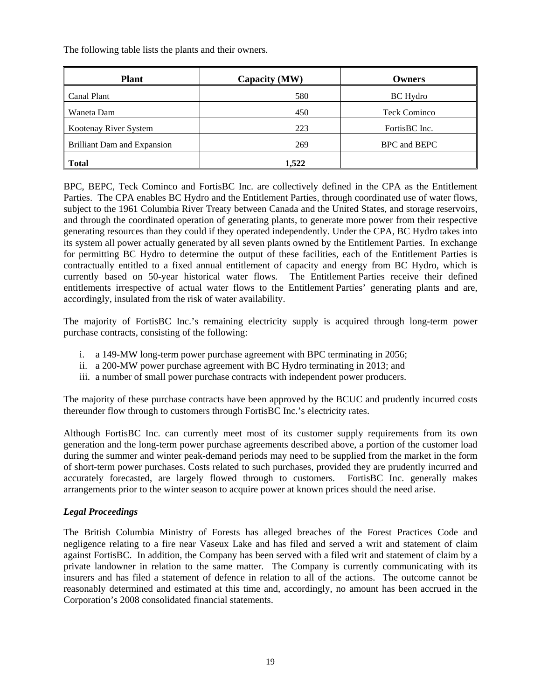The following table lists the plants and their owners.

| <b>Plant</b>                       | Capacity (MW) | <b>Owners</b>       |
|------------------------------------|---------------|---------------------|
| Canal Plant                        | 580           | <b>BC</b> Hydro     |
| Waneta Dam                         | 450           | <b>Teck Cominco</b> |
| Kootenay River System              | 223           | FortisBC Inc.       |
| <b>Brilliant Dam and Expansion</b> | 269           | BPC and BEPC        |
| <b>Total</b>                       | 1,522         |                     |

BPC, BEPC, Teck Cominco and FortisBC Inc. are collectively defined in the CPA as the Entitlement Parties. The CPA enables BC Hydro and the Entitlement Parties, through coordinated use of water flows, subject to the 1961 Columbia River Treaty between Canada and the United States, and storage reservoirs, and through the coordinated operation of generating plants, to generate more power from their respective generating resources than they could if they operated independently. Under the CPA, BC Hydro takes into its system all power actually generated by all seven plants owned by the Entitlement Parties. In exchange for permitting BC Hydro to determine the output of these facilities, each of the Entitlement Parties is contractually entitled to a fixed annual entitlement of capacity and energy from BC Hydro, which is currently based on 50-year historical water flows. The Entitlement Parties receive their defined entitlements irrespective of actual water flows to the Entitlement Parties' generating plants and are, accordingly, insulated from the risk of water availability.

The majority of FortisBC Inc.'s remaining electricity supply is acquired through long-term power purchase contracts, consisting of the following:

- i. a 149-MW long-term power purchase agreement with BPC terminating in 2056;
- ii. a 200-MW power purchase agreement with BC Hydro terminating in 2013; and
- iii. a number of small power purchase contracts with independent power producers.

The majority of these purchase contracts have been approved by the BCUC and prudently incurred costs thereunder flow through to customers through FortisBC Inc.'s electricity rates.

Although FortisBC Inc. can currently meet most of its customer supply requirements from its own generation and the long-term power purchase agreements described above, a portion of the customer load during the summer and winter peak-demand periods may need to be supplied from the market in the form of short-term power purchases. Costs related to such purchases, provided they are prudently incurred and accurately forecasted, are largely flowed through to customers. FortisBC Inc. generally makes arrangements prior to the winter season to acquire power at known prices should the need arise.

### *Legal Proceedings*

The British Columbia Ministry of Forests has alleged breaches of the Forest Practices Code and negligence relating to a fire near Vaseux Lake and has filed and served a writ and statement of claim against FortisBC. In addition, the Company has been served with a filed writ and statement of claim by a private landowner in relation to the same matter. The Company is currently communicating with its insurers and has filed a statement of defence in relation to all of the actions. The outcome cannot be reasonably determined and estimated at this time and, accordingly, no amount has been accrued in the Corporation's 2008 consolidated financial statements.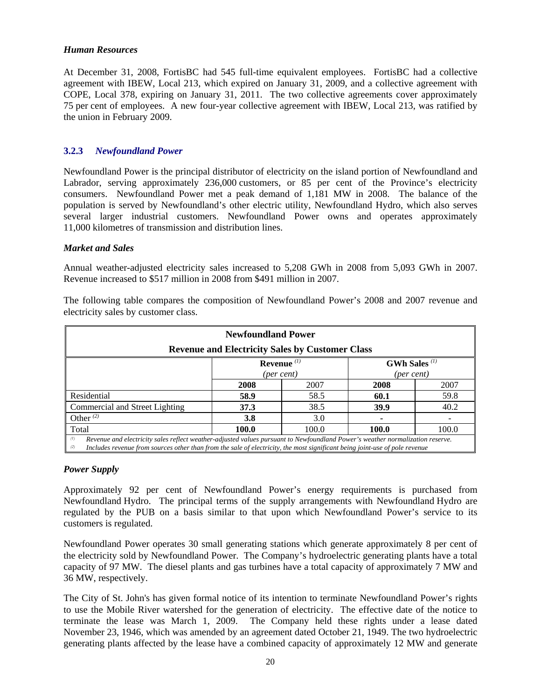#### *Human Resources*

At December 31, 2008, FortisBC had 545 full-time equivalent employees. FortisBC had a collective agreement with IBEW, Local 213, which expired on January 31, 2009, and a collective agreement with COPE, Local 378, expiring on January 31, 2011. The two collective agreements cover approximately 75 per cent of employees. A new four-year collective agreement with IBEW, Local 213, was ratified by the union in February 2009.

## **3.2.3** *Newfoundland Power*

Newfoundland Power is the principal distributor of electricity on the island portion of Newfoundland and Labrador, serving approximately 236,000 customers, or 85 per cent of the Province's electricity consumers. Newfoundland Power met a peak demand of 1,181 MW in 2008. The balance of the population is served by Newfoundland's other electric utility, Newfoundland Hydro, which also serves several larger industrial customers. Newfoundland Power owns and operates approximately 11,000 kilometres of transmission and distribution lines.

### *Market and Sales*

Annual weather-adjusted electricity sales increased to 5,208 GWh in 2008 from 5,093 GWh in 2007. Revenue increased to \$517 million in 2008 from \$491 million in 2007.

| <b>Newfoundland Power</b>                                                                                                                                                                                                                                                  |                                                  |                                                        |            |      |  |  |
|----------------------------------------------------------------------------------------------------------------------------------------------------------------------------------------------------------------------------------------------------------------------------|--------------------------------------------------|--------------------------------------------------------|------------|------|--|--|
|                                                                                                                                                                                                                                                                            |                                                  | <b>Revenue and Electricity Sales by Customer Class</b> |            |      |  |  |
|                                                                                                                                                                                                                                                                            | Revenue $(1)$<br><b>GWh Sales</b> <sup>(1)</sup> |                                                        |            |      |  |  |
|                                                                                                                                                                                                                                                                            |                                                  | (per cent)                                             | (per cent) |      |  |  |
|                                                                                                                                                                                                                                                                            | 2008                                             | 2007                                                   | 2008       | 2007 |  |  |
| Residential                                                                                                                                                                                                                                                                | 58.9                                             | 58.5                                                   | 60.1       | 59.8 |  |  |
| Commercial and Street Lighting                                                                                                                                                                                                                                             | 37.3                                             | 38.5                                                   | 39.9       | 40.2 |  |  |
| Other $(2)$                                                                                                                                                                                                                                                                | 3.8                                              | 3.0                                                    |            |      |  |  |
| Total<br>100.0<br>100.0<br>100.0<br>100.0                                                                                                                                                                                                                                  |                                                  |                                                        |            |      |  |  |
| Revenue and electricity sales reflect weather-adjusted values pursuant to Newfoundland Power's weather normalization reserve.<br>(1)<br>Includes revenue from sources other than from the sale of electricity, the most significant being joint-use of pole revenue<br>(2) |                                                  |                                                        |            |      |  |  |

The following table compares the composition of Newfoundland Power's 2008 and 2007 revenue and electricity sales by customer class.

#### *Power Supply*

Approximately 92 per cent of Newfoundland Power's energy requirements is purchased from Newfoundland Hydro. The principal terms of the supply arrangements with Newfoundland Hydro are regulated by the PUB on a basis similar to that upon which Newfoundland Power's service to its customers is regulated.

Newfoundland Power operates 30 small generating stations which generate approximately 8 per cent of the electricity sold by Newfoundland Power. The Company's hydroelectric generating plants have a total capacity of 97 MW. The diesel plants and gas turbines have a total capacity of approximately 7 MW and 36 MW, respectively.

The City of St. John's has given formal notice of its intention to terminate Newfoundland Power's rights to use the Mobile River watershed for the generation of electricity. The effective date of the notice to terminate the lease was March 1, 2009. The Company held these rights under a lease dated November 23, 1946, which was amended by an agreement dated October 21, 1949. The two hydroelectric generating plants affected by the lease have a combined capacity of approximately 12 MW and generate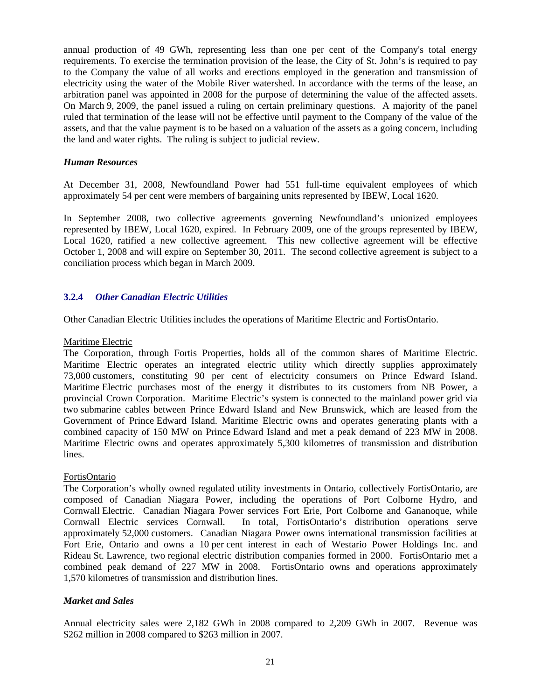annual production of 49 GWh, representing less than one per cent of the Company's total energy requirements. To exercise the termination provision of the lease, the City of St. John's is required to pay to the Company the value of all works and erections employed in the generation and transmission of electricity using the water of the Mobile River watershed. In accordance with the terms of the lease, an arbitration panel was appointed in 2008 for the purpose of determining the value of the affected assets. On March 9, 2009, the panel issued a ruling on certain preliminary questions. A majority of the panel ruled that termination of the lease will not be effective until payment to the Company of the value of the assets, and that the value payment is to be based on a valuation of the assets as a going concern, including the land and water rights. The ruling is subject to judicial review.

#### *Human Resources*

At December 31, 2008, Newfoundland Power had 551 full-time equivalent employees of which approximately 54 per cent were members of bargaining units represented by IBEW, Local 1620.

In September 2008, two collective agreements governing Newfoundland's unionized employees represented by IBEW, Local 1620, expired. In February 2009, one of the groups represented by IBEW, Local 1620, ratified a new collective agreement. This new collective agreement will be effective October 1, 2008 and will expire on September 30, 2011. The second collective agreement is subject to a conciliation process which began in March 2009.

## **3.2.4** *Other Canadian Electric Utilities*

Other Canadian Electric Utilities includes the operations of Maritime Electric and FortisOntario.

#### Maritime Electric

The Corporation, through Fortis Properties, holds all of the common shares of Maritime Electric. Maritime Electric operates an integrated electric utility which directly supplies approximately 73,000 customers, constituting 90 per cent of electricity consumers on Prince Edward Island. Maritime Electric purchases most of the energy it distributes to its customers from NB Power, a provincial Crown Corporation. Maritime Electric's system is connected to the mainland power grid via two submarine cables between Prince Edward Island and New Brunswick, which are leased from the Government of Prince Edward Island. Maritime Electric owns and operates generating plants with a combined capacity of 150 MW on Prince Edward Island and met a peak demand of 223 MW in 2008. Maritime Electric owns and operates approximately 5,300 kilometres of transmission and distribution lines.

### FortisOntario

The Corporation's wholly owned regulated utility investments in Ontario, collectively FortisOntario, are composed of Canadian Niagara Power, including the operations of Port Colborne Hydro, and Cornwall Electric. Canadian Niagara Power services Fort Erie, Port Colborne and Gananoque, while Cornwall Electric services Cornwall. In total, FortisOntario's distribution operations serve approximately 52,000 customers. Canadian Niagara Power owns international transmission facilities at Fort Erie, Ontario and owns a 10 per cent interest in each of Westario Power Holdings Inc. and Rideau St. Lawrence, two regional electric distribution companies formed in 2000. FortisOntario met a combined peak demand of 227 MW in 2008. FortisOntario owns and operations approximately 1,570 kilometres of transmission and distribution lines.

### *Market and Sales*

Annual electricity sales were 2,182 GWh in 2008 compared to 2,209 GWh in 2007. Revenue was \$262 million in 2008 compared to \$263 million in 2007.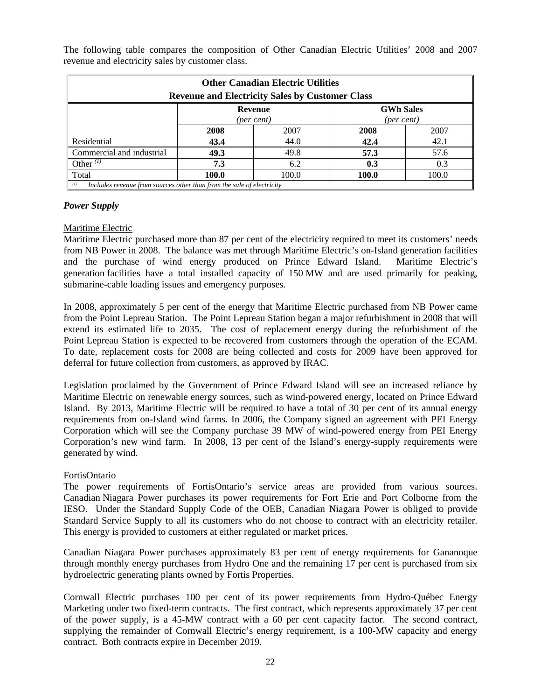| <b>Other Canadian Electric Utilities</b><br><b>Revenue and Electricity Sales by Customer Class</b> |                                                                       |      |      |      |  |  |
|----------------------------------------------------------------------------------------------------|-----------------------------------------------------------------------|------|------|------|--|--|
|                                                                                                    | <b>GWh Sales</b><br><b>Revenue</b><br>(per cent)<br>(per cent)        |      |      |      |  |  |
|                                                                                                    | 2008                                                                  | 2007 | 2008 | 2007 |  |  |
| Residential                                                                                        | 43.4                                                                  | 44.0 | 42.4 | 42.1 |  |  |
| Commercial and industrial                                                                          | 49.3                                                                  | 49.8 | 57.3 | 57.6 |  |  |
| Other $^{(1)}$                                                                                     | 7.3                                                                   | 6.2  | 0.3  | 0.3  |  |  |
| Total<br>100.0<br>100.0<br>100.0<br>100.0                                                          |                                                                       |      |      |      |  |  |
| (1)                                                                                                | Includes revenue from sources other than from the sale of electricity |      |      |      |  |  |

The following table compares the composition of Other Canadian Electric Utilities' 2008 and 2007 revenue and electricity sales by customer class.

#### *Power Supply*

#### Maritime Electric

Maritime Electric purchased more than 87 per cent of the electricity required to meet its customers' needs from NB Power in 2008. The balance was met through Maritime Electric's on-Island generation facilities and the purchase of wind energy produced on Prince Edward Island. Maritime Electric's generation facilities have a total installed capacity of 150 MW and are used primarily for peaking, submarine-cable loading issues and emergency purposes.

In 2008, approximately 5 per cent of the energy that Maritime Electric purchased from NB Power came from the Point Lepreau Station. The Point Lepreau Station began a major refurbishment in 2008 that will extend its estimated life to 2035. The cost of replacement energy during the refurbishment of the Point Lepreau Station is expected to be recovered from customers through the operation of the ECAM. To date, replacement costs for 2008 are being collected and costs for 2009 have been approved for deferral for future collection from customers, as approved by IRAC.

Legislation proclaimed by the Government of Prince Edward Island will see an increased reliance by Maritime Electric on renewable energy sources, such as wind-powered energy, located on Prince Edward Island. By 2013, Maritime Electric will be required to have a total of 30 per cent of its annual energy requirements from on-Island wind farms. In 2006, the Company signed an agreement with PEI Energy Corporation which will see the Company purchase 39 MW of wind-powered energy from PEI Energy Corporation's new wind farm. In 2008, 13 per cent of the Island's energy-supply requirements were generated by wind.

#### FortisOntario

The power requirements of FortisOntario's service areas are provided from various sources. Canadian Niagara Power purchases its power requirements for Fort Erie and Port Colborne from the IESO. Under the Standard Supply Code of the OEB, Canadian Niagara Power is obliged to provide Standard Service Supply to all its customers who do not choose to contract with an electricity retailer. This energy is provided to customers at either regulated or market prices.

Canadian Niagara Power purchases approximately 83 per cent of energy requirements for Gananoque through monthly energy purchases from Hydro One and the remaining 17 per cent is purchased from six hydroelectric generating plants owned by Fortis Properties.

Cornwall Electric purchases 100 per cent of its power requirements from Hydro-Québec Energy Marketing under two fixed-term contracts. The first contract, which represents approximately 37 per cent of the power supply, is a 45-MW contract with a 60 per cent capacity factor. The second contract, supplying the remainder of Cornwall Electric's energy requirement, is a 100-MW capacity and energy contract. Both contracts expire in December 2019.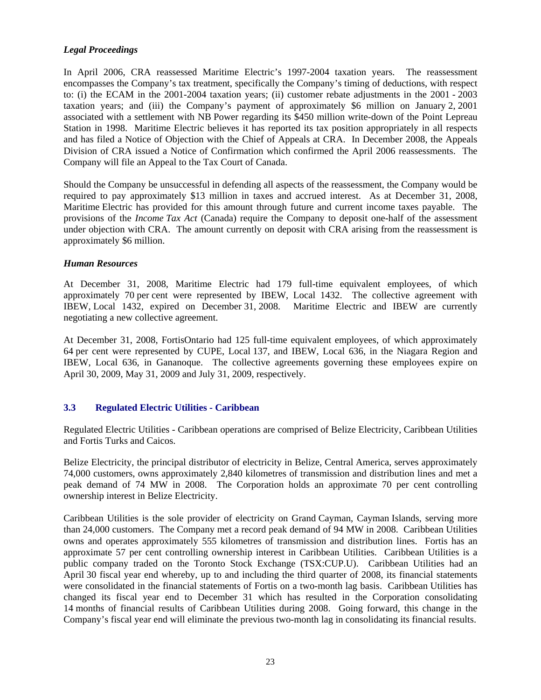## *Legal Proceedings*

In April 2006, CRA reassessed Maritime Electric's 1997-2004 taxation years. The reassessment encompasses the Company's tax treatment, specifically the Company's timing of deductions, with respect to: (i) the ECAM in the 2001-2004 taxation years; (ii) customer rebate adjustments in the 2001 - 2003 taxation years; and (iii) the Company's payment of approximately \$6 million on January 2, 2001 associated with a settlement with NB Power regarding its \$450 million write-down of the Point Lepreau Station in 1998. Maritime Electric believes it has reported its tax position appropriately in all respects and has filed a Notice of Objection with the Chief of Appeals at CRA. In December 2008, the Appeals Division of CRA issued a Notice of Confirmation which confirmed the April 2006 reassessments. The Company will file an Appeal to the Tax Court of Canada.

Should the Company be unsuccessful in defending all aspects of the reassessment, the Company would be required to pay approximately \$13 million in taxes and accrued interest. As at December 31, 2008, Maritime Electric has provided for this amount through future and current income taxes payable. The provisions of the *Income Tax Act* (Canada) require the Company to deposit one-half of the assessment under objection with CRA. The amount currently on deposit with CRA arising from the reassessment is approximately \$6 million.

### *Human Resources*

At December 31, 2008, Maritime Electric had 179 full-time equivalent employees, of which approximately 70 per cent were represented by IBEW, Local 1432. The collective agreement with IBEW, Local 1432, expired on December 31, 2008. Maritime Electric and IBEW are currently negotiating a new collective agreement.

At December 31, 2008, FortisOntario had 125 full-time equivalent employees, of which approximately 64 per cent were represented by CUPE, Local 137, and IBEW, Local 636, in the Niagara Region and IBEW, Local 636, in Gananoque. The collective agreements governing these employees expire on April 30, 2009, May 31, 2009 and July 31, 2009, respectively.

## **3.3 Regulated Electric Utilities - Caribbean**

Regulated Electric Utilities - Caribbean operations are comprised of Belize Electricity, Caribbean Utilities and Fortis Turks and Caicos.

Belize Electricity, the principal distributor of electricity in Belize, Central America, serves approximately 74,000 customers, owns approximately 2,840 kilometres of transmission and distribution lines and met a peak demand of 74 MW in 2008. The Corporation holds an approximate 70 per cent controlling ownership interest in Belize Electricity.

Caribbean Utilities is the sole provider of electricity on Grand Cayman, Cayman Islands, serving more than 24,000 customers. The Company met a record peak demand of 94 MW in 2008. Caribbean Utilities owns and operates approximately 555 kilometres of transmission and distribution lines. Fortis has an approximate 57 per cent controlling ownership interest in Caribbean Utilities. Caribbean Utilities is a public company traded on the Toronto Stock Exchange (TSX:CUP.U). Caribbean Utilities had an April 30 fiscal year end whereby, up to and including the third quarter of 2008, its financial statements were consolidated in the financial statements of Fortis on a two-month lag basis. Caribbean Utilities has changed its fiscal year end to December 31 which has resulted in the Corporation consolidating 14 months of financial results of Caribbean Utilities during 2008. Going forward, this change in the Company's fiscal year end will eliminate the previous two-month lag in consolidating its financial results.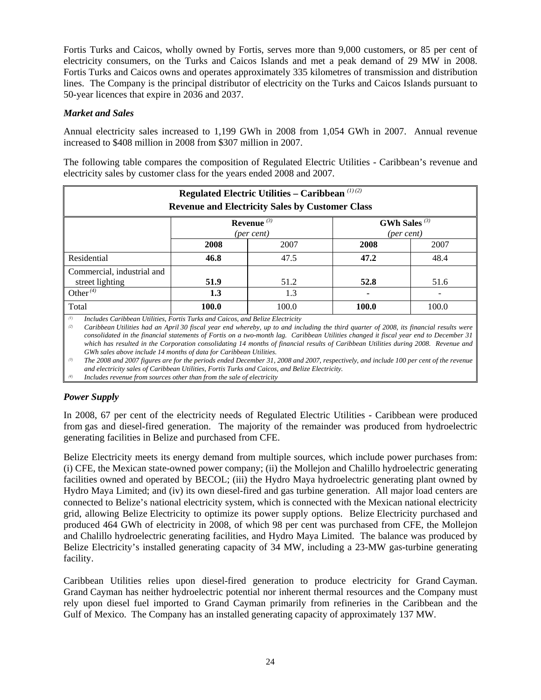Fortis Turks and Caicos, wholly owned by Fortis, serves more than 9,000 customers, or 85 per cent of electricity consumers, on the Turks and Caicos Islands and met a peak demand of 29 MW in 2008. Fortis Turks and Caicos owns and operates approximately 335 kilometres of transmission and distribution lines. The Company is the principal distributor of electricity on the Turks and Caicos Islands pursuant to 50-year licences that expire in 2036 and 2037.

## *Market and Sales*

Annual electricity sales increased to 1,199 GWh in 2008 from 1,054 GWh in 2007. Annual revenue increased to \$408 million in 2008 from \$307 million in 2007.

The following table compares the composition of Regulated Electric Utilities - Caribbean's revenue and electricity sales by customer class for the years ended 2008 and 2007.

| Regulated Electric Utilities - Caribbean $(1)(2)$<br><b>Revenue and Electricity Sales by Customer Class</b> |       |       |       |       |  |  |
|-------------------------------------------------------------------------------------------------------------|-------|-------|-------|-------|--|--|
| GWh Sales $(3)$<br>Revenue $(3)$<br>(per cent)<br>(per cent)                                                |       |       |       |       |  |  |
|                                                                                                             | 2008  | 2007  | 2008  | 2007  |  |  |
| Residential                                                                                                 | 46.8  | 47.5  | 47.2  | 48.4  |  |  |
| Commercial, industrial and<br>street lighting                                                               | 51.9  | 51.2  | 52.8  | 51.6  |  |  |
| Other $(4)$                                                                                                 | 1.3   | 1.3   |       |       |  |  |
| Total                                                                                                       | 100.0 | 100.0 | 100.0 | 100.0 |  |  |

*(1) Includes Caribbean Utilities, Fortis Turks and Caicos, and Belize Electricity* 

*(2) Caribbean Utilities had an April 30 fiscal year end whereby, up to and including the third quarter of 2008, its financial results were consolidated in the financial statements of Fortis on a two-month lag. Caribbean Utilities changed it fiscal year end to December 31 which has resulted in the Corporation consolidating 14 months of financial results of Caribbean Utilities during 2008. Revenue and GWh sales above include 14 months of data for Caribbean Utilities.* 

*(3) The 2008 and 2007 figures are for the periods ended December 31, 2008 and 2007, respectively, and include 100 per cent of the revenue and electricity sales of Caribbean Utilities, Fortis Turks and Caicos, and Belize Electricity.* 

*(4) Includes revenue from sources other than from the sale of electricity* 

## *Power Supply*

In 2008, 67 per cent of the electricity needs of Regulated Electric Utilities - Caribbean were produced from gas and diesel-fired generation. The majority of the remainder was produced from hydroelectric generating facilities in Belize and purchased from CFE.

Belize Electricity meets its energy demand from multiple sources, which include power purchases from: (i) CFE, the Mexican state-owned power company; (ii) the Mollejon and Chalillo hydroelectric generating facilities owned and operated by BECOL; (iii) the Hydro Maya hydroelectric generating plant owned by Hydro Maya Limited; and (iv) its own diesel-fired and gas turbine generation. All major load centers are connected to Belize's national electricity system, which is connected with the Mexican national electricity grid, allowing Belize Electricity to optimize its power supply options. Belize Electricity purchased and produced 464 GWh of electricity in 2008, of which 98 per cent was purchased from CFE, the Mollejon and Chalillo hydroelectric generating facilities, and Hydro Maya Limited. The balance was produced by Belize Electricity's installed generating capacity of 34 MW, including a 23-MW gas-turbine generating facility.

Caribbean Utilities relies upon diesel-fired generation to produce electricity for Grand Cayman. Grand Cayman has neither hydroelectric potential nor inherent thermal resources and the Company must rely upon diesel fuel imported to Grand Cayman primarily from refineries in the Caribbean and the Gulf of Mexico. The Company has an installed generating capacity of approximately 137 MW.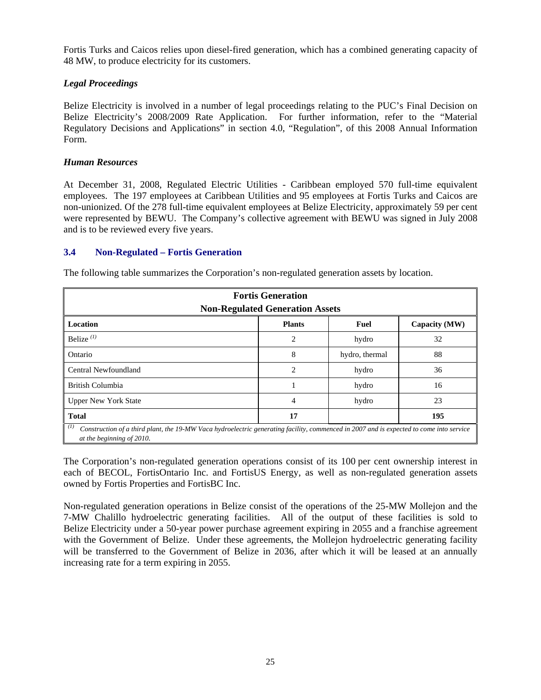Fortis Turks and Caicos relies upon diesel-fired generation, which has a combined generating capacity of 48 MW, to produce electricity for its customers.

## *Legal Proceedings*

Belize Electricity is involved in a number of legal proceedings relating to the PUC's Final Decision on Belize Electricity's 2008/2009 Rate Application. For further information, refer to the "Material Regulatory Decisions and Applications" in section 4.0, "Regulation", of this 2008 Annual Information Form.

## *Human Resources*

At December 31, 2008, Regulated Electric Utilities - Caribbean employed 570 full-time equivalent employees. The 197 employees at Caribbean Utilities and 95 employees at Fortis Turks and Caicos are non-unionized. Of the 278 full-time equivalent employees at Belize Electricity, approximately 59 per cent were represented by BEWU. The Company's collective agreement with BEWU was signed in July 2008 and is to be reviewed every five years.

### **3.4 Non-Regulated – Fortis Generation**

| <b>Fortis Generation</b><br><b>Non-Regulated Generation Assets</b>                                                                                                          |               |                |               |  |  |  |
|-----------------------------------------------------------------------------------------------------------------------------------------------------------------------------|---------------|----------------|---------------|--|--|--|
| <b>Location</b>                                                                                                                                                             | <b>Plants</b> | Fuel           | Capacity (MW) |  |  |  |
| Belize $^{(1)}$                                                                                                                                                             | 2             | hydro          | 32            |  |  |  |
| Ontario                                                                                                                                                                     | 8             | hydro, thermal | 88            |  |  |  |
| Central Newfoundland                                                                                                                                                        | 2             | hydro          | 36            |  |  |  |
| British Columbia                                                                                                                                                            |               | hydro          | 16            |  |  |  |
| <b>Upper New York State</b>                                                                                                                                                 | 4             | hydro          | 23            |  |  |  |
| <b>Total</b><br>17<br>195                                                                                                                                                   |               |                |               |  |  |  |
| (I)<br>Construction of a third plant, the 19-MW Vaca hydroelectric generating facility, commenced in 2007 and is expected to come into service<br>at the beginning of 2010. |               |                |               |  |  |  |

The following table summarizes the Corporation's non-regulated generation assets by location.

The Corporation's non-regulated generation operations consist of its 100 per cent ownership interest in each of BECOL, FortisOntario Inc. and FortisUS Energy, as well as non-regulated generation assets owned by Fortis Properties and FortisBC Inc.

Non-regulated generation operations in Belize consist of the operations of the 25-MW Mollejon and the 7-MW Chalillo hydroelectric generating facilities. All of the output of these facilities is sold to Belize Electricity under a 50-year power purchase agreement expiring in 2055 and a franchise agreement with the Government of Belize. Under these agreements, the Mollejon hydroelectric generating facility will be transferred to the Government of Belize in 2036, after which it will be leased at an annually increasing rate for a term expiring in 2055.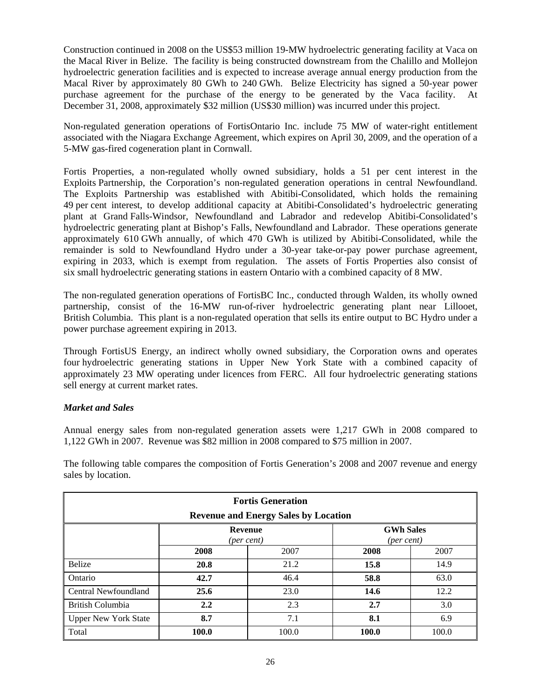Construction continued in 2008 on the US\$53 million 19-MW hydroelectric generating facility at Vaca on the Macal River in Belize. The facility is being constructed downstream from the Chalillo and Mollejon hydroelectric generation facilities and is expected to increase average annual energy production from the Macal River by approximately 80 GWh to 240 GWh. Belize Electricity has signed a 50-year power purchase agreement for the purchase of the energy to be generated by the Vaca facility. At December 31, 2008, approximately \$32 million (US\$30 million) was incurred under this project.

Non-regulated generation operations of FortisOntario Inc. include 75 MW of water-right entitlement associated with the Niagara Exchange Agreement, which expires on April 30, 2009, and the operation of a 5-MW gas-fired cogeneration plant in Cornwall.

Fortis Properties, a non-regulated wholly owned subsidiary, holds a 51 per cent interest in the Exploits Partnership, the Corporation's non-regulated generation operations in central Newfoundland. The Exploits Partnership was established with Abitibi-Consolidated, which holds the remaining 49 per cent interest, to develop additional capacity at Abitibi-Consolidated's hydroelectric generating plant at Grand Falls-Windsor, Newfoundland and Labrador and redevelop Abitibi-Consolidated's hydroelectric generating plant at Bishop's Falls, Newfoundland and Labrador. These operations generate approximately 610 GWh annually, of which 470 GWh is utilized by Abitibi-Consolidated, while the remainder is sold to Newfoundland Hydro under a 30-year take-or-pay power purchase agreement, expiring in 2033, which is exempt from regulation. The assets of Fortis Properties also consist of six small hydroelectric generating stations in eastern Ontario with a combined capacity of 8 MW.

The non-regulated generation operations of FortisBC Inc., conducted through Walden, its wholly owned partnership, consist of the 16-MW run-of-river hydroelectric generating plant near Lillooet, British Columbia. This plant is a non-regulated operation that sells its entire output to BC Hydro under a power purchase agreement expiring in 2013.

Through FortisUS Energy, an indirect wholly owned subsidiary, the Corporation owns and operates four hydroelectric generating stations in Upper New York State with a combined capacity of approximately 23 MW operating under licences from FERC. All four hydroelectric generating stations sell energy at current market rates.

## *Market and Sales*

Annual energy sales from non-regulated generation assets were 1,217 GWh in 2008 compared to 1,122 GWh in 2007. Revenue was \$82 million in 2008 compared to \$75 million in 2007.

The following table compares the composition of Fortis Generation's 2008 and 2007 revenue and energy sales by location.

| <b>Fortis Generation</b>                                                                                               |       |       |       |       |  |  |
|------------------------------------------------------------------------------------------------------------------------|-------|-------|-------|-------|--|--|
| <b>Revenue and Energy Sales by Location</b><br><b>GWh Sales</b><br><b>Revenue</b><br>(per cent)<br>$(\text{per cent})$ |       |       |       |       |  |  |
| 2007<br>2007<br>2008<br>2008                                                                                           |       |       |       |       |  |  |
| <b>Belize</b>                                                                                                          | 20.8  | 21.2  | 15.8  | 14.9  |  |  |
| Ontario                                                                                                                | 42.7  | 46.4  | 58.8  | 63.0  |  |  |
| Central Newfoundland                                                                                                   | 25.6  | 23.0  | 14.6  | 12.2  |  |  |
| British Columbia                                                                                                       | 2.2   | 2.3   | 2.7   | 3.0   |  |  |
| 8.7<br>8.1<br>7.1<br><b>Upper New York State</b><br>6.9                                                                |       |       |       |       |  |  |
| Total                                                                                                                  | 100.0 | 100.0 | 100.0 | 100.0 |  |  |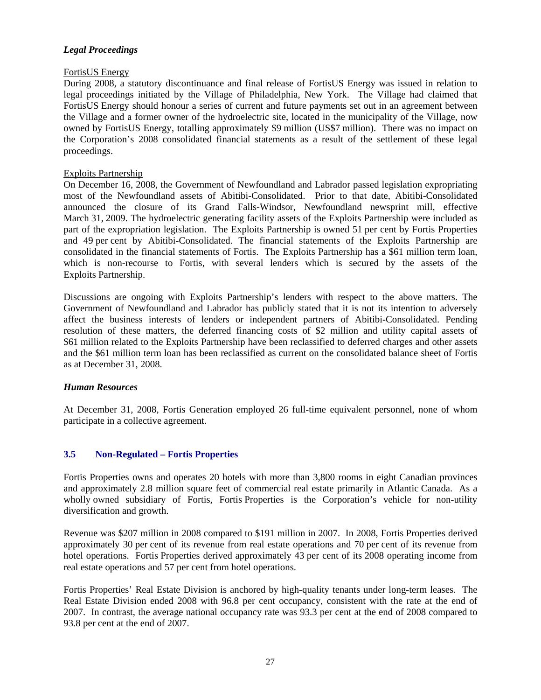#### *Legal Proceedings*

#### FortisUS Energy

During 2008, a statutory discontinuance and final release of FortisUS Energy was issued in relation to legal proceedings initiated by the Village of Philadelphia, New York. The Village had claimed that FortisUS Energy should honour a series of current and future payments set out in an agreement between the Village and a former owner of the hydroelectric site, located in the municipality of the Village, now owned by FortisUS Energy, totalling approximately \$9 million (US\$7 million). There was no impact on the Corporation's 2008 consolidated financial statements as a result of the settlement of these legal proceedings.

#### Exploits Partnership

On December 16, 2008, the Government of Newfoundland and Labrador passed legislation expropriating most of the Newfoundland assets of Abitibi-Consolidated. Prior to that date, Abitibi-Consolidated announced the closure of its Grand Falls-Windsor, Newfoundland newsprint mill, effective March 31, 2009. The hydroelectric generating facility assets of the Exploits Partnership were included as part of the expropriation legislation. The Exploits Partnership is owned 51 per cent by Fortis Properties and 49 per cent by Abitibi-Consolidated. The financial statements of the Exploits Partnership are consolidated in the financial statements of Fortis. The Exploits Partnership has a \$61 million term loan, which is non-recourse to Fortis, with several lenders which is secured by the assets of the Exploits Partnership.

Discussions are ongoing with Exploits Partnership's lenders with respect to the above matters. The Government of Newfoundland and Labrador has publicly stated that it is not its intention to adversely affect the business interests of lenders or independent partners of Abitibi-Consolidated. Pending resolution of these matters, the deferred financing costs of \$2 million and utility capital assets of \$61 million related to the Exploits Partnership have been reclassified to deferred charges and other assets and the \$61 million term loan has been reclassified as current on the consolidated balance sheet of Fortis as at December 31, 2008.

### *Human Resources*

At December 31, 2008, Fortis Generation employed 26 full-time equivalent personnel, none of whom participate in a collective agreement.

### **3.5 Non-Regulated – Fortis Properties**

Fortis Properties owns and operates 20 hotels with more than 3,800 rooms in eight Canadian provinces and approximately 2.8 million square feet of commercial real estate primarily in Atlantic Canada. As a wholly owned subsidiary of Fortis, Fortis Properties is the Corporation's vehicle for non-utility diversification and growth.

Revenue was \$207 million in 2008 compared to \$191 million in 2007. In 2008, Fortis Properties derived approximately 30 per cent of its revenue from real estate operations and 70 per cent of its revenue from hotel operations. Fortis Properties derived approximately 43 per cent of its 2008 operating income from real estate operations and 57 per cent from hotel operations.

Fortis Properties' Real Estate Division is anchored by high-quality tenants under long-term leases. The Real Estate Division ended 2008 with 96.8 per cent occupancy, consistent with the rate at the end of 2007. In contrast, the average national occupancy rate was 93.3 per cent at the end of 2008 compared to 93.8 per cent at the end of 2007.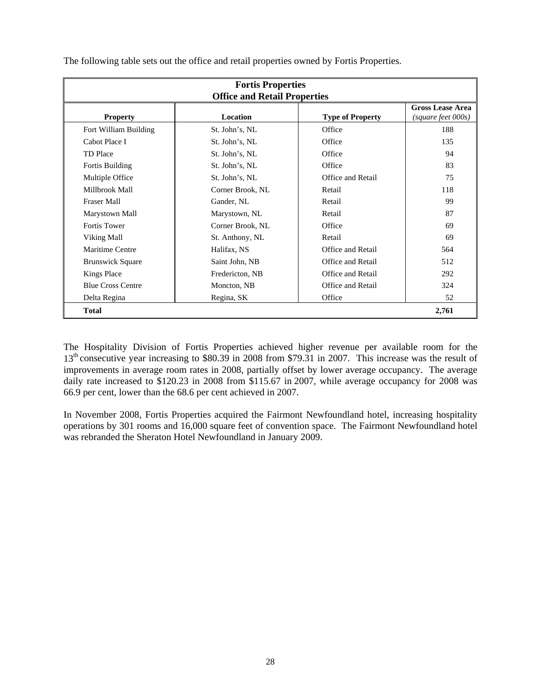|                          | <b>Fortis Properties</b>            |                          |                                               |  |
|--------------------------|-------------------------------------|--------------------------|-----------------------------------------------|--|
|                          | <b>Office and Retail Properties</b> |                          |                                               |  |
| <b>Property</b>          | <b>Location</b>                     | <b>Type of Property</b>  | <b>Gross Lease Area</b><br>(square feet 000s) |  |
| Fort William Building    | St. John's, NL                      | Office                   | 188                                           |  |
| Cabot Place I            | St. John's, NL                      | Office                   | 135                                           |  |
| <b>TD</b> Place          | St. John's, NL                      | Office                   | 94                                            |  |
| Fortis Building          | St. John's, NL                      | Office                   | 83                                            |  |
| Multiple Office          | St. John's, NL                      | Office and Retail        | 75                                            |  |
| Millbrook Mall           | Corner Brook, NL                    | Retail                   | 118                                           |  |
| <b>Fraser Mall</b>       | Gander, NL                          | Retail                   | 99                                            |  |
| Marystown Mall           | Marystown, NL                       | Retail                   | 87                                            |  |
| <b>Fortis Tower</b>      | Corner Brook, NL                    | Office                   | 69                                            |  |
| Viking Mall              | St. Anthony, NL                     | Retail                   | 69                                            |  |
| Maritime Centre          | Halifax, NS                         | Office and Retail        | 564                                           |  |
| <b>Brunswick Square</b>  | Saint John, NB                      | Office and Retail        | 512                                           |  |
| <b>Kings Place</b>       | Fredericton, NB                     | Office and Retail        | 292                                           |  |
| <b>Blue Cross Centre</b> | Moncton, NB                         | <b>Office and Retail</b> | 324                                           |  |
| Delta Regina             | Regina, SK                          | Office                   | 52                                            |  |
| 2,761<br><b>Total</b>    |                                     |                          |                                               |  |

The following table sets out the office and retail properties owned by Fortis Properties.

The Hospitality Division of Fortis Properties achieved higher revenue per available room for the 13<sup>th</sup> consecutive year increasing to \$80.39 in 2008 from \$79.31 in 2007. This increase was the result of improvements in average room rates in 2008, partially offset by lower average occupancy. The average daily rate increased to \$120.23 in 2008 from \$115.67 in 2007, while average occupancy for 2008 was 66.9 per cent, lower than the 68.6 per cent achieved in 2007.

In November 2008, Fortis Properties acquired the Fairmont Newfoundland hotel, increasing hospitality operations by 301 rooms and 16,000 square feet of convention space. The Fairmont Newfoundland hotel was rebranded the Sheraton Hotel Newfoundland in January 2009.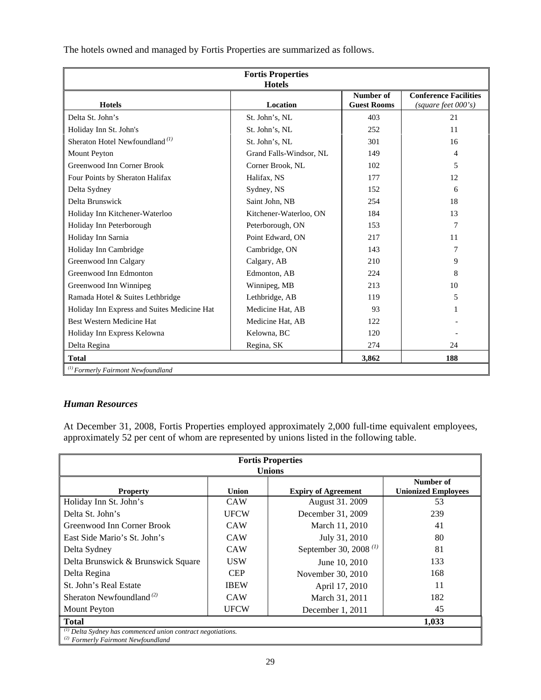| <b>Fortis Properties</b><br><b>Hotels</b>     |                         |                                 |                                                     |  |
|-----------------------------------------------|-------------------------|---------------------------------|-----------------------------------------------------|--|
| <b>Hotels</b>                                 | Location                | Number of<br><b>Guest Rooms</b> | <b>Conference Facilities</b><br>(square feet 000's) |  |
| Delta St. John's                              | St. John's, NL          | 403                             | 21                                                  |  |
| Holiday Inn St. John's                        | St. John's, NL          | 252                             | 11                                                  |  |
| Sheraton Hotel Newfoundland <sup>(1)</sup>    | St. John's, NL          | 301                             | 16                                                  |  |
| <b>Mount Peyton</b>                           | Grand Falls-Windsor, NL | 149                             | 4                                                   |  |
| Greenwood Inn Corner Brook                    | Corner Brook, NL        | 102                             | 5                                                   |  |
| Four Points by Sheraton Halifax               | Halifax, NS             | 177                             | 12                                                  |  |
| Delta Sydney                                  | Sydney, NS              | 152                             | 6                                                   |  |
| Delta Brunswick                               | Saint John, NB          | 254                             | 18                                                  |  |
| Holiday Inn Kitchener-Waterloo                | Kitchener-Waterloo, ON  | 184                             | 13                                                  |  |
| Holiday Inn Peterborough                      | Peterborough, ON        | 153                             | 7                                                   |  |
| Holiday Inn Sarnia                            | Point Edward, ON        | 217                             | 11                                                  |  |
| Holiday Inn Cambridge                         | Cambridge, ON           | 143                             | 7                                                   |  |
| Greenwood Inn Calgary                         | Calgary, AB             | 210                             | 9                                                   |  |
| Greenwood Inn Edmonton                        | Edmonton, AB            | 224                             | 8                                                   |  |
| Greenwood Inn Winnipeg                        | Winnipeg, MB            | 213                             | 10                                                  |  |
| Ramada Hotel & Suites Lethbridge              | Lethbridge, AB          | 119                             | 5                                                   |  |
| Holiday Inn Express and Suites Medicine Hat   | Medicine Hat, AB        | 93                              |                                                     |  |
| Best Western Medicine Hat                     | Medicine Hat, AB        | 122                             |                                                     |  |
| Holiday Inn Express Kelowna                   | Kelowna, BC             | 120                             |                                                     |  |
| Delta Regina                                  | Regina, SK              | 274                             | 24                                                  |  |
| <b>Total</b>                                  |                         | 3,862                           | 188                                                 |  |
| <sup>(1)</sup> Formerly Fairmont Newfoundland |                         |                                 |                                                     |  |

The hotels owned and managed by Fortis Properties are summarized as follows.

## *Human Resources*

At December 31, 2008, Fortis Properties employed approximately 2,000 full-time equivalent employees, approximately 52 per cent of whom are represented by unions listed in the following table.

| <b>Fortis Properties</b><br><b>Unions</b>                                                                      |             |                             |     |  |  |
|----------------------------------------------------------------------------------------------------------------|-------------|-----------------------------|-----|--|--|
| Number of<br><b>Unionized Employees</b><br><b>Union</b><br><b>Expiry of Agreement</b><br><b>Property</b>       |             |                             |     |  |  |
| Holiday Inn St. John's                                                                                         | <b>CAW</b>  | August 31. 2009             | 53  |  |  |
| Delta St. John's                                                                                               | <b>UFCW</b> | December 31, 2009           | 239 |  |  |
| Greenwood Inn Corner Brook                                                                                     | <b>CAW</b>  | March 11, 2010              | 41  |  |  |
| East Side Mario's St. John's                                                                                   | <b>CAW</b>  | July 31, 2010               | 80  |  |  |
| Delta Sydney                                                                                                   | <b>CAW</b>  | September 30, 2008 $^{(1)}$ | 81  |  |  |
| Delta Brunswick & Brunswick Square                                                                             | <b>USW</b>  | June 10, 2010               | 133 |  |  |
| Delta Regina                                                                                                   | <b>CEP</b>  | November 30, 2010           | 168 |  |  |
| St. John's Real Estate                                                                                         | <b>IBEW</b> | April 17, 2010              | 11  |  |  |
| Sheraton Newfoundland <sup>(2)</sup>                                                                           | <b>CAW</b>  | March 31, 2011              | 182 |  |  |
| <b>Mount Peyton</b>                                                                                            | <b>UFCW</b> | December 1, 2011            | 45  |  |  |
| <b>Total</b><br>1,033                                                                                          |             |                             |     |  |  |
| $(1)$ Delta Sydney has commenced union contract negotiations.<br><sup>(2)</sup> Formerly Fairmont Newfoundland |             |                             |     |  |  |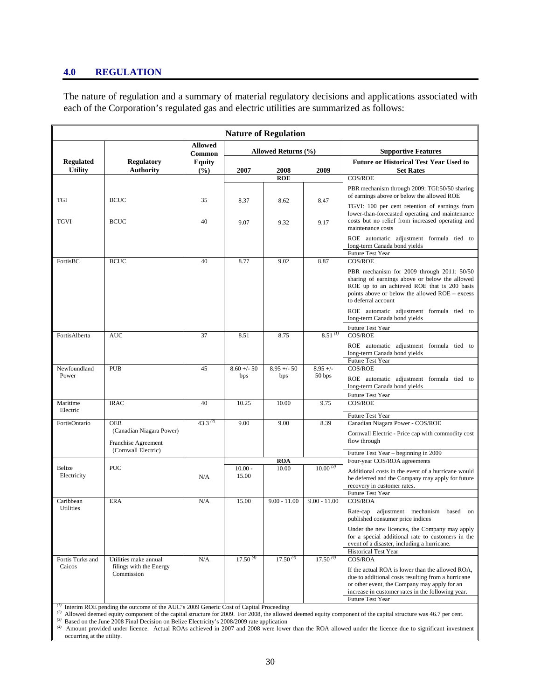#### **4.0 REGULATION**

The nature of regulation and a summary of material regulatory decisions and applications associated with each of the Corporation's regulated gas and electric utilities are summarized as follows:

| <b>Nature of Regulation</b> |                                                                                            |                          |                     |                     |                |                                                                                                                                                                                                                                 |
|-----------------------------|--------------------------------------------------------------------------------------------|--------------------------|---------------------|---------------------|----------------|---------------------------------------------------------------------------------------------------------------------------------------------------------------------------------------------------------------------------------|
|                             |                                                                                            | <b>Allowed</b><br>Common | Allowed Returns (%) |                     |                | <b>Supportive Features</b>                                                                                                                                                                                                      |
| <b>Regulated</b>            | <b>Regulatory</b>                                                                          | <b>Equity</b>            |                     |                     |                | <b>Future or Historical Test Year Used to</b>                                                                                                                                                                                   |
| <b>Utility</b>              | <b>Authority</b>                                                                           | (%)                      | 2007                | 2008                | 2009           | <b>Set Rates</b>                                                                                                                                                                                                                |
|                             |                                                                                            |                          |                     | <b>ROE</b>          |                | COS/ROE                                                                                                                                                                                                                         |
| TGI                         | <b>BCUC</b>                                                                                | 35                       | 8.37                | 8.62                | 8.47           | PBR mechanism through 2009: TGI:50/50 sharing<br>of earnings above or below the allowed ROE                                                                                                                                     |
|                             |                                                                                            |                          |                     |                     |                | TGVI: 100 per cent retention of earnings from                                                                                                                                                                                   |
| <b>TGVI</b>                 | <b>BCUC</b>                                                                                | 40                       | 9.07                | 9.32                | 9.17           | lower-than-forecasted operating and maintenance<br>costs but no relief from increased operating and<br>maintenance costs                                                                                                        |
|                             |                                                                                            |                          |                     |                     |                | ROE automatic adjustment formula tied to<br>long-term Canada bond yields<br>Future Test Year                                                                                                                                    |
| FortisBC                    | <b>BCUC</b>                                                                                | 40                       | 8.77                | 9.02                | 8.87           | COS/ROE                                                                                                                                                                                                                         |
|                             |                                                                                            |                          |                     |                     |                | PBR mechanism for 2009 through 2011: 50/50<br>sharing of earnings above or below the allowed<br>ROE up to an achieved ROE that is 200 basis<br>points above or below the allowed ROE – excess<br>to deferral account            |
|                             |                                                                                            |                          |                     |                     |                | ROE automatic adjustment formula tied to<br>long-term Canada bond yields                                                                                                                                                        |
| FortisAlberta               | <b>AUC</b>                                                                                 | 37                       | 8.51                | 8.75                | $8.51^{(1)}$   | Future Test Year<br><b>COS/ROE</b>                                                                                                                                                                                              |
|                             |                                                                                            |                          |                     |                     |                | ROE automatic adjustment formula tied to<br>long-term Canada bond yields<br>Future Test Year                                                                                                                                    |
| Newfoundland                | <b>PUB</b>                                                                                 | 45                       | $8.60 + - 50$       | $8.95 +/- 50$       | $8.95 +/-$     | <b>COS/ROE</b>                                                                                                                                                                                                                  |
| Power                       |                                                                                            |                          | bps                 | bps                 | 50 bps         | ROE automatic adjustment formula tied to<br>long-term Canada bond yields                                                                                                                                                        |
|                             |                                                                                            | 40                       |                     |                     |                | Future Test Year                                                                                                                                                                                                                |
| Maritime<br>Electric        | <b>IRAC</b>                                                                                |                          | 10.25               | 10.00               | 9.75           | COS/ROE                                                                                                                                                                                                                         |
| FortisOntario               | <b>OEB</b>                                                                                 | 43.3 $(2)$               | 9.00                | 9.00                | 8.39           | Future Test Year<br>Canadian Niagara Power - COS/ROE                                                                                                                                                                            |
|                             | (Canadian Niagara Power)                                                                   |                          |                     |                     |                | Cornwall Electric - Price cap with commodity cost                                                                                                                                                                               |
|                             | Franchise Agreement                                                                        |                          |                     |                     |                | flow through                                                                                                                                                                                                                    |
|                             | (Cornwall Electric)                                                                        |                          |                     |                     |                | Future Test Year - beginning in 2009                                                                                                                                                                                            |
| Belize                      | <b>PUC</b>                                                                                 |                          | $10.00 -$           | <b>ROA</b><br>10.00 | $10.00^{(3)}$  | Four-year COS/ROA agreements                                                                                                                                                                                                    |
| Electricity                 |                                                                                            | N/A                      | 15.00               |                     |                | Additional costs in the event of a hurricane would<br>be deferred and the Company may apply for future<br>recovery in customer rates.<br>Future Test Year                                                                       |
| Caribbean<br>Utilities      | <b>ERA</b>                                                                                 | N/A                      | 15.00               | $9.00 - 11.00$      | $9.00 - 11.00$ | COS/ROA                                                                                                                                                                                                                         |
|                             |                                                                                            |                          |                     |                     |                | Rate-cap adjustment mechanism based on<br>published consumer price indices                                                                                                                                                      |
|                             |                                                                                            |                          |                     |                     |                | Under the new licences, the Company may apply<br>for a special additional rate to customers in the<br>event of a disaster, including a hurricane.                                                                               |
| Fortis Turks and            | Utilities make annual                                                                      | N/A                      | $17.50^{(4)}$       | $17.50^{(4)}$       | $17.50^{(4)}$  | Historical Test Year<br>COS/ROA                                                                                                                                                                                                 |
| Caicos                      | filings with the Energy<br>Commission                                                      |                          |                     |                     |                | If the actual ROA is lower than the allowed ROA,<br>due to additional costs resulting from a hurricane<br>or other event, the Company may apply for an<br>increase in customer rates in the following year.<br>Future Test Year |
|                             | $\mu$ Interim ROE pending the outcome of the AUC's 2009 Generic Cost of Capital Proceeding |                          |                     |                     |                |                                                                                                                                                                                                                                 |

*(2)* Allowed deemed equity component of the capital structure for 2009. For 2008, the allowed deemed equity component of the capital structure was 46.7 per cent. *(3)* Based on the June 2008 Final Decision on Belize Electricity's 2008/2009 rate application

*(4)* Amount provided under licence. Actual ROAs achieved in 2007 and 2008 were lower than the ROA allowed under the licence due to significant investment occurring at the utility.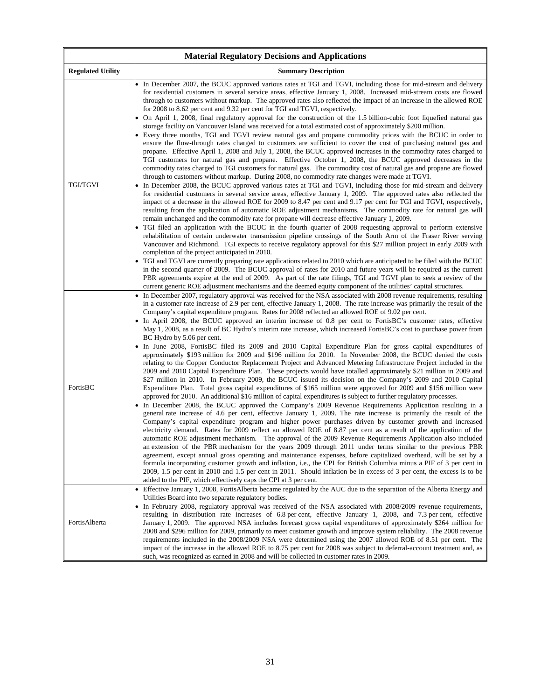| <b>Material Regulatory Decisions and Applications</b> |                                                                                                                                                                                                                                                                                                                                                                                                                                                                                                                                                                                                                                                                                                                                                                                                                                                                                                                                                                                                                                                                                                                                                                                                                                                                                                                                                                                                                                                                                                                                                                                                                                                                                                                                                                                                                                                                                                                                                                                                                                                                                                                                                                                                                                                                                                                                                                                                                                                                                                                                                                                                                                                                                                                                                        |  |  |  |
|-------------------------------------------------------|--------------------------------------------------------------------------------------------------------------------------------------------------------------------------------------------------------------------------------------------------------------------------------------------------------------------------------------------------------------------------------------------------------------------------------------------------------------------------------------------------------------------------------------------------------------------------------------------------------------------------------------------------------------------------------------------------------------------------------------------------------------------------------------------------------------------------------------------------------------------------------------------------------------------------------------------------------------------------------------------------------------------------------------------------------------------------------------------------------------------------------------------------------------------------------------------------------------------------------------------------------------------------------------------------------------------------------------------------------------------------------------------------------------------------------------------------------------------------------------------------------------------------------------------------------------------------------------------------------------------------------------------------------------------------------------------------------------------------------------------------------------------------------------------------------------------------------------------------------------------------------------------------------------------------------------------------------------------------------------------------------------------------------------------------------------------------------------------------------------------------------------------------------------------------------------------------------------------------------------------------------------------------------------------------------------------------------------------------------------------------------------------------------------------------------------------------------------------------------------------------------------------------------------------------------------------------------------------------------------------------------------------------------------------------------------------------------------------------------------------------------|--|--|--|
| <b>Regulated Utility</b>                              | <b>Summary Description</b>                                                                                                                                                                                                                                                                                                                                                                                                                                                                                                                                                                                                                                                                                                                                                                                                                                                                                                                                                                                                                                                                                                                                                                                                                                                                                                                                                                                                                                                                                                                                                                                                                                                                                                                                                                                                                                                                                                                                                                                                                                                                                                                                                                                                                                                                                                                                                                                                                                                                                                                                                                                                                                                                                                                             |  |  |  |
| TGI/TGVI                                              | In December 2007, the BCUC approved various rates at TGI and TGVI, including those for mid-stream and delivery<br>for residential customers in several service areas, effective January 1, 2008. Increased mid-stream costs are flowed<br>through to customers without markup. The approved rates also reflected the impact of an increase in the allowed ROE<br>for 2008 to 8.62 per cent and 9.32 per cent for TGI and TGVI, respectively.<br>On April 1, 2008, final regulatory approval for the construction of the 1.5 billion-cubic foot liquefied natural gas<br>storage facility on Vancouver Island was received for a total estimated cost of approximately \$200 million.<br>Every three months, TGI and TGVI review natural gas and propane commodity prices with the BCUC in order to<br>ensure the flow-through rates charged to customers are sufficient to cover the cost of purchasing natural gas and<br>propane. Effective April 1, 2008 and July 1, 2008, the BCUC approved increases in the commodity rates charged to<br>TGI customers for natural gas and propane. Effective October 1, 2008, the BCUC approved decreases in the<br>commodity rates charged to TGI customers for natural gas. The commodity cost of natural gas and propane are flowed<br>through to customers without markup. During 2008, no commodity rate changes were made at TGVI.<br>In December 2008, the BCUC approved various rates at TGI and TGVI, including those for mid-stream and delivery<br>for residential customers in several service areas, effective January 1, 2009. The approved rates also reflected the<br>impact of a decrease in the allowed ROE for 2009 to 8.47 per cent and 9.17 per cent for TGI and TGVI, respectively,<br>resulting from the application of automatic ROE adjustment mechanisms. The commodity rate for natural gas will<br>remain unchanged and the commodity rate for propane will decrease effective January 1, 2009.<br>TGI filed an application with the BCUC in the fourth quarter of 2008 requesting approval to perform extensive<br>rehabilitation of certain underwater transmission pipeline crossings of the South Arm of the Fraser River serving<br>Vancouver and Richmond. TGI expects to receive regulatory approval for this \$27 million project in early 2009 with<br>completion of the project anticipated in 2010.<br>TGI and TGVI are currently preparing rate applications related to 2010 which are anticipated to be filed with the BCUC<br>in the second quarter of 2009. The BCUC approval of rates for 2010 and future years will be required as the current<br>PBR agreements expire at the end of 2009. As part of the rate filings, TGI and TGVI plan to seek a review of the |  |  |  |
| FortisBC                                              | current generic ROE adjustment mechanisms and the deemed equity component of the utilities' capital structures.<br>In December 2007, regulatory approval was received for the NSA associated with 2008 revenue requirements, resulting<br>in a customer rate increase of 2.9 per cent, effective January 1, 2008. The rate increase was primarily the result of the<br>Company's capital expenditure program. Rates for 2008 reflected an allowed ROE of 9.02 per cent.<br>In April 2008, the BCUC approved an interim increase of 0.8 per cent to FortisBC's customer rates, effective<br>May 1, 2008, as a result of BC Hydro's interim rate increase, which increased FortisBC's cost to purchase power from<br>BC Hydro by 5.06 per cent.<br>In June 2008, FortisBC filed its 2009 and 2010 Capital Expenditure Plan for gross capital expenditures of<br>approximately \$193 million for 2009 and \$196 million for 2010. In November 2008, the BCUC denied the costs<br>relating to the Copper Conductor Replacement Project and Advanced Metering Infrastructure Project included in the<br>2009 and 2010 Capital Expenditure Plan. These projects would have totalled approximately \$21 million in 2009 and<br>\$27 million in 2010. In February 2009, the BCUC issued its decision on the Company's 2009 and 2010 Capital<br>Expenditure Plan. Total gross capital expenditures of \$165 million were approved for 2009 and \$156 million were<br>approved for 2010. An additional \$16 million of capital expenditures is subject to further regulatory processes.<br>In December 2008, the BCUC approved the Company's 2009 Revenue Requirements Application resulting in a<br>general rate increase of 4.6 per cent, effective January 1, 2009. The rate increase is primarily the result of the<br>Company's capital expenditure program and higher power purchases driven by customer growth and increased<br>electricity demand. Rates for 2009 reflect an allowed ROE of 8.87 per cent as a result of the application of the<br>automatic ROE adjustment mechanism. The approval of the 2009 Revenue Requirements Application also included<br>an extension of the PBR mechanism for the years 2009 through 2011 under terms similar to the previous PBR<br>agreement, except annual gross operating and maintenance expenses, before capitalized overhead, will be set by a<br>formula incorporating customer growth and inflation, i.e., the CPI for British Columbia minus a PIF of 3 per cent in<br>2009, 1.5 per cent in 2010 and 1.5 per cent in 2011. Should inflation be in excess of 3 per cent, the excess is to be<br>added to the PIF, which effectively caps the CPI at 3 per cent.                                      |  |  |  |
| FortisAlberta                                         | Effective January 1, 2008, FortisAlberta became regulated by the AUC due to the separation of the Alberta Energy and<br>Utilities Board into two separate regulatory bodies.<br>In February 2008, regulatory approval was received of the NSA associated with 2008/2009 revenue requirements,<br>resulting in distribution rate increases of 6.8 per cent, effective January 1, 2008, and 7.3 per cent, effective<br>January 1, 2009. The approved NSA includes forecast gross capital expenditures of approximately \$264 million for<br>2008 and \$296 million for 2009, primarily to meet customer growth and improve system reliability. The 2008 revenue<br>requirements included in the 2008/2009 NSA were determined using the 2007 allowed ROE of 8.51 per cent. The<br>impact of the increase in the allowed ROE to 8.75 per cent for 2008 was subject to deferral-account treatment and, as<br>such, was recognized as earned in 2008 and will be collected in customer rates in 2009.                                                                                                                                                                                                                                                                                                                                                                                                                                                                                                                                                                                                                                                                                                                                                                                                                                                                                                                                                                                                                                                                                                                                                                                                                                                                                                                                                                                                                                                                                                                                                                                                                                                                                                                                                       |  |  |  |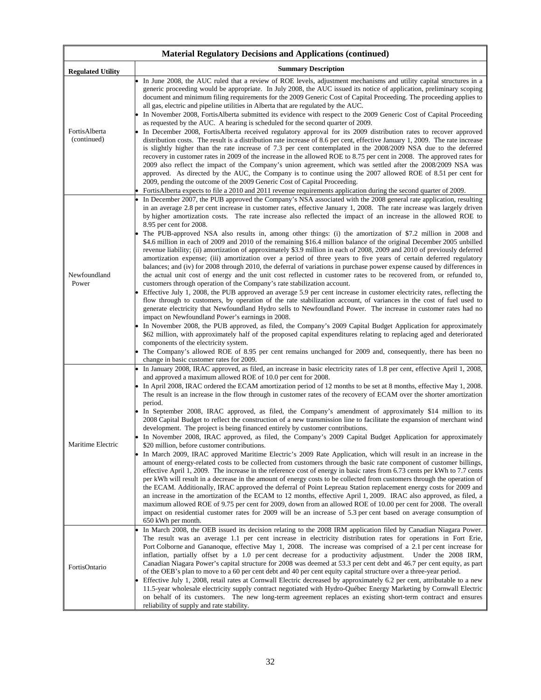| <b>Material Regulatory Decisions and Applications (continued)</b> |                                                                                                                                                                                                                                                                                                                                                                                                                                                                                                                                                                                                                                                                                                                                                                                                                                                                                                                                                                                                                                                                                                                                                                                                                                                                                                                                                                                                                                                                                                                                                                                                                                                                                                                                                                                                                                                                                                                                                                                                                                                                                         |  |  |  |
|-------------------------------------------------------------------|-----------------------------------------------------------------------------------------------------------------------------------------------------------------------------------------------------------------------------------------------------------------------------------------------------------------------------------------------------------------------------------------------------------------------------------------------------------------------------------------------------------------------------------------------------------------------------------------------------------------------------------------------------------------------------------------------------------------------------------------------------------------------------------------------------------------------------------------------------------------------------------------------------------------------------------------------------------------------------------------------------------------------------------------------------------------------------------------------------------------------------------------------------------------------------------------------------------------------------------------------------------------------------------------------------------------------------------------------------------------------------------------------------------------------------------------------------------------------------------------------------------------------------------------------------------------------------------------------------------------------------------------------------------------------------------------------------------------------------------------------------------------------------------------------------------------------------------------------------------------------------------------------------------------------------------------------------------------------------------------------------------------------------------------------------------------------------------------|--|--|--|
| <b>Regulated Utility</b>                                          | <b>Summary Description</b>                                                                                                                                                                                                                                                                                                                                                                                                                                                                                                                                                                                                                                                                                                                                                                                                                                                                                                                                                                                                                                                                                                                                                                                                                                                                                                                                                                                                                                                                                                                                                                                                                                                                                                                                                                                                                                                                                                                                                                                                                                                              |  |  |  |
| FortisAlberta<br>(continued)                                      | In June 2008, the AUC ruled that a review of ROE levels, adjustment mechanisms and utility capital structures in a<br>generic proceeding would be appropriate. In July 2008, the AUC issued its notice of application, preliminary scoping<br>document and minimum filing requirements for the 2009 Generic Cost of Capital Proceeding. The proceeding applies to<br>all gas, electric and pipeline utilities in Alberta that are regulated by the AUC.<br>In November 2008, FortisAlberta submitted its evidence with respect to the 2009 Generic Cost of Capital Proceeding<br>as requested by the AUC. A hearing is scheduled for the second quarter of 2009.<br>In December 2008, FortisAlberta received regulatory approval for its 2009 distribution rates to recover approved<br>distribution costs. The result is a distribution rate increase of 8.6 per cent, effective January 1, 2009. The rate increase<br>is slightly higher than the rate increase of 7.3 per cent contemplated in the 2008/2009 NSA due to the deferred<br>recovery in customer rates in 2009 of the increase in the allowed ROE to 8.75 per cent in 2008. The approved rates for<br>2009 also reflect the impact of the Company's union agreement, which was settled after the 2008/2009 NSA was<br>approved. As directed by the AUC, the Company is to continue using the 2007 allowed ROE of 8.51 per cent for<br>2009, pending the outcome of the 2009 Generic Cost of Capital Proceeding.<br>FortisAlberta expects to file a 2010 and 2011 revenue requirements application during the second quarter of 2009.                                                                                                                                                                                                                                                                                                                                                                                                                                                                                     |  |  |  |
| Newfoundland<br>Power                                             | In December 2007, the PUB approved the Company's NSA associated with the 2008 general rate application, resulting<br>in an average 2.8 per cent increase in customer rates, effective January 1, 2008. The rate increase was largely driven<br>by higher amortization costs. The rate increase also reflected the impact of an increase in the allowed ROE to<br>8.95 per cent for 2008.<br>The PUB-approved NSA also results in, among other things: (i) the amortization of \$7.2 million in 2008 and<br>\$4.6 million in each of 2009 and 2010 of the remaining \$16.4 million balance of the original December 2005 unbilled<br>revenue liability; (ii) amortization of approximately \$3.9 million in each of 2008, 2009 and 2010 of previously deferred<br>amortization expense; (iii) amortization over a period of three years to five years of certain deferred regulatory<br>balances; and (iv) for 2008 through 2010, the deferral of variations in purchase power expense caused by differences in<br>the actual unit cost of energy and the unit cost reflected in customer rates to be recovered from, or refunded to,<br>customers through operation of the Company's rate stabilization account.<br>Effective July 1, 2008, the PUB approved an average 5.9 per cent increase in customer electricity rates, reflecting the<br>flow through to customers, by operation of the rate stabilization account, of variances in the cost of fuel used to<br>generate electricity that Newfoundland Hydro sells to Newfoundland Power. The increase in customer rates had no<br>impact on Newfoundland Power's earnings in 2008.<br>In November 2008, the PUB approved, as filed, the Company's 2009 Capital Budget Application for approximately<br>\$62 million, with approximately half of the proposed capital expenditures relating to replacing aged and deteriorated<br>components of the electricity system.<br>The Company's allowed ROE of 8.95 per cent remains unchanged for 2009 and, consequently, there has been no<br>change in basic customer rates for 2009. |  |  |  |
| Maritime Electric                                                 | In January 2008, IRAC approved, as filed, an increase in basic electricity rates of 1.8 per cent, effective April 1, 2008,<br>and approved a maximum allowed ROE of 10.0 per cent for 2008.<br>In April 2008, IRAC ordered the ECAM amortization period of 12 months to be set at 8 months, effective May 1, 2008.<br>The result is an increase in the flow through in customer rates of the recovery of ECAM over the shorter amortization<br>period.<br>In September 2008, IRAC approved, as filed, the Company's amendment of approximately \$14 million to its<br>2008 Capital Budget to reflect the construction of a new transmission line to facilitate the expansion of merchant wind<br>development. The project is being financed entirely by customer contributions.<br>In November 2008, IRAC approved, as filed, the Company's 2009 Capital Budget Application for approximately<br>\$20 million, before customer contributions.<br>In March 2009, IRAC approved Maritime Electric's 2009 Rate Application, which will result in an increase in the<br>amount of energy-related costs to be collected from customers through the basic rate component of customer billings,<br>effective April 1, 2009. The increase in the reference cost of energy in basic rates from 6.73 cents per kWh to 7.7 cents<br>per kWh will result in a decrease in the amount of energy costs to be collected from customers through the operation of<br>the ECAM. Additionally, IRAC approved the deferral of Point Lepreau Station replacement energy costs for 2009 and<br>an increase in the amortization of the ECAM to 12 months, effective April 1, 2009. IRAC also approved, as filed, a<br>maximum allowed ROE of 9.75 per cent for 2009, down from an allowed ROE of 10.00 per cent for 2008. The overall<br>impact on residential customer rates for 2009 will be an increase of 5.3 per cent based on average consumption of<br>650 kWh per month.                                                                                                                               |  |  |  |
| FortisOntario                                                     | In March 2008, the OEB issued its decision relating to the 2008 IRM application filed by Canadian Niagara Power.<br>The result was an average 1.1 per cent increase in electricity distribution rates for operations in Fort Erie,<br>Port Colborne and Gananoque, effective May 1, 2008. The increase was comprised of a 2.1 per cent increase for<br>inflation, partially offset by a 1.0 per cent decrease for a productivity adjustment. Under the 2008 IRM,<br>Canadian Niagara Power's capital structure for 2008 was deemed at 53.3 per cent debt and 46.7 per cent equity, as part<br>of the OEB's plan to move to a 60 per cent debt and 40 per cent equity capital structure over a three-year period.<br>Effective July 1, 2008, retail rates at Cornwall Electric decreased by approximately 6.2 per cent, attributable to a new<br>11.5-year wholesale electricity supply contract negotiated with Hydro-Québec Energy Marketing by Cornwall Electric<br>on behalf of its customers. The new long-term agreement replaces an existing short-term contract and ensures<br>reliability of supply and rate stability.                                                                                                                                                                                                                                                                                                                                                                                                                                                                                                                                                                                                                                                                                                                                                                                                                                                                                                                                                         |  |  |  |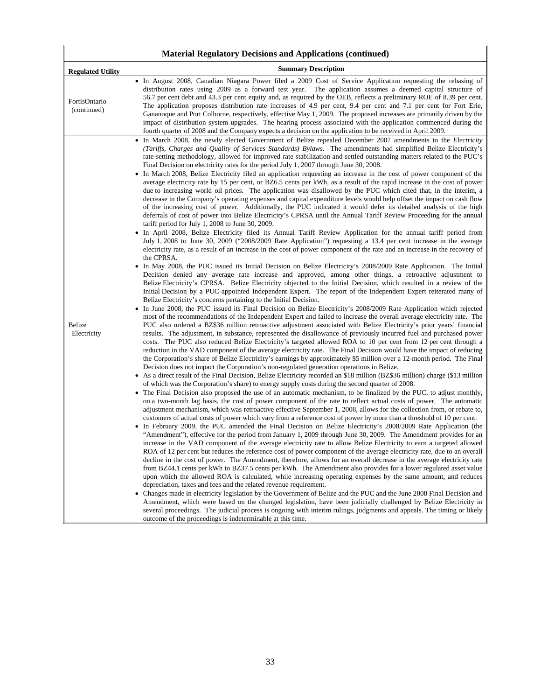| <b>Material Regulatory Decisions and Applications (continued)</b> |                                                                                                                                                                                                                                                                                                                                                                                                                                                                                                                                                                                                                                                                                                                                                                                                                                                                                                                                                                                                                                                                                                                                                                                                                                                                                                                                                                                                                                                                                                                                                                                                                                                                                                                                                                                                                                                                                                                                                                                                                                                                                                                                                                                                                                                                                                                                                                                                                                                                                                                                                                                                                                                                                                                                                                                                                                                                                                                                                                                                                                                                                                                                                                                                                                                                                                                                                                                                                                                                                                                                                                                                                                                                                                                                                                                                                                                                                                                                                                                                                                                                                                                                                                                                                                                                                                                                                                                                                                                                                                                                                                                                                                                                                                                                                                                                                                                                                                                                                                                                                                                                                                                                                                                                                                                 |  |  |  |
|-------------------------------------------------------------------|-------------------------------------------------------------------------------------------------------------------------------------------------------------------------------------------------------------------------------------------------------------------------------------------------------------------------------------------------------------------------------------------------------------------------------------------------------------------------------------------------------------------------------------------------------------------------------------------------------------------------------------------------------------------------------------------------------------------------------------------------------------------------------------------------------------------------------------------------------------------------------------------------------------------------------------------------------------------------------------------------------------------------------------------------------------------------------------------------------------------------------------------------------------------------------------------------------------------------------------------------------------------------------------------------------------------------------------------------------------------------------------------------------------------------------------------------------------------------------------------------------------------------------------------------------------------------------------------------------------------------------------------------------------------------------------------------------------------------------------------------------------------------------------------------------------------------------------------------------------------------------------------------------------------------------------------------------------------------------------------------------------------------------------------------------------------------------------------------------------------------------------------------------------------------------------------------------------------------------------------------------------------------------------------------------------------------------------------------------------------------------------------------------------------------------------------------------------------------------------------------------------------------------------------------------------------------------------------------------------------------------------------------------------------------------------------------------------------------------------------------------------------------------------------------------------------------------------------------------------------------------------------------------------------------------------------------------------------------------------------------------------------------------------------------------------------------------------------------------------------------------------------------------------------------------------------------------------------------------------------------------------------------------------------------------------------------------------------------------------------------------------------------------------------------------------------------------------------------------------------------------------------------------------------------------------------------------------------------------------------------------------------------------------------------------------------------------------------------------------------------------------------------------------------------------------------------------------------------------------------------------------------------------------------------------------------------------------------------------------------------------------------------------------------------------------------------------------------------------------------------------------------------------------------------------------------------------------------------------------------------------------------------------------------------------------------------------------------------------------------------------------------------------------------------------------------------------------------------------------------------------------------------------------------------------------------------------------------------------------------------------------------------------------------------------------------------------------------------------------------------------------------------------------------------------------------------------------------------------------------------------------------------------------------------------------------------------------------------------------------------------------------------------------------------------------------------------------------------------------------------------------------------------------------------------------------------------------------------------------------------|--|--|--|
| <b>Regulated Utility</b>                                          | <b>Summary Description</b>                                                                                                                                                                                                                                                                                                                                                                                                                                                                                                                                                                                                                                                                                                                                                                                                                                                                                                                                                                                                                                                                                                                                                                                                                                                                                                                                                                                                                                                                                                                                                                                                                                                                                                                                                                                                                                                                                                                                                                                                                                                                                                                                                                                                                                                                                                                                                                                                                                                                                                                                                                                                                                                                                                                                                                                                                                                                                                                                                                                                                                                                                                                                                                                                                                                                                                                                                                                                                                                                                                                                                                                                                                                                                                                                                                                                                                                                                                                                                                                                                                                                                                                                                                                                                                                                                                                                                                                                                                                                                                                                                                                                                                                                                                                                                                                                                                                                                                                                                                                                                                                                                                                                                                                                                      |  |  |  |
| FortisOntario<br>(continued)                                      | In August 2008, Canadian Niagara Power filed a 2009 Cost of Service Application requesting the rebasing of<br>distribution rates using 2009 as a forward test year. The application assumes a deemed capital structure of<br>56.7 per cent debt and 43.3 per cent equity and, as required by the OEB, reflects a preliminary ROE of 8.39 per cent.<br>The application proposes distribution rate increases of 4.9 per cent, 9.4 per cent and 7.1 per cent for Fort Erie,<br>Gananoque and Port Colborne, respectively, effective May 1, 2009. The proposed increases are primarily driven by the<br>impact of distribution system upgrades. The hearing process associated with the application commenced during the<br>fourth quarter of 2008 and the Company expects a decision on the application to be received in April 2009.                                                                                                                                                                                                                                                                                                                                                                                                                                                                                                                                                                                                                                                                                                                                                                                                                                                                                                                                                                                                                                                                                                                                                                                                                                                                                                                                                                                                                                                                                                                                                                                                                                                                                                                                                                                                                                                                                                                                                                                                                                                                                                                                                                                                                                                                                                                                                                                                                                                                                                                                                                                                                                                                                                                                                                                                                                                                                                                                                                                                                                                                                                                                                                                                                                                                                                                                                                                                                                                                                                                                                                                                                                                                                                                                                                                                                                                                                                                                                                                                                                                                                                                                                                                                                                                                                                                                                                                                              |  |  |  |
| Belize<br>Electricity                                             | In March 2008, the newly elected Government of Belize repealed December 2007 amendments to the Electricity<br>(Tariffs, Charges and Quality of Services Standards) Bylaws. The amendments had simplified Belize Electricity's<br>rate-setting methodology, allowed for improved rate stabilization and settled outstanding matters related to the PUC's<br>Final Decision on electricity rates for the period July 1, 2007 through June 30, 2008.<br>In March 2008, Belize Electricity filed an application requesting an increase in the cost of power component of the<br>average electricity rate by 15 per cent, or BZ6.5 cents per kWh, as a result of the rapid increase in the cost of power<br>due to increasing world oil prices. The application was disallowed by the PUC which cited that, in the interim, a<br>decrease in the Company's operating expenses and capital expenditure levels would help offset the impact on cash flow<br>of the increasing cost of power. Additionally, the PUC indicated it would defer its detailed analysis of the high<br>deferrals of cost of power into Belize Electricity's CPRSA until the Annual Tariff Review Proceeding for the annual<br>tariff period for July 1, 2008 to June 30, 2009.<br>In April 2008, Belize Electricity filed its Annual Tariff Review Application for the annual tariff period from<br>July 1, 2008 to June 30, 2009 ("2008/2009 Rate Application") requesting a 13.4 per cent increase in the average<br>electricity rate, as a result of an increase in the cost of power component of the rate and an increase in the recovery of<br>the CPRSA.<br>In May 2008, the PUC issued its Initial Decision on Belize Electricity's 2008/2009 Rate Application. The Initial<br>Decision denied any average rate increase and approved, among other things, a retroactive adjustment to<br>Belize Electricity's CPRSA. Belize Electricity objected to the Initial Decision, which resulted in a review of the<br>Initial Decision by a PUC-appointed Independent Expert. The report of the Independent Expert reiterated many of<br>Belize Electricity's concerns pertaining to the Initial Decision.<br>In June 2008, the PUC issued its Final Decision on Belize Electricity's 2008/2009 Rate Application which rejected<br>most of the recommendations of the Independent Expert and failed to increase the overall average electricity rate. The<br>PUC also ordered a BZ\$36 million retroactive adjustment associated with Belize Electricity's prior years' financial<br>results. The adjustment, in substance, represented the disallowance of previously incurred fuel and purchased power<br>costs. The PUC also reduced Belize Electricity's targeted allowed ROA to 10 per cent from 12 per cent through a<br>reduction in the VAD component of the average electricity rate. The Final Decision would have the impact of reducing<br>the Corporation's share of Belize Electricity's earnings by approximately \$5 million over a 12-month period. The Final<br>Decision does not impact the Corporation's non-regulated generation operations in Belize.<br>As a direct result of the Final Decision, Belize Electricity recorded an \$18 million (BZ\$36 million) charge (\$13 million<br>of which was the Corporation's share) to energy supply costs during the second quarter of 2008.<br>The Final Decision also proposed the use of an automatic mechanism, to be finalized by the PUC, to adjust monthly,<br>on a two-month lag basis, the cost of power component of the rate to reflect actual costs of power. The automatic<br>adjustment mechanism, which was retroactive effective September 1, 2008, allows for the collection from, or rebate to,<br>customers of actual costs of power which vary from a reference cost of power by more than a threshold of 10 per cent.<br>In February 2009, the PUC amended the Final Decision on Belize Electricity's 2008/2009 Rate Application (the<br>"Amendment"), effective for the period from January 1, 2009 through June 30, 2009. The Amendment provides for an<br>increase in the VAD component of the average electricity rate to allow Belize Electricity to earn a targeted allowed<br>ROA of 12 per cent but reduces the reference cost of power component of the average electricity rate, due to an overall<br>decline in the cost of power. The Amendment, therefore, allows for an overall decrease in the average electricity rate<br>from BZ44.1 cents per kWh to BZ37.5 cents per kWh. The Amendment also provides for a lower regulated asset value<br>upon which the allowed ROA is calculated, while increasing operating expenses by the same amount, and reduces<br>depreciation, taxes and fees and the related revenue requirement.<br>Changes made in electricity legislation by the Government of Belize and the PUC and the June 2008 Final Decision and<br>Amendment, which were based on the changed legislation, have been judicially challenged by Belize Electricity in<br>several proceedings. The judicial process is ongoing with interim rulings, judgments and appeals. The timing or likely<br>outcome of the proceedings is indeterminable at this time. |  |  |  |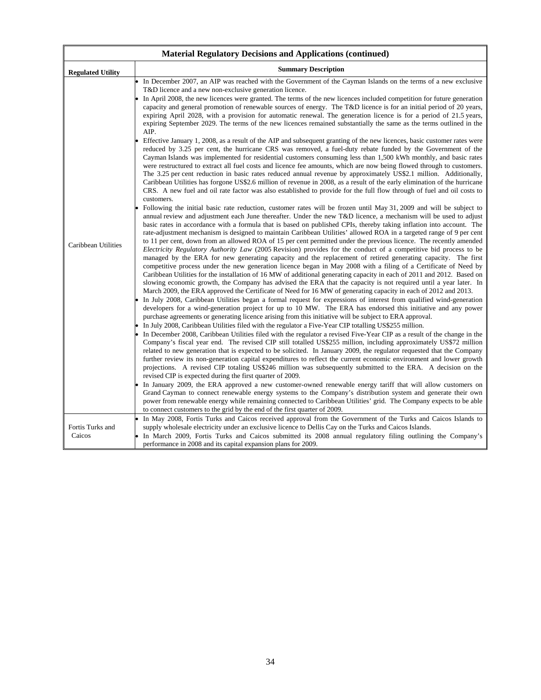| <b>Material Regulatory Decisions and Applications (continued)</b> |                                                                                                                                                                                                                                                                                                                                                                                                                                                                                                                                                                                                                                                                                                                                                                                                                                                                                                                                                                                                                                                                                                                                                                                                                                                                                                                                                                                                                                                                                                                                                                                                                                                                                                                                                                                                                                                                                                                                                                                                                                                                                                                                                                                                                                                                                                                                                                                                                                                                                                                                                                                                                                                                                                                                                                                                                                                                                                                                                                                                                                                                                                                                                                                                                                                                                                                                                                                                                                                                                                                                                                                                                                                                                                                                                                                                                                                                                                                                                                                                                                                                                                                                                                                                                                                                                                                                                                                                                                                                                               |  |  |  |
|-------------------------------------------------------------------|-----------------------------------------------------------------------------------------------------------------------------------------------------------------------------------------------------------------------------------------------------------------------------------------------------------------------------------------------------------------------------------------------------------------------------------------------------------------------------------------------------------------------------------------------------------------------------------------------------------------------------------------------------------------------------------------------------------------------------------------------------------------------------------------------------------------------------------------------------------------------------------------------------------------------------------------------------------------------------------------------------------------------------------------------------------------------------------------------------------------------------------------------------------------------------------------------------------------------------------------------------------------------------------------------------------------------------------------------------------------------------------------------------------------------------------------------------------------------------------------------------------------------------------------------------------------------------------------------------------------------------------------------------------------------------------------------------------------------------------------------------------------------------------------------------------------------------------------------------------------------------------------------------------------------------------------------------------------------------------------------------------------------------------------------------------------------------------------------------------------------------------------------------------------------------------------------------------------------------------------------------------------------------------------------------------------------------------------------------------------------------------------------------------------------------------------------------------------------------------------------------------------------------------------------------------------------------------------------------------------------------------------------------------------------------------------------------------------------------------------------------------------------------------------------------------------------------------------------------------------------------------------------------------------------------------------------------------------------------------------------------------------------------------------------------------------------------------------------------------------------------------------------------------------------------------------------------------------------------------------------------------------------------------------------------------------------------------------------------------------------------------------------------------------------------------------------------------------------------------------------------------------------------------------------------------------------------------------------------------------------------------------------------------------------------------------------------------------------------------------------------------------------------------------------------------------------------------------------------------------------------------------------------------------------------------------------------------------------------------------------------------------------------------------------------------------------------------------------------------------------------------------------------------------------------------------------------------------------------------------------------------------------------------------------------------------------------------------------------------------------------------------------------------------------------------------------------------------------------------------------|--|--|--|
| <b>Regulated Utility</b>                                          | <b>Summary Description</b>                                                                                                                                                                                                                                                                                                                                                                                                                                                                                                                                                                                                                                                                                                                                                                                                                                                                                                                                                                                                                                                                                                                                                                                                                                                                                                                                                                                                                                                                                                                                                                                                                                                                                                                                                                                                                                                                                                                                                                                                                                                                                                                                                                                                                                                                                                                                                                                                                                                                                                                                                                                                                                                                                                                                                                                                                                                                                                                                                                                                                                                                                                                                                                                                                                                                                                                                                                                                                                                                                                                                                                                                                                                                                                                                                                                                                                                                                                                                                                                                                                                                                                                                                                                                                                                                                                                                                                                                                                                                    |  |  |  |
| Caribbean Utilities                                               | In December 2007, an AIP was reached with the Government of the Cayman Islands on the terms of a new exclusive<br>T&D licence and a new non-exclusive generation licence.<br>In April 2008, the new licences were granted. The terms of the new licences included competition for future generation<br>capacity and general promotion of renewable sources of energy. The T&D licence is for an initial period of 20 years,<br>expiring April 2028, with a provision for automatic renewal. The generation licence is for a period of 21.5 years,<br>expiring September 2029. The terms of the new licences remained substantially the same as the terms outlined in the<br>AIP.<br>Effective January 1, 2008, as a result of the AIP and subsequent granting of the new licences, basic customer rates were<br>reduced by 3.25 per cent, the hurricane CRS was removed, a fuel-duty rebate funded by the Government of the<br>Cayman Islands was implemented for residential customers consuming less than 1,500 kWh monthly, and basic rates<br>were restructured to extract all fuel costs and licence fee amounts, which are now being flowed through to customers.<br>The 3.25 per cent reduction in basic rates reduced annual revenue by approximately US\$2.1 million. Additionally,<br>Caribbean Utilities has forgone US\$2.6 million of revenue in 2008, as a result of the early elimination of the hurricane<br>CRS. A new fuel and oil rate factor was also established to provide for the full flow through of fuel and oil costs to<br>customers.<br>Following the initial basic rate reduction, customer rates will be frozen until May 31, 2009 and will be subject to<br>annual review and adjustment each June thereafter. Under the new T&D licence, a mechanism will be used to adjust<br>basic rates in accordance with a formula that is based on published CPIs, thereby taking inflation into account. The<br>rate-adjustment mechanism is designed to maintain Caribbean Utilities' allowed ROA in a targeted range of 9 per cent<br>to 11 per cent, down from an allowed ROA of 15 per cent permitted under the previous licence. The recently amended<br><i>Electricity Regulatory Authority Law (2005 Revision) provides for the conduct of a competitive bid process to be</i><br>managed by the ERA for new generating capacity and the replacement of retired generating capacity. The first<br>competitive process under the new generation licence began in May 2008 with a filing of a Certificate of Need by<br>Caribbean Utilities for the installation of 16 MW of additional generating capacity in each of 2011 and 2012. Based on<br>slowing economic growth, the Company has advised the ERA that the capacity is not required until a year later. In<br>March 2009, the ERA approved the Certificate of Need for 16 MW of generating capacity in each of 2012 and 2013.<br>In July 2008, Caribbean Utilities began a formal request for expressions of interest from qualified wind-generation<br>developers for a wind-generation project for up to 10 MW. The ERA has endorsed this initiative and any power<br>purchase agreements or generating licence arising from this initiative will be subject to ERA approval.<br>In July 2008, Caribbean Utilities filed with the regulator a Five-Year CIP totalling US\$255 million.<br>In December 2008, Caribbean Utilities filed with the regulator a revised Five-Year CIP as a result of the change in the<br>Company's fiscal year end. The revised CIP still totalled US\$255 million, including approximately US\$72 million<br>related to new generation that is expected to be solicited. In January 2009, the regulator requested that the Company<br>further review its non-generation capital expenditures to reflect the current economic environment and lower growth<br>projections. A revised CIP totaling US\$246 million was subsequently submitted to the ERA. A decision on the<br>revised CIP is expected during the first quarter of 2009.<br>In January 2009, the ERA approved a new customer-owned renewable energy tariff that will allow customers on<br>Grand Cayman to connect renewable energy systems to the Company's distribution system and generate their own<br>power from renewable energy while remaining connected to Caribbean Utilities' grid. The Company expects to be able<br>to connect customers to the grid by the end of the first quarter of 2009. |  |  |  |
| Fortis Turks and<br>Caicos                                        | In May 2008, Fortis Turks and Caicos received approval from the Government of the Turks and Caicos Islands to<br>supply wholesale electricity under an exclusive licence to Dellis Cay on the Turks and Caicos Islands.<br>In March 2009, Fortis Turks and Caicos submitted its 2008 annual regulatory filing outlining the Company's                                                                                                                                                                                                                                                                                                                                                                                                                                                                                                                                                                                                                                                                                                                                                                                                                                                                                                                                                                                                                                                                                                                                                                                                                                                                                                                                                                                                                                                                                                                                                                                                                                                                                                                                                                                                                                                                                                                                                                                                                                                                                                                                                                                                                                                                                                                                                                                                                                                                                                                                                                                                                                                                                                                                                                                                                                                                                                                                                                                                                                                                                                                                                                                                                                                                                                                                                                                                                                                                                                                                                                                                                                                                                                                                                                                                                                                                                                                                                                                                                                                                                                                                                         |  |  |  |
|                                                                   | performance in 2008 and its capital expansion plans for 2009.                                                                                                                                                                                                                                                                                                                                                                                                                                                                                                                                                                                                                                                                                                                                                                                                                                                                                                                                                                                                                                                                                                                                                                                                                                                                                                                                                                                                                                                                                                                                                                                                                                                                                                                                                                                                                                                                                                                                                                                                                                                                                                                                                                                                                                                                                                                                                                                                                                                                                                                                                                                                                                                                                                                                                                                                                                                                                                                                                                                                                                                                                                                                                                                                                                                                                                                                                                                                                                                                                                                                                                                                                                                                                                                                                                                                                                                                                                                                                                                                                                                                                                                                                                                                                                                                                                                                                                                                                                 |  |  |  |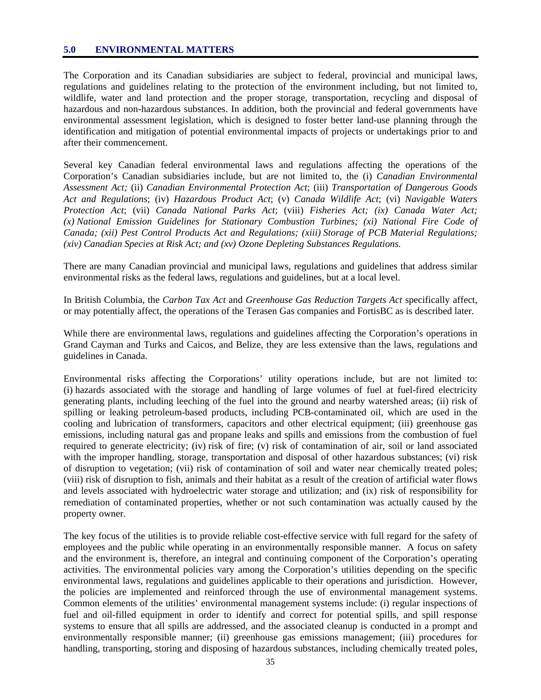#### **5.0 ENVIRONMENTAL MATTERS**

The Corporation and its Canadian subsidiaries are subject to federal, provincial and municipal laws, regulations and guidelines relating to the protection of the environment including, but not limited to, wildlife, water and land protection and the proper storage, transportation, recycling and disposal of hazardous and non-hazardous substances. In addition, both the provincial and federal governments have environmental assessment legislation, which is designed to foster better land-use planning through the identification and mitigation of potential environmental impacts of projects or undertakings prior to and after their commencement.

Several key Canadian federal environmental laws and regulations affecting the operations of the Corporation's Canadian subsidiaries include, but are not limited to, the (i) *Canadian Environmental Assessment Act;* (ii) *Canadian Environmental Protection Act*; (iii) *Transportation of Dangerous Goods Act and Regulations*; (iv) *Hazardous Product Act*; (v) *Canada Wildlife Act*; (vi) *Navigable Waters Protection Act*; (vii) *Canada National Parks Act*; (viii) *Fisheries Act; (ix) Canada Water Act; (x) National Emission Guidelines for Stationary Combustion Turbines; (xi) National Fire Code of Canada; (xii) Pest Control Products Act and Regulations; (xiii) Storage of PCB Material Regulations; (xiv) Canadian Species at Risk Act; and (xv) Ozone Depleting Substances Regulations.* 

There are many Canadian provincial and municipal laws, regulations and guidelines that address similar environmental risks as the federal laws, regulations and guidelines, but at a local level.

In British Columbia, the *Carbon Tax Act* and *Greenhouse Gas Reduction Targets Act* specifically affect, or may potentially affect, the operations of the Terasen Gas companies and FortisBC as is described later.

While there are environmental laws, regulations and guidelines affecting the Corporation's operations in Grand Cayman and Turks and Caicos, and Belize, they are less extensive than the laws, regulations and guidelines in Canada.

Environmental risks affecting the Corporations' utility operations include, but are not limited to: (i) hazards associated with the storage and handling of large volumes of fuel at fuel-fired electricity generating plants, including leeching of the fuel into the ground and nearby watershed areas; (ii) risk of spilling or leaking petroleum-based products, including PCB-contaminated oil, which are used in the cooling and lubrication of transformers, capacitors and other electrical equipment; (iii) greenhouse gas emissions, including natural gas and propane leaks and spills and emissions from the combustion of fuel required to generate electricity; (iv) risk of fire; (v) risk of contamination of air, soil or land associated with the improper handling, storage, transportation and disposal of other hazardous substances; (vi) risk of disruption to vegetation; (vii) risk of contamination of soil and water near chemically treated poles; (viii) risk of disruption to fish, animals and their habitat as a result of the creation of artificial water flows and levels associated with hydroelectric water storage and utilization; and (ix) risk of responsibility for remediation of contaminated properties, whether or not such contamination was actually caused by the property owner.

The key focus of the utilities is to provide reliable cost-effective service with full regard for the safety of employees and the public while operating in an environmentally responsible manner. A focus on safety and the environment is, therefore, an integral and continuing component of the Corporation's operating activities. The environmental policies vary among the Corporation's utilities depending on the specific environmental laws, regulations and guidelines applicable to their operations and jurisdiction. However, the policies are implemented and reinforced through the use of environmental management systems. Common elements of the utilities' environmental management systems include: (i) regular inspections of fuel and oil-filled equipment in order to identify and correct for potential spills, and spill response systems to ensure that all spills are addressed, and the associated cleanup is conducted in a prompt and environmentally responsible manner; (ii) greenhouse gas emissions management; (iii) procedures for handling, transporting, storing and disposing of hazardous substances, including chemically treated poles,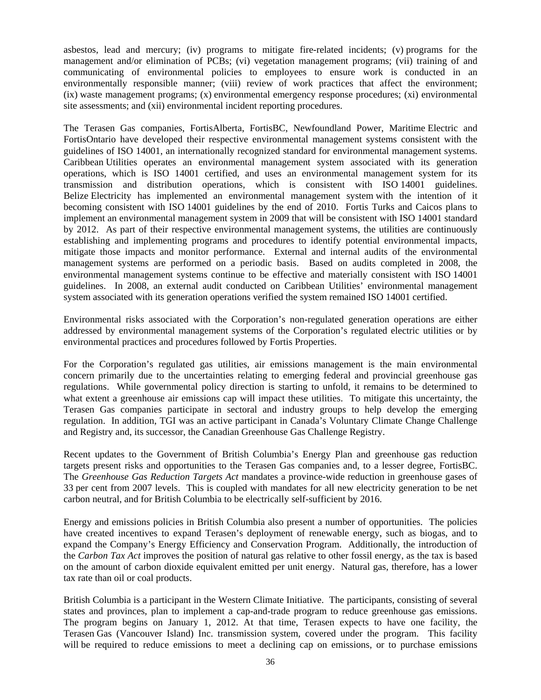asbestos, lead and mercury; (iv) programs to mitigate fire-related incidents; (v) programs for the management and/or elimination of PCBs; (vi) vegetation management programs; (vii) training of and communicating of environmental policies to employees to ensure work is conducted in an environmentally responsible manner; (viii) review of work practices that affect the environment; (ix) waste management programs; (x) environmental emergency response procedures; (xi) environmental site assessments; and (xii) environmental incident reporting procedures.

The Terasen Gas companies, FortisAlberta, FortisBC, Newfoundland Power, Maritime Electric and FortisOntario have developed their respective environmental management systems consistent with the guidelines of ISO 14001, an internationally recognized standard for environmental management systems. Caribbean Utilities operates an environmental management system associated with its generation operations, which is ISO 14001 certified, and uses an environmental management system for its transmission and distribution operations, which is consistent with ISO 14001 guidelines. Belize Electricity has implemented an environmental management system with the intention of it becoming consistent with ISO 14001 guidelines by the end of 2010. Fortis Turks and Caicos plans to implement an environmental management system in 2009 that will be consistent with ISO 14001 standard by 2012. As part of their respective environmental management systems, the utilities are continuously establishing and implementing programs and procedures to identify potential environmental impacts, mitigate those impacts and monitor performance. External and internal audits of the environmental management systems are performed on a periodic basis. Based on audits completed in 2008, the environmental management systems continue to be effective and materially consistent with ISO 14001 guidelines. In 2008, an external audit conducted on Caribbean Utilities' environmental management system associated with its generation operations verified the system remained ISO 14001 certified.

Environmental risks associated with the Corporation's non-regulated generation operations are either addressed by environmental management systems of the Corporation's regulated electric utilities or by environmental practices and procedures followed by Fortis Properties.

For the Corporation's regulated gas utilities, air emissions management is the main environmental concern primarily due to the uncertainties relating to emerging federal and provincial greenhouse gas regulations. While governmental policy direction is starting to unfold, it remains to be determined to what extent a greenhouse air emissions cap will impact these utilities. To mitigate this uncertainty, the Terasen Gas companies participate in sectoral and industry groups to help develop the emerging regulation. In addition, TGI was an active participant in Canada's Voluntary Climate Change Challenge and Registry and, its successor, the Canadian Greenhouse Gas Challenge Registry.

Recent updates to the Government of British Columbia's Energy Plan and greenhouse gas reduction targets present risks and opportunities to the Terasen Gas companies and, to a lesser degree, FortisBC. The *Greenhouse Gas Reduction Targets Act* mandates a province-wide reduction in greenhouse gases of 33 per cent from 2007 levels. This is coupled with mandates for all new electricity generation to be net carbon neutral, and for British Columbia to be electrically self-sufficient by 2016.

Energy and emissions policies in British Columbia also present a number of opportunities. The policies have created incentives to expand Terasen's deployment of renewable energy, such as biogas, and to expand the Company's Energy Efficiency and Conservation Program. Additionally, the introduction of the *Carbon Tax Act* improves the position of natural gas relative to other fossil energy, as the tax is based on the amount of carbon dioxide equivalent emitted per unit energy. Natural gas, therefore, has a lower tax rate than oil or coal products.

British Columbia is a participant in the Western Climate Initiative. The participants, consisting of several states and provinces, plan to implement a cap-and-trade program to reduce greenhouse gas emissions. The program begins on January 1, 2012. At that time, Terasen expects to have one facility, the Terasen Gas (Vancouver Island) Inc. transmission system, covered under the program. This facility will be required to reduce emissions to meet a declining cap on emissions, or to purchase emissions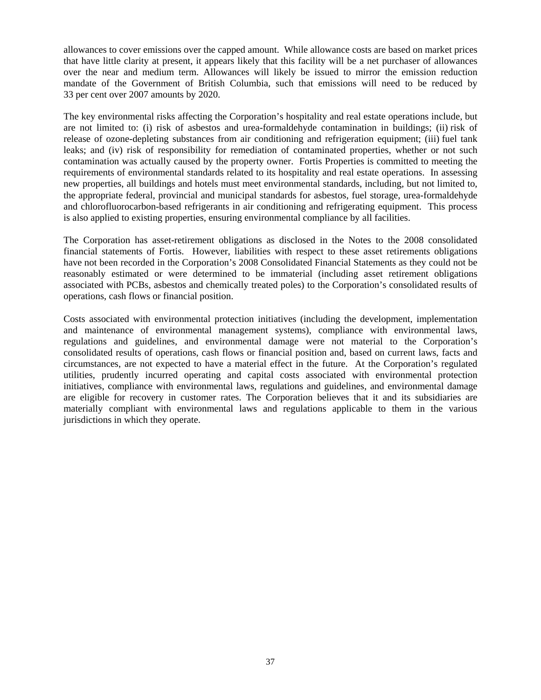allowances to cover emissions over the capped amount. While allowance costs are based on market prices that have little clarity at present, it appears likely that this facility will be a net purchaser of allowances over the near and medium term. Allowances will likely be issued to mirror the emission reduction mandate of the Government of British Columbia, such that emissions will need to be reduced by 33 per cent over 2007 amounts by 2020.

The key environmental risks affecting the Corporation's hospitality and real estate operations include, but are not limited to: (i) risk of asbestos and urea-formaldehyde contamination in buildings; (ii) risk of release of ozone-depleting substances from air conditioning and refrigeration equipment; (iii) fuel tank leaks; and (iv) risk of responsibility for remediation of contaminated properties, whether or not such contamination was actually caused by the property owner. Fortis Properties is committed to meeting the requirements of environmental standards related to its hospitality and real estate operations. In assessing new properties, all buildings and hotels must meet environmental standards, including, but not limited to, the appropriate federal, provincial and municipal standards for asbestos, fuel storage, urea-formaldehyde and chlorofluorocarbon-based refrigerants in air conditioning and refrigerating equipment. This process is also applied to existing properties, ensuring environmental compliance by all facilities.

The Corporation has asset-retirement obligations as disclosed in the Notes to the 2008 consolidated financial statements of Fortis. However, liabilities with respect to these asset retirements obligations have not been recorded in the Corporation's 2008 Consolidated Financial Statements as they could not be reasonably estimated or were determined to be immaterial (including asset retirement obligations associated with PCBs, asbestos and chemically treated poles) to the Corporation's consolidated results of operations, cash flows or financial position.

Costs associated with environmental protection initiatives (including the development, implementation and maintenance of environmental management systems), compliance with environmental laws, regulations and guidelines, and environmental damage were not material to the Corporation's consolidated results of operations, cash flows or financial position and, based on current laws, facts and circumstances, are not expected to have a material effect in the future. At the Corporation's regulated utilities, prudently incurred operating and capital costs associated with environmental protection initiatives, compliance with environmental laws, regulations and guidelines, and environmental damage are eligible for recovery in customer rates. The Corporation believes that it and its subsidiaries are materially compliant with environmental laws and regulations applicable to them in the various jurisdictions in which they operate.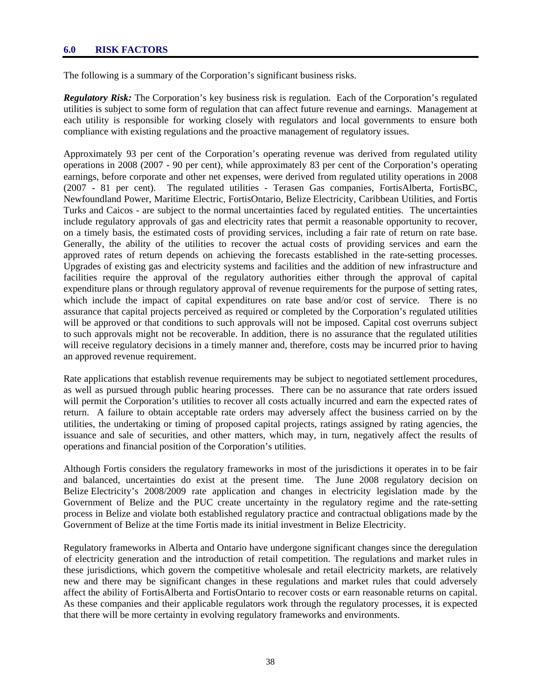#### **6.0 RISK FACTORS**

The following is a summary of the Corporation's significant business risks.

*Regulatory Risk:* The Corporation's key business risk is regulation. Each of the Corporation's regulated utilities is subject to some form of regulation that can affect future revenue and earnings. Management at each utility is responsible for working closely with regulators and local governments to ensure both compliance with existing regulations and the proactive management of regulatory issues.

Approximately 93 per cent of the Corporation's operating revenue was derived from regulated utility operations in 2008 (2007 - 90 per cent), while approximately 83 per cent of the Corporation's operating earnings, before corporate and other net expenses, were derived from regulated utility operations in 2008 (2007 - 81 per cent). The regulated utilities - Terasen Gas companies, FortisAlberta, FortisBC, Newfoundland Power, Maritime Electric, FortisOntario, Belize Electricity, Caribbean Utilities, and Fortis Turks and Caicos - are subject to the normal uncertainties faced by regulated entities. The uncertainties include regulatory approvals of gas and electricity rates that permit a reasonable opportunity to recover, on a timely basis, the estimated costs of providing services, including a fair rate of return on rate base. Generally, the ability of the utilities to recover the actual costs of providing services and earn the approved rates of return depends on achieving the forecasts established in the rate-setting processes. Upgrades of existing gas and electricity systems and facilities and the addition of new infrastructure and facilities require the approval of the regulatory authorities either through the approval of capital expenditure plans or through regulatory approval of revenue requirements for the purpose of setting rates, which include the impact of capital expenditures on rate base and/or cost of service. There is no assurance that capital projects perceived as required or completed by the Corporation's regulated utilities will be approved or that conditions to such approvals will not be imposed. Capital cost overruns subject to such approvals might not be recoverable. In addition, there is no assurance that the regulated utilities will receive regulatory decisions in a timely manner and, therefore, costs may be incurred prior to having an approved revenue requirement.

Rate applications that establish revenue requirements may be subject to negotiated settlement procedures, as well as pursued through public hearing processes. There can be no assurance that rate orders issued will permit the Corporation's utilities to recover all costs actually incurred and earn the expected rates of return. A failure to obtain acceptable rate orders may adversely affect the business carried on by the utilities, the undertaking or timing of proposed capital projects, ratings assigned by rating agencies, the issuance and sale of securities, and other matters, which may, in turn, negatively affect the results of operations and financial position of the Corporation's utilities.

Although Fortis considers the regulatory frameworks in most of the jurisdictions it operates in to be fair and balanced, uncertainties do exist at the present time. The June 2008 regulatory decision on Belize Electricity's 2008/2009 rate application and changes in electricity legislation made by the Government of Belize and the PUC create uncertainty in the regulatory regime and the rate-setting process in Belize and violate both established regulatory practice and contractual obligations made by the Government of Belize at the time Fortis made its initial investment in Belize Electricity.

Regulatory frameworks in Alberta and Ontario have undergone significant changes since the deregulation of electricity generation and the introduction of retail competition. The regulations and market rules in these jurisdictions, which govern the competitive wholesale and retail electricity markets, are relatively new and there may be significant changes in these regulations and market rules that could adversely affect the ability of FortisAlberta and FortisOntario to recover costs or earn reasonable returns on capital. As these companies and their applicable regulators work through the regulatory processes, it is expected that there will be more certainty in evolving regulatory frameworks and environments.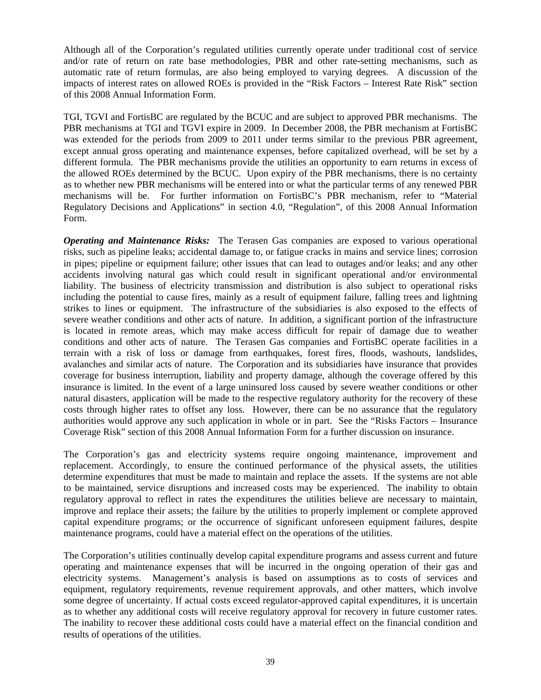Although all of the Corporation's regulated utilities currently operate under traditional cost of service and/or rate of return on rate base methodologies, PBR and other rate-setting mechanisms, such as automatic rate of return formulas, are also being employed to varying degrees. A discussion of the impacts of interest rates on allowed ROEs is provided in the "Risk Factors – Interest Rate Risk" section of this 2008 Annual Information Form.

TGI, TGVI and FortisBC are regulated by the BCUC and are subject to approved PBR mechanisms. The PBR mechanisms at TGI and TGVI expire in 2009. In December 2008, the PBR mechanism at FortisBC was extended for the periods from 2009 to 2011 under terms similar to the previous PBR agreement, except annual gross operating and maintenance expenses, before capitalized overhead, will be set by a different formula. The PBR mechanisms provide the utilities an opportunity to earn returns in excess of the allowed ROEs determined by the BCUC. Upon expiry of the PBR mechanisms, there is no certainty as to whether new PBR mechanisms will be entered into or what the particular terms of any renewed PBR mechanisms will be. For further information on FortisBC's PBR mechanism, refer to "Material Regulatory Decisions and Applications" in section 4.0, "Regulation", of this 2008 Annual Information Form.

*Operating and Maintenance Risks:* The Terasen Gas companies are exposed to various operational risks, such as pipeline leaks; accidental damage to, or fatigue cracks in mains and service lines; corrosion in pipes; pipeline or equipment failure; other issues that can lead to outages and/or leaks; and any other accidents involving natural gas which could result in significant operational and/or environmental liability. The business of electricity transmission and distribution is also subject to operational risks including the potential to cause fires, mainly as a result of equipment failure, falling trees and lightning strikes to lines or equipment. The infrastructure of the subsidiaries is also exposed to the effects of severe weather conditions and other acts of nature. In addition, a significant portion of the infrastructure is located in remote areas, which may make access difficult for repair of damage due to weather conditions and other acts of nature. The Terasen Gas companies and FortisBC operate facilities in a terrain with a risk of loss or damage from earthquakes, forest fires, floods, washouts, landslides, avalanches and similar acts of nature. The Corporation and its subsidiaries have insurance that provides coverage for business interruption, liability and property damage, although the coverage offered by this insurance is limited. In the event of a large uninsured loss caused by severe weather conditions or other natural disasters, application will be made to the respective regulatory authority for the recovery of these costs through higher rates to offset any loss. However, there can be no assurance that the regulatory authorities would approve any such application in whole or in part. See the "Risks Factors – Insurance Coverage Risk" section of this 2008 Annual Information Form for a further discussion on insurance.

The Corporation's gas and electricity systems require ongoing maintenance, improvement and replacement. Accordingly, to ensure the continued performance of the physical assets, the utilities determine expenditures that must be made to maintain and replace the assets. If the systems are not able to be maintained, service disruptions and increased costs may be experienced. The inability to obtain regulatory approval to reflect in rates the expenditures the utilities believe are necessary to maintain, improve and replace their assets; the failure by the utilities to properly implement or complete approved capital expenditure programs; or the occurrence of significant unforeseen equipment failures, despite maintenance programs, could have a material effect on the operations of the utilities.

The Corporation's utilities continually develop capital expenditure programs and assess current and future operating and maintenance expenses that will be incurred in the ongoing operation of their gas and electricity systems. Management's analysis is based on assumptions as to costs of services and equipment, regulatory requirements, revenue requirement approvals, and other matters, which involve some degree of uncertainty. If actual costs exceed regulator-approved capital expenditures, it is uncertain as to whether any additional costs will receive regulatory approval for recovery in future customer rates. The inability to recover these additional costs could have a material effect on the financial condition and results of operations of the utilities.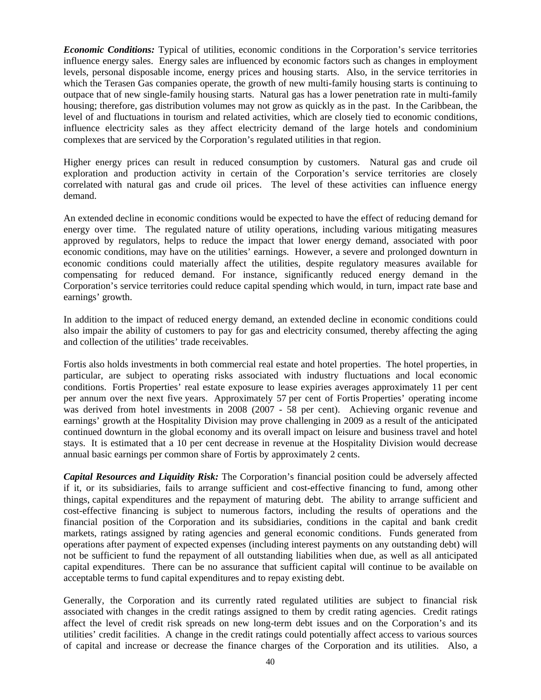*Economic Conditions:* Typical of utilities, economic conditions in the Corporation's service territories influence energy sales. Energy sales are influenced by economic factors such as changes in employment levels, personal disposable income, energy prices and housing starts. Also, in the service territories in which the Terasen Gas companies operate, the growth of new multi-family housing starts is continuing to outpace that of new single-family housing starts. Natural gas has a lower penetration rate in multi-family housing; therefore, gas distribution volumes may not grow as quickly as in the past. In the Caribbean, the level of and fluctuations in tourism and related activities, which are closely tied to economic conditions, influence electricity sales as they affect electricity demand of the large hotels and condominium complexes that are serviced by the Corporation's regulated utilities in that region.

Higher energy prices can result in reduced consumption by customers. Natural gas and crude oil exploration and production activity in certain of the Corporation's service territories are closely correlated with natural gas and crude oil prices. The level of these activities can influence energy demand.

An extended decline in economic conditions would be expected to have the effect of reducing demand for energy over time. The regulated nature of utility operations, including various mitigating measures approved by regulators, helps to reduce the impact that lower energy demand, associated with poor economic conditions, may have on the utilities' earnings. However, a severe and prolonged downturn in economic conditions could materially affect the utilities, despite regulatory measures available for compensating for reduced demand. For instance, significantly reduced energy demand in the Corporation's service territories could reduce capital spending which would, in turn, impact rate base and earnings' growth.

In addition to the impact of reduced energy demand, an extended decline in economic conditions could also impair the ability of customers to pay for gas and electricity consumed, thereby affecting the aging and collection of the utilities' trade receivables.

Fortis also holds investments in both commercial real estate and hotel properties. The hotel properties, in particular, are subject to operating risks associated with industry fluctuations and local economic conditions. Fortis Properties' real estate exposure to lease expiries averages approximately 11 per cent per annum over the next five years. Approximately 57 per cent of Fortis Properties' operating income was derived from hotel investments in 2008 (2007 - 58 per cent). Achieving organic revenue and earnings' growth at the Hospitality Division may prove challenging in 2009 as a result of the anticipated continued downturn in the global economy and its overall impact on leisure and business travel and hotel stays. It is estimated that a 10 per cent decrease in revenue at the Hospitality Division would decrease annual basic earnings per common share of Fortis by approximately 2 cents.

*Capital Resources and Liquidity Risk:* The Corporation's financial position could be adversely affected if it, or its subsidiaries, fails to arrange sufficient and cost-effective financing to fund, among other things, capital expenditures and the repayment of maturing debt. The ability to arrange sufficient and cost-effective financing is subject to numerous factors, including the results of operations and the financial position of the Corporation and its subsidiaries, conditions in the capital and bank credit markets, ratings assigned by rating agencies and general economic conditions. Funds generated from operations after payment of expected expenses (including interest payments on any outstanding debt) will not be sufficient to fund the repayment of all outstanding liabilities when due, as well as all anticipated capital expenditures. There can be no assurance that sufficient capital will continue to be available on acceptable terms to fund capital expenditures and to repay existing debt.

Generally, the Corporation and its currently rated regulated utilities are subject to financial risk associated with changes in the credit ratings assigned to them by credit rating agencies. Credit ratings affect the level of credit risk spreads on new long-term debt issues and on the Corporation's and its utilities' credit facilities. A change in the credit ratings could potentially affect access to various sources of capital and increase or decrease the finance charges of the Corporation and its utilities. Also, a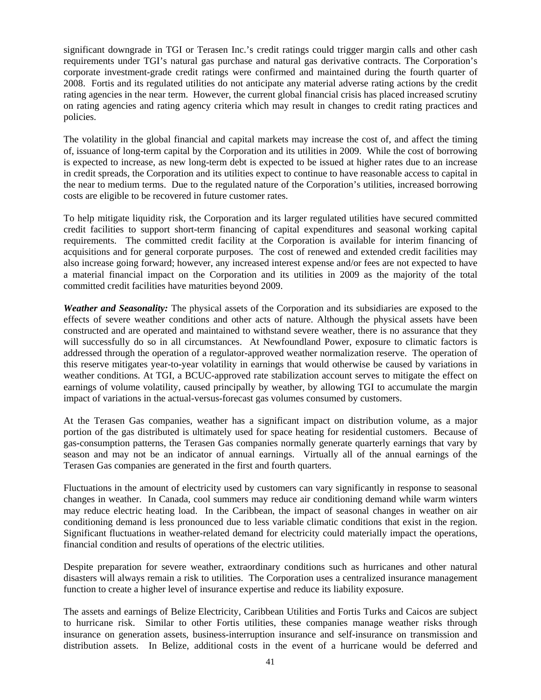significant downgrade in TGI or Terasen Inc.'s credit ratings could trigger margin calls and other cash requirements under TGI's natural gas purchase and natural gas derivative contracts. The Corporation's corporate investment-grade credit ratings were confirmed and maintained during the fourth quarter of 2008. Fortis and its regulated utilities do not anticipate any material adverse rating actions by the credit rating agencies in the near term. However, the current global financial crisis has placed increased scrutiny on rating agencies and rating agency criteria which may result in changes to credit rating practices and policies.

The volatility in the global financial and capital markets may increase the cost of, and affect the timing of, issuance of long-term capital by the Corporation and its utilities in 2009. While the cost of borrowing is expected to increase, as new long-term debt is expected to be issued at higher rates due to an increase in credit spreads, the Corporation and its utilities expect to continue to have reasonable access to capital in the near to medium terms. Due to the regulated nature of the Corporation's utilities, increased borrowing costs are eligible to be recovered in future customer rates.

To help mitigate liquidity risk, the Corporation and its larger regulated utilities have secured committed credit facilities to support short-term financing of capital expenditures and seasonal working capital requirements. The committed credit facility at the Corporation is available for interim financing of acquisitions and for general corporate purposes. The cost of renewed and extended credit facilities may also increase going forward; however, any increased interest expense and/or fees are not expected to have a material financial impact on the Corporation and its utilities in 2009 as the majority of the total committed credit facilities have maturities beyond 2009.

*Weather and Seasonality:* The physical assets of the Corporation and its subsidiaries are exposed to the effects of severe weather conditions and other acts of nature. Although the physical assets have been constructed and are operated and maintained to withstand severe weather, there is no assurance that they will successfully do so in all circumstances. At Newfoundland Power, exposure to climatic factors is addressed through the operation of a regulator-approved weather normalization reserve. The operation of this reserve mitigates year-to-year volatility in earnings that would otherwise be caused by variations in weather conditions. At TGI, a BCUC-approved rate stabilization account serves to mitigate the effect on earnings of volume volatility, caused principally by weather, by allowing TGI to accumulate the margin impact of variations in the actual-versus-forecast gas volumes consumed by customers.

At the Terasen Gas companies, weather has a significant impact on distribution volume, as a major portion of the gas distributed is ultimately used for space heating for residential customers. Because of gas-consumption patterns, the Terasen Gas companies normally generate quarterly earnings that vary by season and may not be an indicator of annual earnings. Virtually all of the annual earnings of the Terasen Gas companies are generated in the first and fourth quarters.

Fluctuations in the amount of electricity used by customers can vary significantly in response to seasonal changes in weather. In Canada, cool summers may reduce air conditioning demand while warm winters may reduce electric heating load. In the Caribbean, the impact of seasonal changes in weather on air conditioning demand is less pronounced due to less variable climatic conditions that exist in the region. Significant fluctuations in weather-related demand for electricity could materially impact the operations, financial condition and results of operations of the electric utilities.

Despite preparation for severe weather, extraordinary conditions such as hurricanes and other natural disasters will always remain a risk to utilities. The Corporation uses a centralized insurance management function to create a higher level of insurance expertise and reduce its liability exposure.

The assets and earnings of Belize Electricity, Caribbean Utilities and Fortis Turks and Caicos are subject to hurricane risk. Similar to other Fortis utilities, these companies manage weather risks through insurance on generation assets, business-interruption insurance and self-insurance on transmission and distribution assets. In Belize, additional costs in the event of a hurricane would be deferred and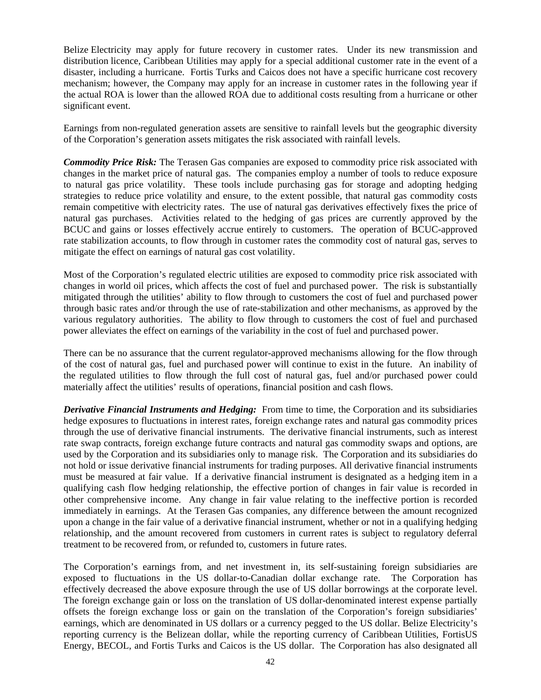Belize Electricity may apply for future recovery in customer rates. Under its new transmission and distribution licence, Caribbean Utilities may apply for a special additional customer rate in the event of a disaster, including a hurricane. Fortis Turks and Caicos does not have a specific hurricane cost recovery mechanism; however, the Company may apply for an increase in customer rates in the following year if the actual ROA is lower than the allowed ROA due to additional costs resulting from a hurricane or other significant event.

Earnings from non-regulated generation assets are sensitive to rainfall levels but the geographic diversity of the Corporation's generation assets mitigates the risk associated with rainfall levels.

*Commodity Price Risk:* The Terasen Gas companies are exposed to commodity price risk associated with changes in the market price of natural gas. The companies employ a number of tools to reduce exposure to natural gas price volatility. These tools include purchasing gas for storage and adopting hedging strategies to reduce price volatility and ensure, to the extent possible, that natural gas commodity costs remain competitive with electricity rates. The use of natural gas derivatives effectively fixes the price of natural gas purchases. Activities related to the hedging of gas prices are currently approved by the BCUC and gains or losses effectively accrue entirely to customers. The operation of BCUC-approved rate stabilization accounts, to flow through in customer rates the commodity cost of natural gas, serves to mitigate the effect on earnings of natural gas cost volatility.

Most of the Corporation's regulated electric utilities are exposed to commodity price risk associated with changes in world oil prices, which affects the cost of fuel and purchased power. The risk is substantially mitigated through the utilities' ability to flow through to customers the cost of fuel and purchased power through basic rates and/or through the use of rate-stabilization and other mechanisms, as approved by the various regulatory authorities. The ability to flow through to customers the cost of fuel and purchased power alleviates the effect on earnings of the variability in the cost of fuel and purchased power.

There can be no assurance that the current regulator-approved mechanisms allowing for the flow through of the cost of natural gas, fuel and purchased power will continue to exist in the future. An inability of the regulated utilities to flow through the full cost of natural gas, fuel and/or purchased power could materially affect the utilities' results of operations, financial position and cash flows.

*Derivative Financial Instruments and Hedging:* From time to time, the Corporation and its subsidiaries hedge exposures to fluctuations in interest rates, foreign exchange rates and natural gas commodity prices through the use of derivative financial instruments. The derivative financial instruments, such as interest rate swap contracts, foreign exchange future contracts and natural gas commodity swaps and options, are used by the Corporation and its subsidiaries only to manage risk. The Corporation and its subsidiaries do not hold or issue derivative financial instruments for trading purposes. All derivative financial instruments must be measured at fair value. If a derivative financial instrument is designated as a hedging item in a qualifying cash flow hedging relationship, the effective portion of changes in fair value is recorded in other comprehensive income. Any change in fair value relating to the ineffective portion is recorded immediately in earnings. At the Terasen Gas companies, any difference between the amount recognized upon a change in the fair value of a derivative financial instrument, whether or not in a qualifying hedging relationship, and the amount recovered from customers in current rates is subject to regulatory deferral treatment to be recovered from, or refunded to, customers in future rates.

The Corporation's earnings from, and net investment in, its self-sustaining foreign subsidiaries are exposed to fluctuations in the US dollar-to-Canadian dollar exchange rate. The Corporation has effectively decreased the above exposure through the use of US dollar borrowings at the corporate level. The foreign exchange gain or loss on the translation of US dollar-denominated interest expense partially offsets the foreign exchange loss or gain on the translation of the Corporation's foreign subsidiaries' earnings, which are denominated in US dollars or a currency pegged to the US dollar. Belize Electricity's reporting currency is the Belizean dollar, while the reporting currency of Caribbean Utilities, FortisUS Energy, BECOL, and Fortis Turks and Caicos is the US dollar. The Corporation has also designated all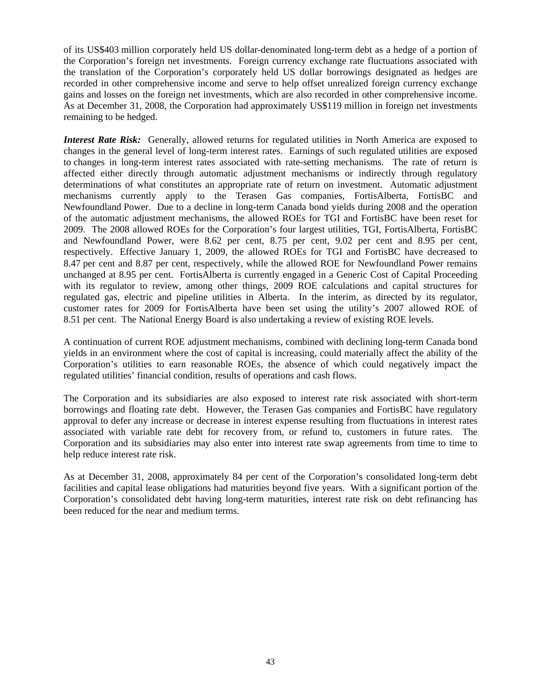of its US\$403 million corporately held US dollar-denominated long-term debt as a hedge of a portion of the Corporation's foreign net investments. Foreign currency exchange rate fluctuations associated with the translation of the Corporation's corporately held US dollar borrowings designated as hedges are recorded in other comprehensive income and serve to help offset unrealized foreign currency exchange gains and losses on the foreign net investments, which are also recorded in other comprehensive income. As at December 31, 2008, the Corporation had approximately US\$119 million in foreign net investments remaining to be hedged.

*Interest Rate Risk:* Generally, allowed returns for regulated utilities in North America are exposed to changes in the general level of long-term interest rates. Earnings of such regulated utilities are exposed to changes in long-term interest rates associated with rate-setting mechanisms. The rate of return is affected either directly through automatic adjustment mechanisms or indirectly through regulatory determinations of what constitutes an appropriate rate of return on investment. Automatic adjustment mechanisms currently apply to the Terasen Gas companies, FortisAlberta, FortisBC and Newfoundland Power. Due to a decline in long-term Canada bond yields during 2008 and the operation of the automatic adjustment mechanisms, the allowed ROEs for TGI and FortisBC have been reset for 2009. The 2008 allowed ROEs for the Corporation's four largest utilities, TGI, FortisAlberta, FortisBC and Newfoundland Power, were 8.62 per cent, 8.75 per cent, 9.02 per cent and 8.95 per cent, respectively. Effective January 1, 2009, the allowed ROEs for TGI and FortisBC have decreased to 8.47 per cent and 8.87 per cent, respectively, while the allowed ROE for Newfoundland Power remains unchanged at 8.95 per cent. FortisAlberta is currently engaged in a Generic Cost of Capital Proceeding with its regulator to review, among other things, 2009 ROE calculations and capital structures for regulated gas, electric and pipeline utilities in Alberta. In the interim, as directed by its regulator, customer rates for 2009 for FortisAlberta have been set using the utility's 2007 allowed ROE of 8.51 per cent. The National Energy Board is also undertaking a review of existing ROE levels.

A continuation of current ROE adjustment mechanisms, combined with declining long-term Canada bond yields in an environment where the cost of capital is increasing, could materially affect the ability of the Corporation's utilities to earn reasonable ROEs, the absence of which could negatively impact the regulated utilities' financial condition, results of operations and cash flows.

The Corporation and its subsidiaries are also exposed to interest rate risk associated with short-term borrowings and floating rate debt. However, the Terasen Gas companies and FortisBC have regulatory approval to defer any increase or decrease in interest expense resulting from fluctuations in interest rates associated with variable rate debt for recovery from, or refund to, customers in future rates. The Corporation and its subsidiaries may also enter into interest rate swap agreements from time to time to help reduce interest rate risk.

As at December 31, 2008, approximately 84 per cent of the Corporation's consolidated long-term debt facilities and capital lease obligations had maturities beyond five years. With a significant portion of the Corporation's consolidated debt having long-term maturities, interest rate risk on debt refinancing has been reduced for the near and medium terms.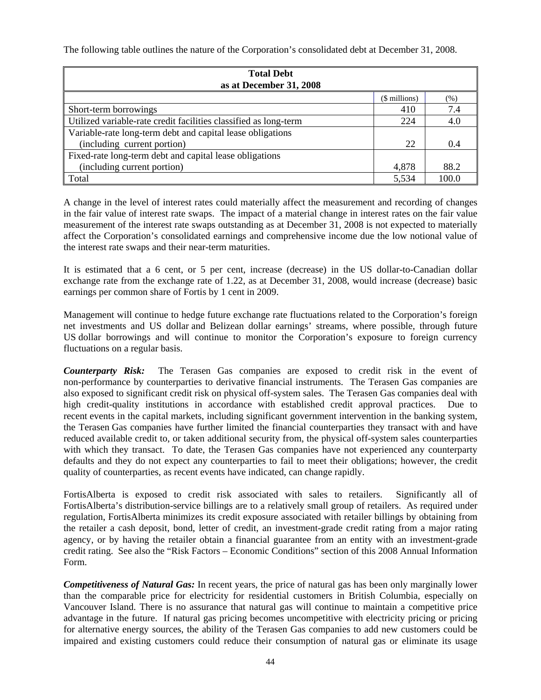The following table outlines the nature of the Corporation's consolidated debt at December 31, 2008.

| <b>Total Debt</b><br>as at December 31, 2008                     |       |       |  |  |  |
|------------------------------------------------------------------|-------|-------|--|--|--|
| (\$ millions)<br>(% )                                            |       |       |  |  |  |
| Short-term borrowings                                            | 410   | 7.4   |  |  |  |
| Utilized variable-rate credit facilities classified as long-term | 224   | 4.0   |  |  |  |
| Variable-rate long-term debt and capital lease obligations       |       |       |  |  |  |
| (including current portion)                                      | 22    | 0.4   |  |  |  |
| Fixed-rate long-term debt and capital lease obligations          |       |       |  |  |  |
| (including current portion)                                      | 4,878 | 88.2  |  |  |  |
| Total                                                            | 5,534 | 100.0 |  |  |  |

A change in the level of interest rates could materially affect the measurement and recording of changes in the fair value of interest rate swaps. The impact of a material change in interest rates on the fair value measurement of the interest rate swaps outstanding as at December 31, 2008 is not expected to materially affect the Corporation's consolidated earnings and comprehensive income due the low notional value of the interest rate swaps and their near-term maturities.

It is estimated that a 6 cent, or 5 per cent, increase (decrease) in the US dollar-to-Canadian dollar exchange rate from the exchange rate of 1.22, as at December 31, 2008, would increase (decrease) basic earnings per common share of Fortis by 1 cent in 2009.

Management will continue to hedge future exchange rate fluctuations related to the Corporation's foreign net investments and US dollar and Belizean dollar earnings' streams, where possible, through future US dollar borrowings and will continue to monitor the Corporation's exposure to foreign currency fluctuations on a regular basis.

*Counterparty Risk:* The Terasen Gas companies are exposed to credit risk in the event of non-performance by counterparties to derivative financial instruments. The Terasen Gas companies are also exposed to significant credit risk on physical off-system sales. The Terasen Gas companies deal with high credit-quality institutions in accordance with established credit approval practices. Due to recent events in the capital markets, including significant government intervention in the banking system, the Terasen Gas companies have further limited the financial counterparties they transact with and have reduced available credit to, or taken additional security from, the physical off-system sales counterparties with which they transact. To date, the Terasen Gas companies have not experienced any counterparty defaults and they do not expect any counterparties to fail to meet their obligations; however, the credit quality of counterparties, as recent events have indicated, can change rapidly.

FortisAlberta is exposed to credit risk associated with sales to retailers. Significantly all of FortisAlberta's distribution-service billings are to a relatively small group of retailers. As required under regulation, FortisAlberta minimizes its credit exposure associated with retailer billings by obtaining from the retailer a cash deposit, bond, letter of credit, an investment-grade credit rating from a major rating agency, or by having the retailer obtain a financial guarantee from an entity with an investment-grade credit rating. See also the "Risk Factors – Economic Conditions" section of this 2008 Annual Information Form.

*Competitiveness of Natural Gas:* In recent years, the price of natural gas has been only marginally lower than the comparable price for electricity for residential customers in British Columbia, especially on Vancouver Island. There is no assurance that natural gas will continue to maintain a competitive price advantage in the future. If natural gas pricing becomes uncompetitive with electricity pricing or pricing for alternative energy sources, the ability of the Terasen Gas companies to add new customers could be impaired and existing customers could reduce their consumption of natural gas or eliminate its usage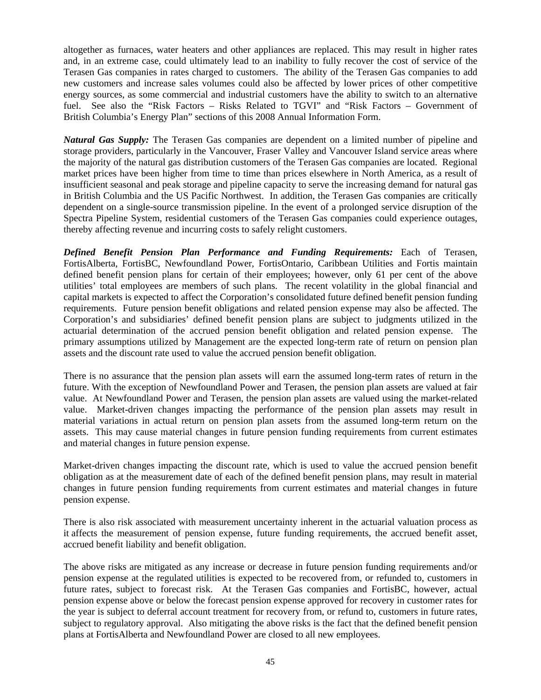altogether as furnaces, water heaters and other appliances are replaced. This may result in higher rates and, in an extreme case, could ultimately lead to an inability to fully recover the cost of service of the Terasen Gas companies in rates charged to customers. The ability of the Terasen Gas companies to add new customers and increase sales volumes could also be affected by lower prices of other competitive energy sources, as some commercial and industrial customers have the ability to switch to an alternative fuel. See also the "Risk Factors – Risks Related to TGVI" and "Risk Factors – Government of British Columbia's Energy Plan" sections of this 2008 Annual Information Form.

*Natural Gas Supply:* The Terasen Gas companies are dependent on a limited number of pipeline and storage providers, particularly in the Vancouver, Fraser Valley and Vancouver Island service areas where the majority of the natural gas distribution customers of the Terasen Gas companies are located. Regional market prices have been higher from time to time than prices elsewhere in North America, as a result of insufficient seasonal and peak storage and pipeline capacity to serve the increasing demand for natural gas in British Columbia and the US Pacific Northwest. In addition, the Terasen Gas companies are critically dependent on a single-source transmission pipeline. In the event of a prolonged service disruption of the Spectra Pipeline System, residential customers of the Terasen Gas companies could experience outages, thereby affecting revenue and incurring costs to safely relight customers.

*Defined Benefit Pension Plan Performance and Funding Requirements:* Each of Terasen, FortisAlberta, FortisBC, Newfoundland Power, FortisOntario, Caribbean Utilities and Fortis maintain defined benefit pension plans for certain of their employees; however, only 61 per cent of the above utilities' total employees are members of such plans. The recent volatility in the global financial and capital markets is expected to affect the Corporation's consolidated future defined benefit pension funding requirements. Future pension benefit obligations and related pension expense may also be affected. The Corporation's and subsidiaries' defined benefit pension plans are subject to judgments utilized in the actuarial determination of the accrued pension benefit obligation and related pension expense. The primary assumptions utilized by Management are the expected long-term rate of return on pension plan assets and the discount rate used to value the accrued pension benefit obligation.

There is no assurance that the pension plan assets will earn the assumed long-term rates of return in the future. With the exception of Newfoundland Power and Terasen, the pension plan assets are valued at fair value. At Newfoundland Power and Terasen, the pension plan assets are valued using the market-related value. Market-driven changes impacting the performance of the pension plan assets may result in material variations in actual return on pension plan assets from the assumed long-term return on the assets. This may cause material changes in future pension funding requirements from current estimates and material changes in future pension expense.

Market-driven changes impacting the discount rate, which is used to value the accrued pension benefit obligation as at the measurement date of each of the defined benefit pension plans, may result in material changes in future pension funding requirements from current estimates and material changes in future pension expense.

There is also risk associated with measurement uncertainty inherent in the actuarial valuation process as it affects the measurement of pension expense, future funding requirements, the accrued benefit asset, accrued benefit liability and benefit obligation.

The above risks are mitigated as any increase or decrease in future pension funding requirements and/or pension expense at the regulated utilities is expected to be recovered from, or refunded to, customers in future rates, subject to forecast risk. At the Terasen Gas companies and FortisBC, however, actual pension expense above or below the forecast pension expense approved for recovery in customer rates for the year is subject to deferral account treatment for recovery from, or refund to, customers in future rates, subject to regulatory approval. Also mitigating the above risks is the fact that the defined benefit pension plans at FortisAlberta and Newfoundland Power are closed to all new employees.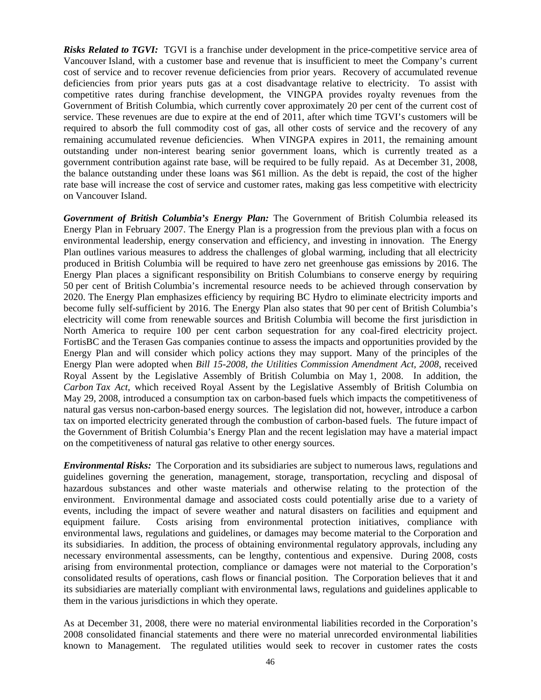*Risks Related to TGVI:* TGVI is a franchise under development in the price-competitive service area of Vancouver Island, with a customer base and revenue that is insufficient to meet the Company's current cost of service and to recover revenue deficiencies from prior years. Recovery of accumulated revenue deficiencies from prior years puts gas at a cost disadvantage relative to electricity. To assist with competitive rates during franchise development, the VINGPA provides royalty revenues from the Government of British Columbia, which currently cover approximately 20 per cent of the current cost of service. These revenues are due to expire at the end of 2011, after which time TGVI's customers will be required to absorb the full commodity cost of gas, all other costs of service and the recovery of any remaining accumulated revenue deficiencies. When VINGPA expires in 2011, the remaining amount outstanding under non-interest bearing senior government loans, which is currently treated as a government contribution against rate base, will be required to be fully repaid. As at December 31, 2008, the balance outstanding under these loans was \$61 million. As the debt is repaid, the cost of the higher rate base will increase the cost of service and customer rates, making gas less competitive with electricity on Vancouver Island.

*Government of British Columbia's Energy Plan:* The Government of British Columbia released its Energy Plan in February 2007. The Energy Plan is a progression from the previous plan with a focus on environmental leadership, energy conservation and efficiency, and investing in innovation. The Energy Plan outlines various measures to address the challenges of global warming, including that all electricity produced in British Columbia will be required to have zero net greenhouse gas emissions by 2016. The Energy Plan places a significant responsibility on British Columbians to conserve energy by requiring 50 per cent of British Columbia's incremental resource needs to be achieved through conservation by 2020. The Energy Plan emphasizes efficiency by requiring BC Hydro to eliminate electricity imports and become fully self-sufficient by 2016. The Energy Plan also states that 90 per cent of British Columbia's electricity will come from renewable sources and British Columbia will become the first jurisdiction in North America to require 100 per cent carbon sequestration for any coal-fired electricity project. FortisBC and the Terasen Gas companies continue to assess the impacts and opportunities provided by the Energy Plan and will consider which policy actions they may support. Many of the principles of the Energy Plan were adopted when *Bill 15-2008, the Utilities Commission Amendment Act, 2008*, received Royal Assent by the Legislative Assembly of British Columbia on May 1, 2008. In addition, the *Carbon Tax Act*, which received Royal Assent by the Legislative Assembly of British Columbia on May 29, 2008, introduced a consumption tax on carbon-based fuels which impacts the competitiveness of natural gas versus non-carbon-based energy sources. The legislation did not, however, introduce a carbon tax on imported electricity generated through the combustion of carbon-based fuels. The future impact of the Government of British Columbia's Energy Plan and the recent legislation may have a material impact on the competitiveness of natural gas relative to other energy sources.

*Environmental Risks:* The Corporation and its subsidiaries are subject to numerous laws, regulations and guidelines governing the generation, management, storage, transportation, recycling and disposal of hazardous substances and other waste materials and otherwise relating to the protection of the environment. Environmental damage and associated costs could potentially arise due to a variety of events, including the impact of severe weather and natural disasters on facilities and equipment and equipment failure. Costs arising from environmental protection initiatives, compliance with environmental laws, regulations and guidelines, or damages may become material to the Corporation and its subsidiaries. In addition, the process of obtaining environmental regulatory approvals, including any necessary environmental assessments, can be lengthy, contentious and expensive. During 2008, costs arising from environmental protection, compliance or damages were not material to the Corporation's consolidated results of operations, cash flows or financial position. The Corporation believes that it and its subsidiaries are materially compliant with environmental laws, regulations and guidelines applicable to them in the various jurisdictions in which they operate.

As at December 31, 2008, there were no material environmental liabilities recorded in the Corporation's 2008 consolidated financial statements and there were no material unrecorded environmental liabilities known to Management. The regulated utilities would seek to recover in customer rates the costs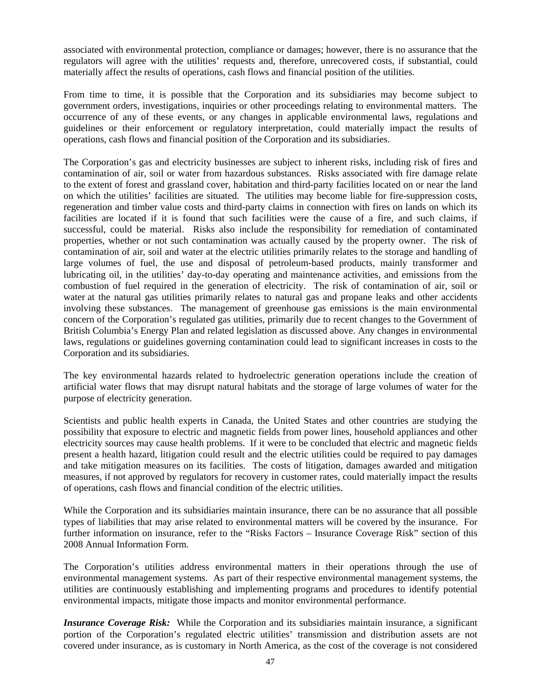associated with environmental protection, compliance or damages; however, there is no assurance that the regulators will agree with the utilities' requests and, therefore, unrecovered costs, if substantial, could materially affect the results of operations, cash flows and financial position of the utilities.

From time to time, it is possible that the Corporation and its subsidiaries may become subject to government orders, investigations, inquiries or other proceedings relating to environmental matters. The occurrence of any of these events, or any changes in applicable environmental laws, regulations and guidelines or their enforcement or regulatory interpretation, could materially impact the results of operations, cash flows and financial position of the Corporation and its subsidiaries.

The Corporation's gas and electricity businesses are subject to inherent risks, including risk of fires and contamination of air, soil or water from hazardous substances. Risks associated with fire damage relate to the extent of forest and grassland cover, habitation and third-party facilities located on or near the land on which the utilities' facilities are situated. The utilities may become liable for fire-suppression costs, regeneration and timber value costs and third-party claims in connection with fires on lands on which its facilities are located if it is found that such facilities were the cause of a fire, and such claims, if successful, could be material. Risks also include the responsibility for remediation of contaminated properties, whether or not such contamination was actually caused by the property owner. The risk of contamination of air, soil and water at the electric utilities primarily relates to the storage and handling of large volumes of fuel, the use and disposal of petroleum-based products, mainly transformer and lubricating oil, in the utilities' day-to-day operating and maintenance activities, and emissions from the combustion of fuel required in the generation of electricity. The risk of contamination of air, soil or water at the natural gas utilities primarily relates to natural gas and propane leaks and other accidents involving these substances. The management of greenhouse gas emissions is the main environmental concern of the Corporation's regulated gas utilities, primarily due to recent changes to the Government of British Columbia's Energy Plan and related legislation as discussed above. Any changes in environmental laws, regulations or guidelines governing contamination could lead to significant increases in costs to the Corporation and its subsidiaries.

The key environmental hazards related to hydroelectric generation operations include the creation of artificial water flows that may disrupt natural habitats and the storage of large volumes of water for the purpose of electricity generation.

Scientists and public health experts in Canada, the United States and other countries are studying the possibility that exposure to electric and magnetic fields from power lines, household appliances and other electricity sources may cause health problems. If it were to be concluded that electric and magnetic fields present a health hazard, litigation could result and the electric utilities could be required to pay damages and take mitigation measures on its facilities. The costs of litigation, damages awarded and mitigation measures, if not approved by regulators for recovery in customer rates, could materially impact the results of operations, cash flows and financial condition of the electric utilities.

While the Corporation and its subsidiaries maintain insurance, there can be no assurance that all possible types of liabilities that may arise related to environmental matters will be covered by the insurance. For further information on insurance, refer to the "Risks Factors – Insurance Coverage Risk" section of this 2008 Annual Information Form.

The Corporation's utilities address environmental matters in their operations through the use of environmental management systems. As part of their respective environmental management systems, the utilities are continuously establishing and implementing programs and procedures to identify potential environmental impacts, mitigate those impacts and monitor environmental performance.

*Insurance Coverage Risk:* While the Corporation and its subsidiaries maintain insurance, a significant portion of the Corporation's regulated electric utilities' transmission and distribution assets are not covered under insurance, as is customary in North America, as the cost of the coverage is not considered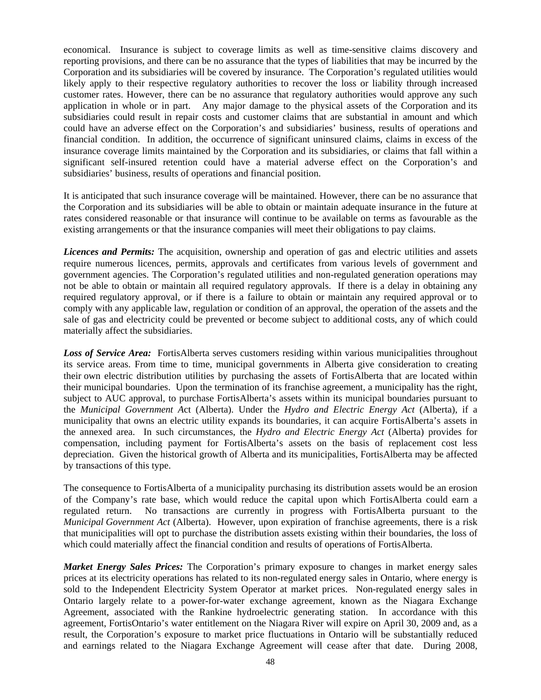economical. Insurance is subject to coverage limits as well as time-sensitive claims discovery and reporting provisions, and there can be no assurance that the types of liabilities that may be incurred by the Corporation and its subsidiaries will be covered by insurance. The Corporation's regulated utilities would likely apply to their respective regulatory authorities to recover the loss or liability through increased customer rates. However, there can be no assurance that regulatory authorities would approve any such application in whole or in part. Any major damage to the physical assets of the Corporation and its subsidiaries could result in repair costs and customer claims that are substantial in amount and which could have an adverse effect on the Corporation's and subsidiaries' business, results of operations and financial condition. In addition, the occurrence of significant uninsured claims, claims in excess of the insurance coverage limits maintained by the Corporation and its subsidiaries, or claims that fall within a significant self-insured retention could have a material adverse effect on the Corporation's and subsidiaries' business, results of operations and financial position.

It is anticipated that such insurance coverage will be maintained. However, there can be no assurance that the Corporation and its subsidiaries will be able to obtain or maintain adequate insurance in the future at rates considered reasonable or that insurance will continue to be available on terms as favourable as the existing arrangements or that the insurance companies will meet their obligations to pay claims.

*Licences and Permits:* The acquisition, ownership and operation of gas and electric utilities and assets require numerous licences, permits, approvals and certificates from various levels of government and government agencies. The Corporation's regulated utilities and non-regulated generation operations may not be able to obtain or maintain all required regulatory approvals. If there is a delay in obtaining any required regulatory approval, or if there is a failure to obtain or maintain any required approval or to comply with any applicable law, regulation or condition of an approval, the operation of the assets and the sale of gas and electricity could be prevented or become subject to additional costs, any of which could materially affect the subsidiaries.

*Loss of Service Area:* FortisAlberta serves customers residing within various municipalities throughout its service areas. From time to time, municipal governments in Alberta give consideration to creating their own electric distribution utilities by purchasing the assets of FortisAlberta that are located within their municipal boundaries. Upon the termination of its franchise agreement, a municipality has the right, subject to AUC approval, to purchase FortisAlberta's assets within its municipal boundaries pursuant to the *Municipal Government A*ct (Alberta). Under the *Hydro and Electric Energy Act* (Alberta), if a municipality that owns an electric utility expands its boundaries, it can acquire FortisAlberta's assets in the annexed area. In such circumstances, the *Hydro and Electric Energy Act* (Alberta) provides for compensation, including payment for FortisAlberta's assets on the basis of replacement cost less depreciation. Given the historical growth of Alberta and its municipalities, FortisAlberta may be affected by transactions of this type.

The consequence to FortisAlberta of a municipality purchasing its distribution assets would be an erosion of the Company's rate base, which would reduce the capital upon which FortisAlberta could earn a regulated return. No transactions are currently in progress with FortisAlberta pursuant to the *Municipal Government Act* (Alberta). However, upon expiration of franchise agreements, there is a risk that municipalities will opt to purchase the distribution assets existing within their boundaries, the loss of which could materially affect the financial condition and results of operations of FortisAlberta.

*Market Energy Sales Prices:* The Corporation's primary exposure to changes in market energy sales prices at its electricity operations has related to its non-regulated energy sales in Ontario, where energy is sold to the Independent Electricity System Operator at market prices. Non-regulated energy sales in Ontario largely relate to a power-for-water exchange agreement, known as the Niagara Exchange Agreement, associated with the Rankine hydroelectric generating station. In accordance with this agreement, FortisOntario's water entitlement on the Niagara River will expire on April 30, 2009 and, as a result, the Corporation's exposure to market price fluctuations in Ontario will be substantially reduced and earnings related to the Niagara Exchange Agreement will cease after that date. During 2008,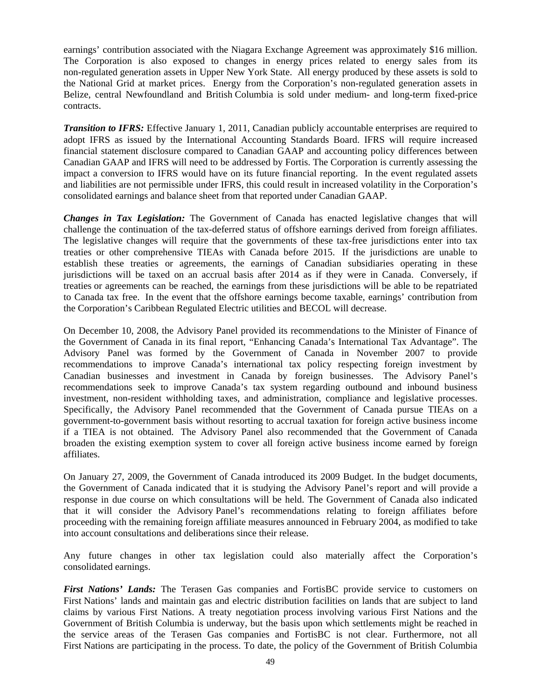earnings' contribution associated with the Niagara Exchange Agreement was approximately \$16 million. The Corporation is also exposed to changes in energy prices related to energy sales from its non-regulated generation assets in Upper New York State. All energy produced by these assets is sold to the National Grid at market prices. Energy from the Corporation's non-regulated generation assets in Belize, central Newfoundland and British Columbia is sold under medium- and long-term fixed-price contracts.

*Transition to IFRS:* Effective January 1, 2011, Canadian publicly accountable enterprises are required to adopt IFRS as issued by the International Accounting Standards Board. IFRS will require increased financial statement disclosure compared to Canadian GAAP and accounting policy differences between Canadian GAAP and IFRS will need to be addressed by Fortis. The Corporation is currently assessing the impact a conversion to IFRS would have on its future financial reporting. In the event regulated assets and liabilities are not permissible under IFRS, this could result in increased volatility in the Corporation's consolidated earnings and balance sheet from that reported under Canadian GAAP.

*Changes in Tax Legislation:* The Government of Canada has enacted legislative changes that will challenge the continuation of the tax-deferred status of offshore earnings derived from foreign affiliates. The legislative changes will require that the governments of these tax-free jurisdictions enter into tax treaties or other comprehensive TIEAs with Canada before 2015. If the jurisdictions are unable to establish these treaties or agreements, the earnings of Canadian subsidiaries operating in these jurisdictions will be taxed on an accrual basis after 2014 as if they were in Canada. Conversely, if treaties or agreements can be reached, the earnings from these jurisdictions will be able to be repatriated to Canada tax free. In the event that the offshore earnings become taxable, earnings' contribution from the Corporation's Caribbean Regulated Electric utilities and BECOL will decrease.

On December 10, 2008, the Advisory Panel provided its recommendations to the Minister of Finance of the Government of Canada in its final report, "Enhancing Canada's International Tax Advantage". The Advisory Panel was formed by the Government of Canada in November 2007 to provide recommendations to improve Canada's international tax policy respecting foreign investment by Canadian businesses and investment in Canada by foreign businesses. The Advisory Panel's recommendations seek to improve Canada's tax system regarding outbound and inbound business investment, non-resident withholding taxes, and administration, compliance and legislative processes. Specifically, the Advisory Panel recommended that the Government of Canada pursue TIEAs on a government-to-government basis without resorting to accrual taxation for foreign active business income if a TIEA is not obtained. The Advisory Panel also recommended that the Government of Canada broaden the existing exemption system to cover all foreign active business income earned by foreign affiliates.

On January 27, 2009, the Government of Canada introduced its 2009 Budget. In the budget documents, the Government of Canada indicated that it is studying the Advisory Panel's report and will provide a response in due course on which consultations will be held. The Government of Canada also indicated that it will consider the Advisory Panel's recommendations relating to foreign affiliates before proceeding with the remaining foreign affiliate measures announced in February 2004, as modified to take into account consultations and deliberations since their release.

Any future changes in other tax legislation could also materially affect the Corporation's consolidated earnings.

*First Nations' Lands:* The Terasen Gas companies and FortisBC provide service to customers on First Nations' lands and maintain gas and electric distribution facilities on lands that are subject to land claims by various First Nations. A treaty negotiation process involving various First Nations and the Government of British Columbia is underway, but the basis upon which settlements might be reached in the service areas of the Terasen Gas companies and FortisBC is not clear. Furthermore, not all First Nations are participating in the process. To date, the policy of the Government of British Columbia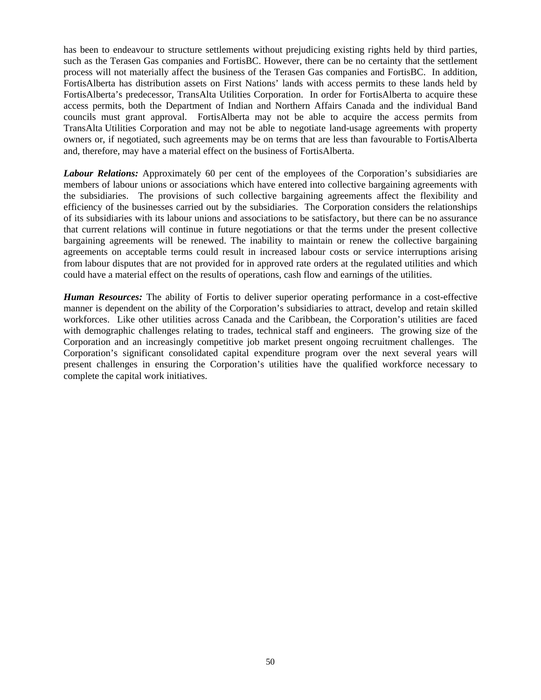has been to endeavour to structure settlements without prejudicing existing rights held by third parties, such as the Terasen Gas companies and FortisBC. However, there can be no certainty that the settlement process will not materially affect the business of the Terasen Gas companies and FortisBC. In addition, FortisAlberta has distribution assets on First Nations' lands with access permits to these lands held by FortisAlberta's predecessor, TransAlta Utilities Corporation. In order for FortisAlberta to acquire these access permits, both the Department of Indian and Northern Affairs Canada and the individual Band councils must grant approval. FortisAlberta may not be able to acquire the access permits from TransAlta Utilities Corporation and may not be able to negotiate land-usage agreements with property owners or, if negotiated, such agreements may be on terms that are less than favourable to FortisAlberta and, therefore, may have a material effect on the business of FortisAlberta.

*Labour Relations:* Approximately 60 per cent of the employees of the Corporation's subsidiaries are members of labour unions or associations which have entered into collective bargaining agreements with the subsidiaries. The provisions of such collective bargaining agreements affect the flexibility and efficiency of the businesses carried out by the subsidiaries. The Corporation considers the relationships of its subsidiaries with its labour unions and associations to be satisfactory, but there can be no assurance that current relations will continue in future negotiations or that the terms under the present collective bargaining agreements will be renewed. The inability to maintain or renew the collective bargaining agreements on acceptable terms could result in increased labour costs or service interruptions arising from labour disputes that are not provided for in approved rate orders at the regulated utilities and which could have a material effect on the results of operations, cash flow and earnings of the utilities.

*Human Resources:* The ability of Fortis to deliver superior operating performance in a cost-effective manner is dependent on the ability of the Corporation's subsidiaries to attract, develop and retain skilled workforces. Like other utilities across Canada and the Caribbean, the Corporation's utilities are faced with demographic challenges relating to trades, technical staff and engineers. The growing size of the Corporation and an increasingly competitive job market present ongoing recruitment challenges. The Corporation's significant consolidated capital expenditure program over the next several years will present challenges in ensuring the Corporation's utilities have the qualified workforce necessary to complete the capital work initiatives.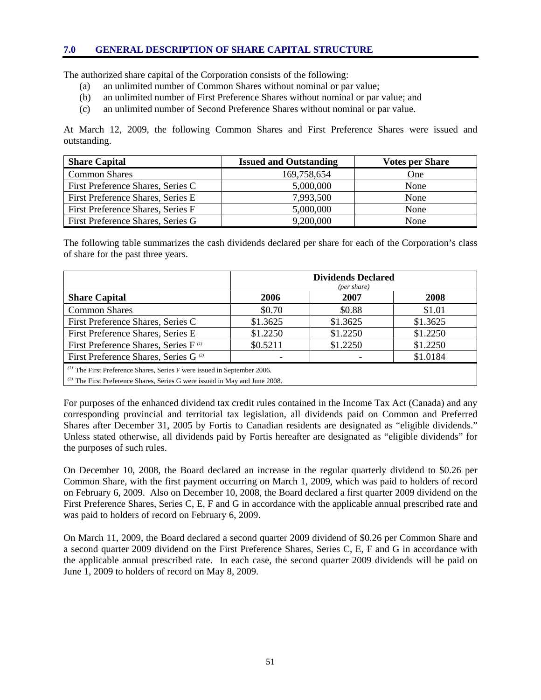#### **7.0 GENERAL DESCRIPTION OF SHARE CAPITAL STRUCTURE**

The authorized share capital of the Corporation consists of the following:

- (a) an unlimited number of Common Shares without nominal or par value;
- (b) an unlimited number of First Preference Shares without nominal or par value; and
- (c) an unlimited number of Second Preference Shares without nominal or par value.

At March 12, 2009, the following Common Shares and First Preference Shares were issued and outstanding.

| <b>Share Capital</b>              | <b>Issued and Outstanding</b> | <b>Votes per Share</b> |
|-----------------------------------|-------------------------------|------------------------|
| <b>Common Shares</b>              | 169,758,654                   | One                    |
| First Preference Shares, Series C | 5,000,000                     | None                   |
| First Preference Shares, Series E | 7,993,500                     | None                   |
| First Preference Shares, Series F | 5,000,000                     | None                   |
| First Preference Shares, Series G | 9,200,000                     | None                   |

The following table summarizes the cash dividends declared per share for each of the Corporation's class of share for the past three years.

|                                                                               | <b>Dividends Declared</b><br>(per share) |          |          |  |
|-------------------------------------------------------------------------------|------------------------------------------|----------|----------|--|
| <b>Share Capital</b>                                                          | 2006                                     | 2007     | 2008     |  |
| <b>Common Shares</b>                                                          | \$0.70                                   | \$0.88   | \$1.01   |  |
| First Preference Shares, Series C                                             | \$1.3625                                 | \$1.3625 | \$1.3625 |  |
| First Preference Shares, Series E                                             | \$1.2250                                 | \$1.2250 | \$1.2250 |  |
| First Preference Shares, Series F <sup>(1)</sup>                              | \$0.5211                                 | \$1.2250 | \$1.2250 |  |
| \$1.0184<br>First Preference Shares, Series G <sup>(2)</sup>                  |                                          |          |          |  |
| $\alpha$ The First Preference Shares, Series F were issued in September 2006. |                                          |          |          |  |

*(2)* The First Preference Shares, Series G were issued in May and June 2008.

For purposes of the enhanced dividend tax credit rules contained in the Income Tax Act (Canada) and any corresponding provincial and territorial tax legislation, all dividends paid on Common and Preferred Shares after December 31, 2005 by Fortis to Canadian residents are designated as "eligible dividends." Unless stated otherwise, all dividends paid by Fortis hereafter are designated as "eligible dividends" for the purposes of such rules.

On December 10, 2008, the Board declared an increase in the regular quarterly dividend to \$0.26 per Common Share, with the first payment occurring on March 1, 2009, which was paid to holders of record on February 6, 2009. Also on December 10, 2008, the Board declared a first quarter 2009 dividend on the First Preference Shares, Series C, E, F and G in accordance with the applicable annual prescribed rate and was paid to holders of record on February 6, 2009.

On March 11, 2009, the Board declared a second quarter 2009 dividend of \$0.26 per Common Share and a second quarter 2009 dividend on the First Preference Shares, Series C, E, F and G in accordance with the applicable annual prescribed rate. In each case, the second quarter 2009 dividends will be paid on June 1, 2009 to holders of record on May 8, 2009.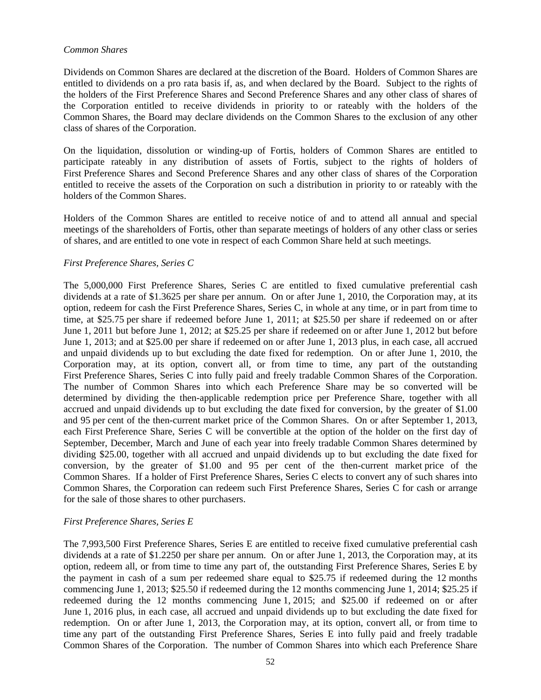#### *Common Shares*

Dividends on Common Shares are declared at the discretion of the Board. Holders of Common Shares are entitled to dividends on a pro rata basis if, as, and when declared by the Board. Subject to the rights of the holders of the First Preference Shares and Second Preference Shares and any other class of shares of the Corporation entitled to receive dividends in priority to or rateably with the holders of the Common Shares, the Board may declare dividends on the Common Shares to the exclusion of any other class of shares of the Corporation.

On the liquidation, dissolution or winding-up of Fortis, holders of Common Shares are entitled to participate rateably in any distribution of assets of Fortis, subject to the rights of holders of First Preference Shares and Second Preference Shares and any other class of shares of the Corporation entitled to receive the assets of the Corporation on such a distribution in priority to or rateably with the holders of the Common Shares.

Holders of the Common Shares are entitled to receive notice of and to attend all annual and special meetings of the shareholders of Fortis, other than separate meetings of holders of any other class or series of shares, and are entitled to one vote in respect of each Common Share held at such meetings.

### *First Preference Shares, Series C*

The 5,000,000 First Preference Shares, Series C are entitled to fixed cumulative preferential cash dividends at a rate of \$1.3625 per share per annum. On or after June 1, 2010, the Corporation may, at its option, redeem for cash the First Preference Shares, Series C, in whole at any time, or in part from time to time, at \$25.75 per share if redeemed before June 1, 2011; at \$25.50 per share if redeemed on or after June 1, 2011 but before June 1, 2012; at \$25.25 per share if redeemed on or after June 1, 2012 but before June 1, 2013; and at \$25.00 per share if redeemed on or after June 1, 2013 plus, in each case, all accrued and unpaid dividends up to but excluding the date fixed for redemption. On or after June 1, 2010, the Corporation may, at its option, convert all, or from time to time, any part of the outstanding First Preference Shares, Series C into fully paid and freely tradable Common Shares of the Corporation. The number of Common Shares into which each Preference Share may be so converted will be determined by dividing the then-applicable redemption price per Preference Share, together with all accrued and unpaid dividends up to but excluding the date fixed for conversion, by the greater of \$1.00 and 95 per cent of the then-current market price of the Common Shares. On or after September 1, 2013, each First Preference Share, Series C will be convertible at the option of the holder on the first day of September, December, March and June of each year into freely tradable Common Shares determined by dividing \$25.00, together with all accrued and unpaid dividends up to but excluding the date fixed for conversion, by the greater of \$1.00 and 95 per cent of the then-current market price of the Common Shares. If a holder of First Preference Shares, Series C elects to convert any of such shares into Common Shares, the Corporation can redeem such First Preference Shares, Series C for cash or arrange for the sale of those shares to other purchasers.

### *First Preference Shares, Series E*

The 7,993,500 First Preference Shares, Series E are entitled to receive fixed cumulative preferential cash dividends at a rate of \$1.2250 per share per annum. On or after June 1, 2013, the Corporation may, at its option, redeem all, or from time to time any part of, the outstanding First Preference Shares, Series E by the payment in cash of a sum per redeemed share equal to \$25.75 if redeemed during the 12 months commencing June 1, 2013; \$25.50 if redeemed during the 12 months commencing June 1, 2014; \$25.25 if redeemed during the 12 months commencing June 1, 2015; and \$25.00 if redeemed on or after June 1, 2016 plus, in each case, all accrued and unpaid dividends up to but excluding the date fixed for redemption. On or after June 1, 2013, the Corporation may, at its option, convert all, or from time to time any part of the outstanding First Preference Shares, Series E into fully paid and freely tradable Common Shares of the Corporation. The number of Common Shares into which each Preference Share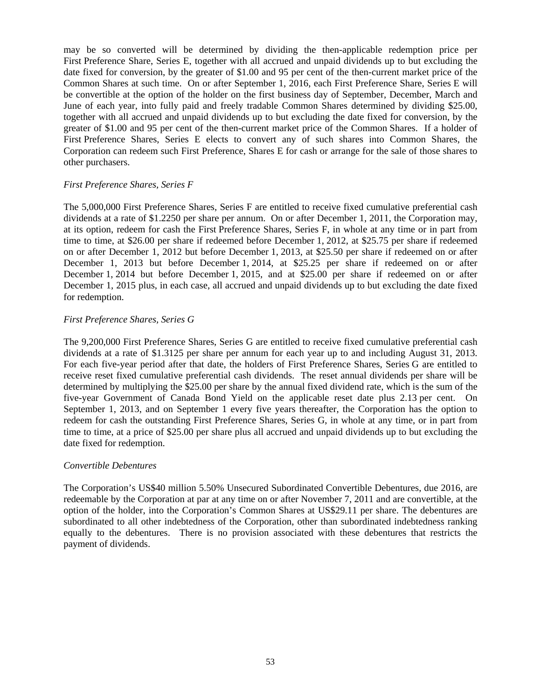may be so converted will be determined by dividing the then-applicable redemption price per First Preference Share, Series E, together with all accrued and unpaid dividends up to but excluding the date fixed for conversion, by the greater of \$1.00 and 95 per cent of the then-current market price of the Common Shares at such time. On or after September 1, 2016, each First Preference Share, Series E will be convertible at the option of the holder on the first business day of September, December, March and June of each year, into fully paid and freely tradable Common Shares determined by dividing \$25.00, together with all accrued and unpaid dividends up to but excluding the date fixed for conversion, by the greater of \$1.00 and 95 per cent of the then-current market price of the Common Shares. If a holder of First Preference Shares, Series E elects to convert any of such shares into Common Shares, the Corporation can redeem such First Preference, Shares E for cash or arrange for the sale of those shares to other purchasers.

### *First Preference Shares, Series F*

The 5,000,000 First Preference Shares, Series F are entitled to receive fixed cumulative preferential cash dividends at a rate of \$1.2250 per share per annum. On or after December 1, 2011, the Corporation may, at its option, redeem for cash the First Preference Shares, Series F, in whole at any time or in part from time to time, at \$26.00 per share if redeemed before December 1, 2012, at \$25.75 per share if redeemed on or after December 1, 2012 but before December 1, 2013, at \$25.50 per share if redeemed on or after December 1, 2013 but before December 1, 2014, at \$25.25 per share if redeemed on or after December 1, 2014 but before December 1, 2015, and at \$25.00 per share if redeemed on or after December 1, 2015 plus, in each case, all accrued and unpaid dividends up to but excluding the date fixed for redemption.

#### *First Preference Shares, Series G*

The 9,200,000 First Preference Shares, Series G are entitled to receive fixed cumulative preferential cash dividends at a rate of \$1.3125 per share per annum for each year up to and including August 31, 2013. For each five-year period after that date, the holders of First Preference Shares, Series G are entitled to receive reset fixed cumulative preferential cash dividends. The reset annual dividends per share will be determined by multiplying the \$25.00 per share by the annual fixed dividend rate, which is the sum of the five-year Government of Canada Bond Yield on the applicable reset date plus 2.13 per cent. On September 1, 2013, and on September 1 every five years thereafter, the Corporation has the option to redeem for cash the outstanding First Preference Shares, Series G, in whole at any time, or in part from time to time, at a price of \$25.00 per share plus all accrued and unpaid dividends up to but excluding the date fixed for redemption.

#### *Convertible Debentures*

The Corporation's US\$40 million 5.50% Unsecured Subordinated Convertible Debentures, due 2016, are redeemable by the Corporation at par at any time on or after November 7, 2011 and are convertible, at the option of the holder, into the Corporation's Common Shares at US\$29.11 per share. The debentures are subordinated to all other indebtedness of the Corporation, other than subordinated indebtedness ranking equally to the debentures. There is no provision associated with these debentures that restricts the payment of dividends.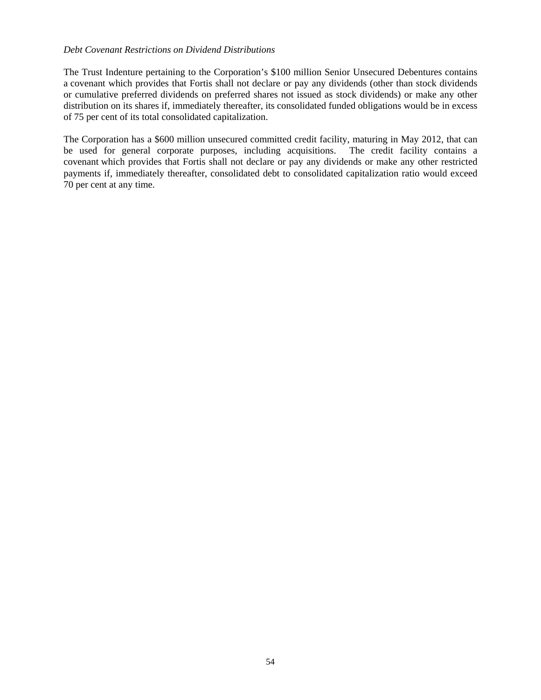#### *Debt Covenant Restrictions on Dividend Distributions*

The Trust Indenture pertaining to the Corporation's \$100 million Senior Unsecured Debentures contains a covenant which provides that Fortis shall not declare or pay any dividends (other than stock dividends or cumulative preferred dividends on preferred shares not issued as stock dividends) or make any other distribution on its shares if, immediately thereafter, its consolidated funded obligations would be in excess of 75 per cent of its total consolidated capitalization.

The Corporation has a \$600 million unsecured committed credit facility, maturing in May 2012, that can be used for general corporate purposes, including acquisitions. The credit facility contains a covenant which provides that Fortis shall not declare or pay any dividends or make any other restricted payments if, immediately thereafter, consolidated debt to consolidated capitalization ratio would exceed 70 per cent at any time.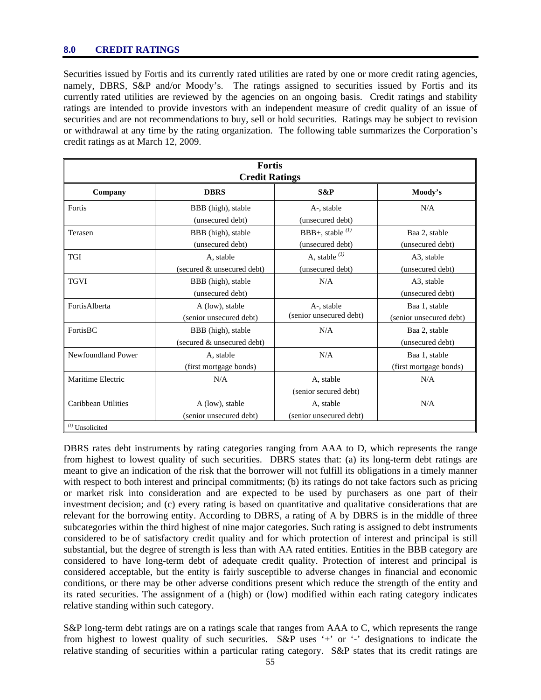#### **8.0 CREDIT RATINGS**

Securities issued by Fortis and its currently rated utilities are rated by one or more credit rating agencies, namely, DBRS, S&P and/or Moody's. The ratings assigned to securities issued by Fortis and its currently rated utilities are reviewed by the agencies on an ongoing basis. Credit ratings and stability ratings are intended to provide investors with an independent measure of credit quality of an issue of securities and are not recommendations to buy, sell or hold securities. Ratings may be subject to revision or withdrawal at any time by the rating organization. The following table summarizes the Corporation's credit ratings as at March 12, 2009.

| <b>Fortis</b><br><b>Credit Ratings</b> |                                                  |                                           |                                          |  |  |  |
|----------------------------------------|--------------------------------------------------|-------------------------------------------|------------------------------------------|--|--|--|
| Company                                | <b>DBRS</b><br>S&P                               |                                           |                                          |  |  |  |
| Fortis                                 | BBB (high), stable<br>(unsecured debt)           | A-, stable<br>(unsecured debt)            | N/A                                      |  |  |  |
| Terasen                                | BBB (high), stable<br>(unsecured debt)           | BBB+, stable $^{(1)}$<br>(unsecured debt) | Baa 2, stable<br>(unsecured debt)        |  |  |  |
| <b>TGI</b>                             | A, stable<br>(secured & unsecured debt)          | A, stable $^{(1)}$<br>(unsecured debt)    | A3, stable<br>(unsecured debt)           |  |  |  |
| <b>TGVI</b>                            | BBB (high), stable<br>(unsecured debt)           | N/A                                       | A3, stable<br>(unsecured debt)           |  |  |  |
| FortisAlberta                          | A (low), stable<br>(senior unsecured debt)       | A-, stable<br>(senior unsecured debt)     | Baa 1, stable<br>(senior unsecured debt) |  |  |  |
| FortisBC                               | BBB (high), stable<br>(secured & unsecured debt) | N/A                                       | Baa 2, stable<br>(unsecured debt)        |  |  |  |
| Newfoundland Power                     | A, stable<br>(first mortgage bonds)              | N/A                                       | Baa 1, stable<br>(first mortgage bonds)  |  |  |  |
| Maritime Electric                      | N/A                                              | A, stable<br>(senior secured debt)        | N/A                                      |  |  |  |
| Caribbean Utilities                    | A (low), stable<br>(senior unsecured debt)       | A, stable<br>(senior unsecured debt)      | N/A                                      |  |  |  |
| $(1)$ Unsolicited                      |                                                  |                                           |                                          |  |  |  |

DBRS rates debt instruments by rating categories ranging from AAA to D, which represents the range from highest to lowest quality of such securities. DBRS states that: (a) its long-term debt ratings are meant to give an indication of the risk that the borrower will not fulfill its obligations in a timely manner with respect to both interest and principal commitments; (b) its ratings do not take factors such as pricing or market risk into consideration and are expected to be used by purchasers as one part of their investment decision; and (c) every rating is based on quantitative and qualitative considerations that are relevant for the borrowing entity. According to DBRS, a rating of A by DBRS is in the middle of three subcategories within the third highest of nine major categories. Such rating is assigned to debt instruments considered to be of satisfactory credit quality and for which protection of interest and principal is still substantial, but the degree of strength is less than with AA rated entities. Entities in the BBB category are considered to have long-term debt of adequate credit quality. Protection of interest and principal is considered acceptable, but the entity is fairly susceptible to adverse changes in financial and economic conditions, or there may be other adverse conditions present which reduce the strength of the entity and its rated securities. The assignment of a (high) or (low) modified within each rating category indicates relative standing within such category.

S&P long-term debt ratings are on a ratings scale that ranges from AAA to C, which represents the range from highest to lowest quality of such securities. S&P uses '+' or '-' designations to indicate the relative standing of securities within a particular rating category. S&P states that its credit ratings are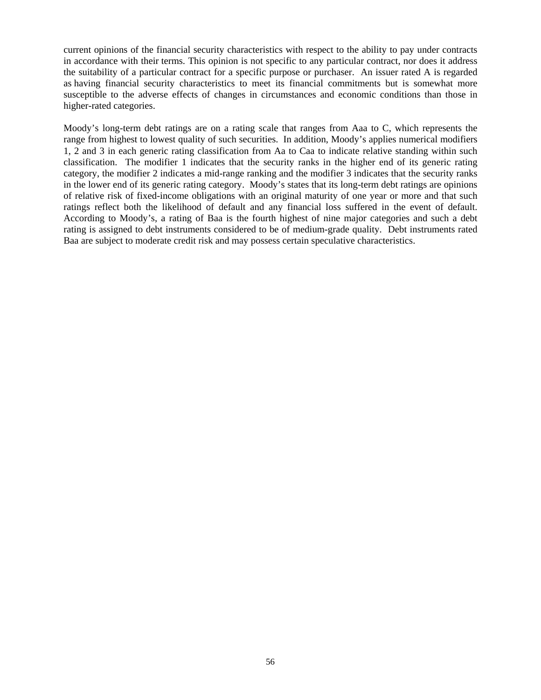current opinions of the financial security characteristics with respect to the ability to pay under contracts in accordance with their terms. This opinion is not specific to any particular contract, nor does it address the suitability of a particular contract for a specific purpose or purchaser. An issuer rated A is regarded as having financial security characteristics to meet its financial commitments but is somewhat more susceptible to the adverse effects of changes in circumstances and economic conditions than those in higher-rated categories.

Moody's long-term debt ratings are on a rating scale that ranges from Aaa to C, which represents the range from highest to lowest quality of such securities. In addition, Moody's applies numerical modifiers 1, 2 and 3 in each generic rating classification from Aa to Caa to indicate relative standing within such classification. The modifier 1 indicates that the security ranks in the higher end of its generic rating category, the modifier 2 indicates a mid-range ranking and the modifier 3 indicates that the security ranks in the lower end of its generic rating category. Moody's states that its long-term debt ratings are opinions of relative risk of fixed-income obligations with an original maturity of one year or more and that such ratings reflect both the likelihood of default and any financial loss suffered in the event of default. According to Moody's, a rating of Baa is the fourth highest of nine major categories and such a debt rating is assigned to debt instruments considered to be of medium-grade quality. Debt instruments rated Baa are subject to moderate credit risk and may possess certain speculative characteristics.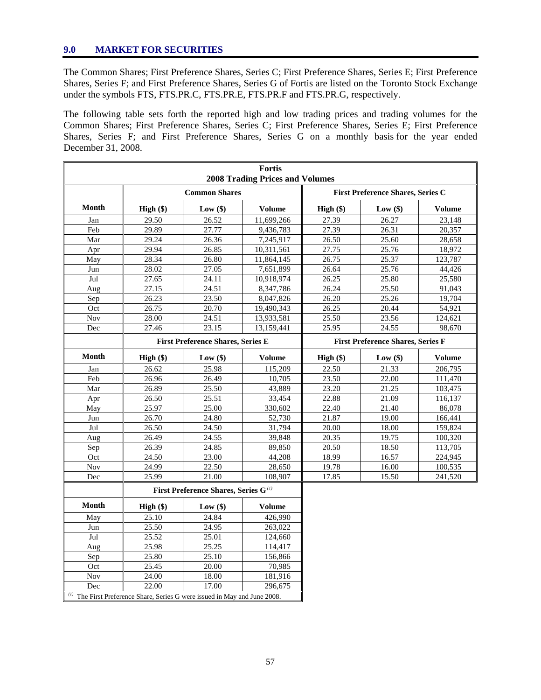## **9.0 MARKET FOR SECURITIES**

The Common Shares; First Preference Shares, Series C; First Preference Shares, Series E; First Preference Shares, Series F; and First Preference Shares, Series G of Fortis are listed on the Toronto Stock Exchange under the symbols FTS, FTS.PR.C, FTS.PR.E, FTS.PR.F and FTS.PR.G, respectively.

The following table sets forth the reported high and low trading prices and trading volumes for the Common Shares; First Preference Shares, Series C; First Preference Shares, Series E; First Preference Shares, Series F; and First Preference Shares, Series G on a monthly basis for the year ended December 31, 2008.

|                                        | <b>Fortis</b>                                                          |                                                  |                                          |                                          |            |               |  |
|----------------------------------------|------------------------------------------------------------------------|--------------------------------------------------|------------------------------------------|------------------------------------------|------------|---------------|--|
| <b>2008 Trading Prices and Volumes</b> |                                                                        |                                                  |                                          |                                          |            |               |  |
|                                        | <b>Common Shares</b>                                                   |                                                  | <b>First Preference Shares, Series C</b> |                                          |            |               |  |
| <b>Month</b>                           | $High (\$)$                                                            | Low $(\$)$                                       | <b>Volume</b>                            | High $(\$)$                              | Low $(\$)$ | <b>Volume</b> |  |
| Jan                                    | 29.50                                                                  | 26.52                                            | 11,699,266                               | 27.39                                    | 26.27      | 23,148        |  |
| Feb                                    | 29.89                                                                  | 27.77                                            | 9,436,783                                | 27.39                                    | 26.31      | 20,357        |  |
| Mar                                    | 29.24                                                                  | 26.36                                            | 7,245,917                                | 26.50                                    | 25.60      | 28,658        |  |
| Apr                                    | 29.94                                                                  | 26.85                                            | 10,311,561                               | 27.75                                    | 25.76      | 18,972        |  |
| May                                    | 28.34                                                                  | 26.80                                            | 11,864,145                               | 26.75                                    | 25.37      | 123,787       |  |
| Jun                                    | 28.02                                                                  | 27.05                                            | 7,651,899                                | 26.64                                    | 25.76      | 44,426        |  |
| Jul                                    | 27.65                                                                  | 24.11                                            | 10,918,974                               | 26.25                                    | 25.80      | 25,580        |  |
| Aug                                    | 27.15                                                                  | 24.51                                            | 8,347,786                                | 26.24                                    | 25.50      | 91,043        |  |
| Sep                                    | 26.23                                                                  | 23.50                                            | 8,047,826                                | 26.20                                    | 25.26      | 19,704        |  |
| Oct                                    | 26.75                                                                  | 20.70                                            | 19,490,343                               | 26.25                                    | 20.44      | 54,921        |  |
| <b>Nov</b>                             | 28.00                                                                  | 24.51                                            | 13,933,581                               | 25.50                                    | 23.56      | 124,621       |  |
| Dec                                    | 27.46                                                                  | 23.15                                            | 13,159,441                               | 25.95                                    | 24.55      | 98,670        |  |
|                                        | <b>First Preference Shares, Series E</b>                               |                                                  |                                          | <b>First Preference Shares, Series F</b> |            |               |  |
| <b>Month</b>                           | High $(\$)$                                                            | Low(\$)                                          | <b>Volume</b>                            | High $(\$)$                              | Low(\$)    | <b>Volume</b> |  |
| Jan                                    | 26.62                                                                  | 25.98                                            | 115,209                                  | 22.50                                    | 21.33      | 206,795       |  |
| Feb                                    | 26.96                                                                  | 26.49                                            | 10.705                                   | 23.50                                    | 22.00      | 111,470       |  |
| Mar                                    | 26.89                                                                  | 25.50                                            | 43,889                                   | 23.20                                    | 21.25      | 103.475       |  |
| Apr                                    | 26.50                                                                  | 25.51                                            | 33,454                                   | 22.88                                    | 21.09      | 116,137       |  |
| May                                    | 25.97                                                                  | 25.00                                            | 330,602                                  | 22.40                                    | 21.40      | 86,078        |  |
| Jun                                    | 26.70                                                                  | 24.80                                            | 52,730                                   | 21.87                                    | 19.00      | 166,441       |  |
| Jul                                    | 26.50                                                                  | 24.50                                            | 31,794                                   | 20.00                                    | 18.00      | 159,824       |  |
| Aug                                    | 26.49                                                                  | 24.55                                            | 39,848                                   | 20.35                                    | 19.75      | 100,320       |  |
| Sep                                    | 26.39                                                                  | 24.85                                            | 89.850                                   | 20.50                                    | 18.50      | 113,705       |  |
| Oct                                    | 24.50                                                                  | 23.00                                            | 44,208                                   | 18.99                                    | 16.57      | 224,945       |  |
| Nov                                    | 24.99                                                                  | 22.50                                            | 28,650                                   | 19.78                                    | 16.00      | 100,535       |  |
| Dec                                    | 25.99                                                                  | 21.00                                            | 108,907                                  | 17.85                                    | 15.50      | 241,520       |  |
|                                        |                                                                        | First Preference Shares, Series G <sup>(1)</sup> |                                          |                                          |            |               |  |
| Month                                  | High $(\$)$                                                            | Low $(\$)$                                       | <b>Volume</b>                            |                                          |            |               |  |
| May                                    | 25.10                                                                  | 24.84                                            | 426,990                                  |                                          |            |               |  |
| Jun                                    | 25.50                                                                  | 24.95                                            | 263,022                                  |                                          |            |               |  |
| Jul                                    | 25.52                                                                  | 25.01                                            | 124,660                                  |                                          |            |               |  |
| Aug                                    | 25.98                                                                  | 25.25                                            | 114,417                                  |                                          |            |               |  |
| Sep                                    | 25.80                                                                  | 25.10                                            | 156,866                                  |                                          |            |               |  |
| Oct                                    | 25.45                                                                  | 20.00                                            | 70,985                                   |                                          |            |               |  |
| Nov                                    | 24.00                                                                  | 18.00                                            | 181,916                                  |                                          |            |               |  |
| Dec                                    | 22.00                                                                  | 17.00                                            | 296,675                                  |                                          |            |               |  |
|                                        | The First Preference Share, Series G were issued in May and June 2008. |                                                  |                                          |                                          |            |               |  |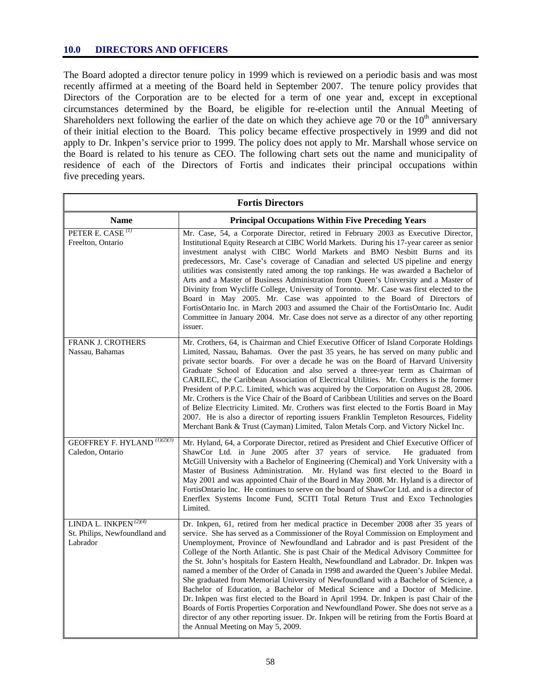## **10.0 DIRECTORS AND OFFICERS**

The Board adopted a director tenure policy in 1999 which is reviewed on a periodic basis and was most recently affirmed at a meeting of the Board held in September 2007. The tenure policy provides that Directors of the Corporation are to be elected for a term of one year and, except in exceptional circumstances determined by the Board, be eligible for re-election until the Annual Meeting of Shareholders next following the earlier of the date on which they achieve age 70 or the  $10<sup>th</sup>$  anniversary of their initial election to the Board. This policy became effective prospectively in 1999 and did not apply to Dr. Inkpen's service prior to 1999. The policy does not apply to Mr. Marshall whose service on the Board is related to his tenure as CEO. The following chart sets out the name and municipality of residence of each of the Directors of Fortis and indicates their principal occupations within five preceding years.

| <b>Fortis Directors</b>                                               |                                                                                                                                                                                                                                                                                                                                                                                                                                                                                                                                                                                                                                                                                                                                                                                                                                                                                                                                                                                                                                                    |  |  |  |
|-----------------------------------------------------------------------|----------------------------------------------------------------------------------------------------------------------------------------------------------------------------------------------------------------------------------------------------------------------------------------------------------------------------------------------------------------------------------------------------------------------------------------------------------------------------------------------------------------------------------------------------------------------------------------------------------------------------------------------------------------------------------------------------------------------------------------------------------------------------------------------------------------------------------------------------------------------------------------------------------------------------------------------------------------------------------------------------------------------------------------------------|--|--|--|
| <b>Name</b>                                                           | <b>Principal Occupations Within Five Preceding Years</b>                                                                                                                                                                                                                                                                                                                                                                                                                                                                                                                                                                                                                                                                                                                                                                                                                                                                                                                                                                                           |  |  |  |
| PETER E. CASE <sup>(1)</sup><br>Freelton, Ontario                     | Mr. Case, 54, a Corporate Director, retired in February 2003 as Executive Director,<br>Institutional Equity Research at CIBC World Markets. During his 17-year career as senior<br>investment analyst with CIBC World Markets and BMO Nesbitt Burns and its<br>predecessors, Mr. Case's coverage of Canadian and selected US pipeline and energy<br>utilities was consistently rated among the top rankings. He was awarded a Bachelor of<br>Arts and a Master of Business Administration from Queen's University and a Master of<br>Divinity from Wycliffe College, University of Toronto. Mr. Case was first elected to the<br>Board in May 2005. Mr. Case was appointed to the Board of Directors of<br>FortisOntario Inc. in March 2003 and assumed the Chair of the FortisOntario Inc. Audit<br>Committee in January 2004. Mr. Case does not serve as a director of any other reporting<br>issuer.                                                                                                                                            |  |  |  |
| <b>FRANK J. CROTHERS</b><br>Nassau, Bahamas                           | Mr. Crothers, 64, is Chairman and Chief Executive Officer of Island Corporate Holdings<br>Limited, Nassau, Bahamas. Over the past 35 years, he has served on many public and<br>private sector boards. For over a decade he was on the Board of Harvard University<br>Graduate School of Education and also served a three-year term as Chairman of<br>CARILEC, the Caribbean Association of Electrical Utilities. Mr. Crothers is the former<br>President of P.P.C. Limited, which was acquired by the Corporation on August 28, 2006.<br>Mr. Crothers is the Vice Chair of the Board of Caribbean Utilities and serves on the Board<br>of Belize Electricity Limited. Mr. Crothers was first elected to the Fortis Board in May<br>2007. He is also a director of reporting issuers Franklin Templeton Resources, Fidelity<br>Merchant Bank & Trust (Cayman) Limited, Talon Metals Corp. and Victory Nickel Inc.                                                                                                                                 |  |  |  |
| <b>GEOFFREY F. HYLAND</b> (1)(2)(3)<br>Caledon, Ontario               | Mr. Hyland, 64, a Corporate Director, retired as President and Chief Executive Officer of<br>ShawCor Ltd. in June 2005 after 37 years of service.<br>He graduated from<br>McGill University with a Bachelor of Engineering (Chemical) and York University with a<br>Master of Business Administration. Mr. Hyland was first elected to the Board in<br>May 2001 and was appointed Chair of the Board in May 2008. Mr. Hyland is a director of<br>FortisOntario Inc. He continues to serve on the board of ShawCor Ltd. and is a director of<br>Enerflex Systems Income Fund, SCITI Total Return Trust and Exco Technologies<br>Limited.                                                                                                                                                                                                                                                                                                                                                                                                            |  |  |  |
| LINDA L. INKPEN $(2)(4)$<br>St. Philips, Newfoundland and<br>Labrador | Dr. Inkpen, 61, retired from her medical practice in December 2008 after 35 years of<br>service. She has served as a Commissioner of the Royal Commission on Employment and<br>Unemployment, Province of Newfoundland and Labrador and is past President of the<br>College of the North Atlantic. She is past Chair of the Medical Advisory Committee for<br>the St. John's hospitals for Eastern Health, Newfoundland and Labrador. Dr. Inkpen was<br>named a member of the Order of Canada in 1998 and awarded the Queen's Jubilee Medal.<br>She graduated from Memorial University of Newfoundland with a Bachelor of Science, a<br>Bachelor of Education, a Bachelor of Medical Science and a Doctor of Medicine.<br>Dr. Inkpen was first elected to the Board in April 1994. Dr. Inkpen is past Chair of the<br>Boards of Fortis Properties Corporation and Newfoundland Power. She does not serve as a<br>director of any other reporting issuer. Dr. Inkpen will be retiring from the Fortis Board at<br>the Annual Meeting on May 5, 2009. |  |  |  |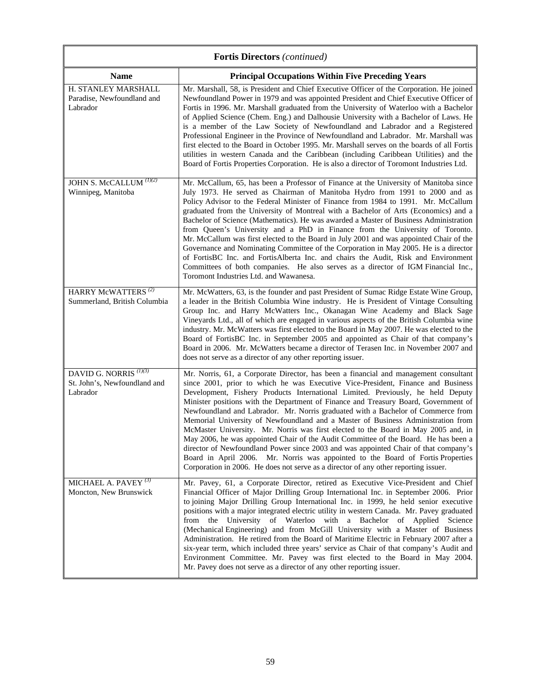| <b>Fortis Directors</b> (continued)                                           |                                                                                                                                                                                                                                                                                                                                                                                                                                                                                                                                                                                                                                                                                                                                                                                                                                                                                                                                                                          |  |  |  |
|-------------------------------------------------------------------------------|--------------------------------------------------------------------------------------------------------------------------------------------------------------------------------------------------------------------------------------------------------------------------------------------------------------------------------------------------------------------------------------------------------------------------------------------------------------------------------------------------------------------------------------------------------------------------------------------------------------------------------------------------------------------------------------------------------------------------------------------------------------------------------------------------------------------------------------------------------------------------------------------------------------------------------------------------------------------------|--|--|--|
| <b>Name</b>                                                                   | <b>Principal Occupations Within Five Preceding Years</b>                                                                                                                                                                                                                                                                                                                                                                                                                                                                                                                                                                                                                                                                                                                                                                                                                                                                                                                 |  |  |  |
| H. STANLEY MARSHALL<br>Paradise, Newfoundland and<br>Labrador                 | Mr. Marshall, 58, is President and Chief Executive Officer of the Corporation. He joined<br>Newfoundland Power in 1979 and was appointed President and Chief Executive Officer of<br>Fortis in 1996. Mr. Marshall graduated from the University of Waterloo with a Bachelor<br>of Applied Science (Chem. Eng.) and Dalhousie University with a Bachelor of Laws. He<br>is a member of the Law Society of Newfoundland and Labrador and a Registered<br>Professional Engineer in the Province of Newfoundland and Labrador. Mr. Marshall was<br>first elected to the Board in October 1995. Mr. Marshall serves on the boards of all Fortis<br>utilities in western Canada and the Caribbean (including Caribbean Utilities) and the<br>Board of Fortis Properties Corporation. He is also a director of Toromont Industries Ltd.                                                                                                                                         |  |  |  |
| JOHN $\overline{S}$ . McCALLUM $^{(1)(2)}$<br>Winnipeg, Manitoba              | Mr. McCallum, 65, has been a Professor of Finance at the University of Manitoba since<br>July 1973. He served as Chairman of Manitoba Hydro from 1991 to 2000 and as<br>Policy Advisor to the Federal Minister of Finance from 1984 to 1991. Mr. McCallum<br>graduated from the University of Montreal with a Bachelor of Arts (Economics) and a<br>Bachelor of Science (Mathematics). He was awarded a Master of Business Administration<br>from Queen's University and a PhD in Finance from the University of Toronto.<br>Mr. McCallum was first elected to the Board in July 2001 and was appointed Chair of the<br>Governance and Nominating Committee of the Corporation in May 2005. He is a director<br>of FortisBC Inc. and FortisAlberta Inc. and chairs the Audit, Risk and Environment<br>Committees of both companies. He also serves as a director of IGM Financial Inc.,<br>Toromont Industries Ltd. and Wawanesa.                                        |  |  |  |
| HARRY McWATTERS <sup>(2)</sup><br>Summerland, British Columbia                | Mr. McWatters, 63, is the founder and past President of Sumac Ridge Estate Wine Group,<br>a leader in the British Columbia Wine industry. He is President of Vintage Consulting<br>Group Inc. and Harry McWatters Inc., Okanagan Wine Academy and Black Sage<br>Vineyards Ltd., all of which are engaged in various aspects of the British Columbia wine<br>industry. Mr. McWatters was first elected to the Board in May 2007. He was elected to the<br>Board of FortisBC Inc. in September 2005 and appointed as Chair of that company's<br>Board in 2006. Mr. McWatters became a director of Terasen Inc. in November 2007 and<br>does not serve as a director of any other reporting issuer.                                                                                                                                                                                                                                                                         |  |  |  |
| DAVID G. NORRIS <sup>(1)(3)</sup><br>St. John's, Newfoundland and<br>Labrador | Mr. Norris, 61, a Corporate Director, has been a financial and management consultant<br>since 2001, prior to which he was Executive Vice-President, Finance and Business<br>Development, Fishery Products International Limited. Previously, he held Deputy<br>Minister positions with the Department of Finance and Treasury Board, Government of<br>Newfoundland and Labrador. Mr. Norris graduated with a Bachelor of Commerce from<br>Memorial University of Newfoundland and a Master of Business Administration from<br>McMaster University. Mr. Norris was first elected to the Board in May 2005 and, in<br>May 2006, he was appointed Chair of the Audit Committee of the Board. He has been a<br>director of Newfoundland Power since 2003 and was appointed Chair of that company's<br>Board in April 2006. Mr. Norris was appointed to the Board of Fortis Properties<br>Corporation in 2006. He does not serve as a director of any other reporting issuer. |  |  |  |
| MICHAEL A. PAVEY $(3)$<br>Moncton, New Brunswick                              | Mr. Pavey, 61, a Corporate Director, retired as Executive Vice-President and Chief<br>Financial Officer of Major Drilling Group International Inc. in September 2006. Prior<br>to joining Major Drilling Group International Inc. in 1999, he held senior executive<br>positions with a major integrated electric utility in western Canada. Mr. Pavey graduated<br>from the University of Waterloo with a Bachelor of Applied Science<br>(Mechanical Engineering) and from McGill University with a Master of Business<br>Administration. He retired from the Board of Maritime Electric in February 2007 after a<br>six-year term, which included three years' service as Chair of that company's Audit and<br>Environment Committee. Mr. Pavey was first elected to the Board in May 2004.<br>Mr. Pavey does not serve as a director of any other reporting issuer.                                                                                                   |  |  |  |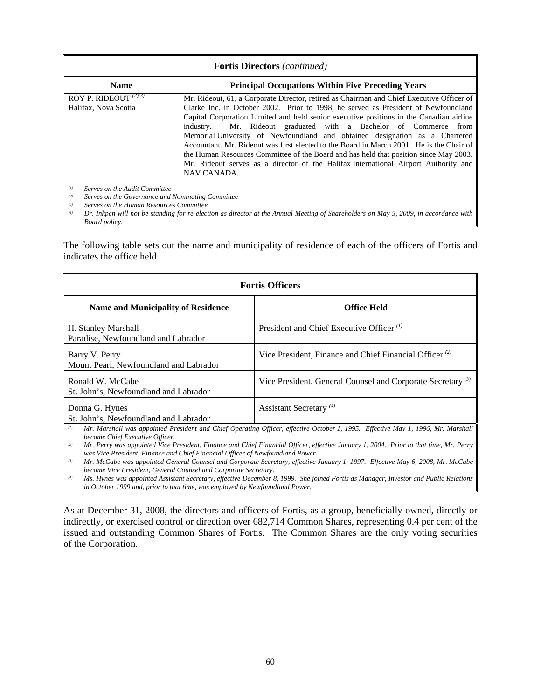| <b>Fortis Directors</b> (continued)                                                                                                                |                                                                                                                                                                                                                                                                                                                                                                                                                                                                                                                                                                                                                                                                                                                             |  |  |
|----------------------------------------------------------------------------------------------------------------------------------------------------|-----------------------------------------------------------------------------------------------------------------------------------------------------------------------------------------------------------------------------------------------------------------------------------------------------------------------------------------------------------------------------------------------------------------------------------------------------------------------------------------------------------------------------------------------------------------------------------------------------------------------------------------------------------------------------------------------------------------------------|--|--|
| <b>Name</b>                                                                                                                                        | <b>Principal Occupations Within Five Preceding Years</b>                                                                                                                                                                                                                                                                                                                                                                                                                                                                                                                                                                                                                                                                    |  |  |
| ROY P. RIDEOUT $\binom{2}{3}$<br>Halifax, Nova Scotia                                                                                              | Mr. Rideout, 61, a Corporate Director, retired as Chairman and Chief Executive Officer of<br>Clarke Inc. in October 2002. Prior to 1998, he served as President of Newfoundland<br>Capital Corporation Limited and held senior executive positions in the Canadian airline<br>Mr. Rideout graduated with a Bachelor of Commerce from<br>industry.<br>Memorial University of Newfoundland and obtained designation as a Chartered<br>Accountant. Mr. Rideout was first elected to the Board in March 2001. He is the Chair of<br>the Human Resources Committee of the Board and has held that position since May 2003.<br>Mr. Rideout serves as a director of the Halifax International Airport Authority and<br>NAV CANADA. |  |  |
| (1)<br>Serves on the Audit Committee<br>(2)<br>Serves on the Governance and Nominating Committee<br>Serves on the Human Resources Committee<br>(3) |                                                                                                                                                                                                                                                                                                                                                                                                                                                                                                                                                                                                                                                                                                                             |  |  |

*(4) Dr. Inkpen will not be standing for re-election as director at the Annual Meeting of Shareholders on May 5, 2009, in accordance with Board policy.* 

The following table sets out the name and municipality of residence of each of the officers of Fortis and indicates the office held.

| <b>Fortis Officers</b>                                                                                                                                                                                                                                                                                                                                                                                                                                                                                                                                                                                                   |                                                                        |  |  |  |
|--------------------------------------------------------------------------------------------------------------------------------------------------------------------------------------------------------------------------------------------------------------------------------------------------------------------------------------------------------------------------------------------------------------------------------------------------------------------------------------------------------------------------------------------------------------------------------------------------------------------------|------------------------------------------------------------------------|--|--|--|
| <b>Name and Municipality of Residence</b>                                                                                                                                                                                                                                                                                                                                                                                                                                                                                                                                                                                | <b>Office Held</b>                                                     |  |  |  |
| H. Stanley Marshall<br>Paradise, Newfoundland and Labrador                                                                                                                                                                                                                                                                                                                                                                                                                                                                                                                                                               | President and Chief Executive Officer <sup>(1)</sup>                   |  |  |  |
| Barry V. Perry<br>Mount Pearl, Newfoundland and Labrador                                                                                                                                                                                                                                                                                                                                                                                                                                                                                                                                                                 | Vice President, Finance and Chief Financial Officer <sup>(2)</sup>     |  |  |  |
| Ronald W. McCabe<br>St. John's, Newfoundland and Labrador                                                                                                                                                                                                                                                                                                                                                                                                                                                                                                                                                                | Vice President, General Counsel and Corporate Secretary <sup>(3)</sup> |  |  |  |
| Donna G. Hynes<br>St. John's, Newfoundland and Labrador                                                                                                                                                                                                                                                                                                                                                                                                                                                                                                                                                                  | Assistant Secretary <sup>(4)</sup>                                     |  |  |  |
| Mr. Marshall was appointed President and Chief Operating Officer, effective October 1, 1995. Effective May 1, 1996, Mr. Marshall<br>(1)<br>became Chief Executive Officer.<br>Mr. Perry was appointed Vice President, Finance and Chief Financial Officer, effective January 1, 2004. Prior to that time, Mr. Perry<br>(2)<br>was Vice President, Finance and Chief Financial Officer of Newfoundland Power.<br>Mr. McCabe was appointed General Counsel and Corporate Secretary, effective January 1, 1997. Effective May 6, 2008, Mr. McCabe<br>(3)<br>became Vice President, General Counsel and Corporate Secretary. |                                                                        |  |  |  |

*(4) Ms. Hynes was appointed Assistant Secretary, effective December 8, 1999. She joined Fortis as Manager, Investor and Public Relations in October 1999 and, prior to that time, was employed by Newfoundland Power.* 

As at December 31, 2008, the directors and officers of Fortis, as a group, beneficially owned, directly or indirectly, or exercised control or direction over 682,714 Common Shares, representing 0.4 per cent of the issued and outstanding Common Shares of Fortis. The Common Shares are the only voting securities of the Corporation.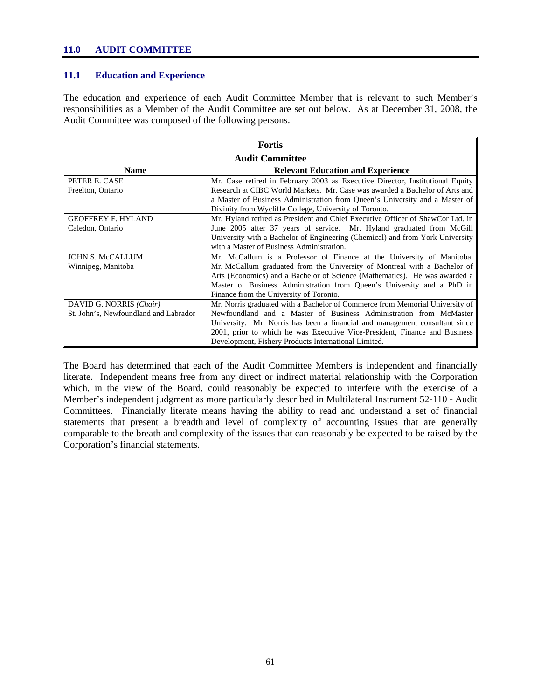#### **11.0 AUDIT COMMITTEE**

#### **11.1 Education and Experience**

The education and experience of each Audit Committee Member that is relevant to such Member's responsibilities as a Member of the Audit Committee are set out below. As at December 31, 2008, the Audit Committee was composed of the following persons.

| <b>Fortis</b>                         |                                                                                |  |  |  |
|---------------------------------------|--------------------------------------------------------------------------------|--|--|--|
| <b>Audit Committee</b>                |                                                                                |  |  |  |
| <b>Name</b>                           | <b>Relevant Education and Experience</b>                                       |  |  |  |
| PETER E. CASE                         | Mr. Case retired in February 2003 as Executive Director, Institutional Equity  |  |  |  |
| Freelton, Ontario                     | Research at CIBC World Markets. Mr. Case was awarded a Bachelor of Arts and    |  |  |  |
|                                       | a Master of Business Administration from Queen's University and a Master of    |  |  |  |
|                                       | Divinity from Wycliffe College, University of Toronto.                         |  |  |  |
| <b>GEOFFREY F. HYLAND</b>             | Mr. Hyland retired as President and Chief Executive Officer of ShawCor Ltd. in |  |  |  |
| Caledon, Ontario                      | June 2005 after 37 years of service. Mr. Hyland graduated from McGill          |  |  |  |
|                                       | University with a Bachelor of Engineering (Chemical) and from York University  |  |  |  |
|                                       | with a Master of Business Administration.                                      |  |  |  |
| <b>JOHN S. McCALLUM</b>               | Mr. McCallum is a Professor of Finance at the University of Manitoba.          |  |  |  |
| Winnipeg, Manitoba                    | Mr. McCallum graduated from the University of Montreal with a Bachelor of      |  |  |  |
|                                       | Arts (Economics) and a Bachelor of Science (Mathematics). He was awarded a     |  |  |  |
|                                       | Master of Business Administration from Queen's University and a PhD in         |  |  |  |
|                                       | Finance from the University of Toronto.                                        |  |  |  |
| DAVID G. NORRIS (Chair)               | Mr. Norris graduated with a Bachelor of Commerce from Memorial University of   |  |  |  |
| St. John's, Newfoundland and Labrador | Newfoundland and a Master of Business Administration from McMaster             |  |  |  |
|                                       | University. Mr. Norris has been a financial and management consultant since    |  |  |  |
|                                       | 2001, prior to which he was Executive Vice-President, Finance and Business     |  |  |  |
|                                       | Development, Fishery Products International Limited.                           |  |  |  |

The Board has determined that each of the Audit Committee Members is independent and financially literate. Independent means free from any direct or indirect material relationship with the Corporation which, in the view of the Board, could reasonably be expected to interfere with the exercise of a Member's independent judgment as more particularly described in Multilateral Instrument 52-110 - Audit Committees. Financially literate means having the ability to read and understand a set of financial statements that present a breadth and level of complexity of accounting issues that are generally comparable to the breath and complexity of the issues that can reasonably be expected to be raised by the Corporation's financial statements.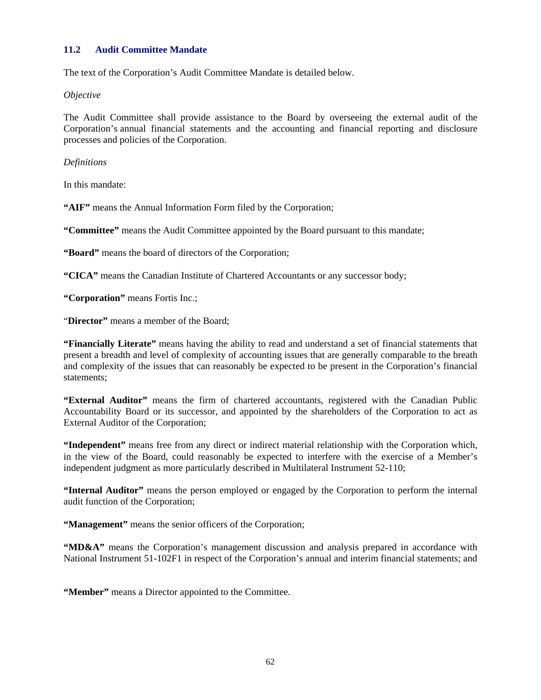## **11.2 Audit Committee Mandate**

The text of the Corporation's Audit Committee Mandate is detailed below.

*Objective* 

The Audit Committee shall provide assistance to the Board by overseeing the external audit of the Corporation's annual financial statements and the accounting and financial reporting and disclosure processes and policies of the Corporation.

*Definitions* 

In this mandate:

**"AIF"** means the Annual Information Form filed by the Corporation;

**"Committee"** means the Audit Committee appointed by the Board pursuant to this mandate;

**"Board"** means the board of directors of the Corporation;

**"CICA"** means the Canadian Institute of Chartered Accountants or any successor body;

**"Corporation"** means Fortis Inc.;

"**Director"** means a member of the Board;

**"Financially Literate"** means having the ability to read and understand a set of financial statements that present a breadth and level of complexity of accounting issues that are generally comparable to the breath and complexity of the issues that can reasonably be expected to be present in the Corporation's financial statements;

**"External Auditor"** means the firm of chartered accountants, registered with the Canadian Public Accountability Board or its successor, and appointed by the shareholders of the Corporation to act as External Auditor of the Corporation;

**"Independent"** means free from any direct or indirect material relationship with the Corporation which, in the view of the Board, could reasonably be expected to interfere with the exercise of a Member's independent judgment as more particularly described in Multilateral Instrument 52-110;

**"Internal Auditor"** means the person employed or engaged by the Corporation to perform the internal audit function of the Corporation;

**"Management"** means the senior officers of the Corporation;

**"MD&A"** means the Corporation's management discussion and analysis prepared in accordance with National Instrument 51-102F1 in respect of the Corporation's annual and interim financial statements; and

**"Member"** means a Director appointed to the Committee.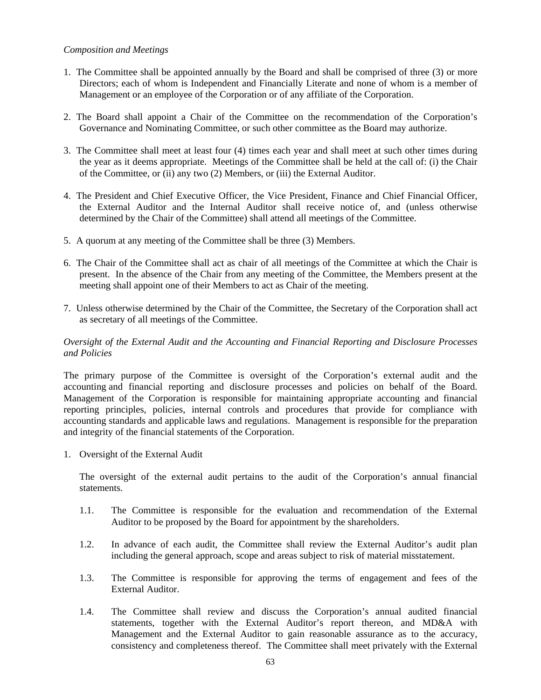#### *Composition and Meetings*

- 1. The Committee shall be appointed annually by the Board and shall be comprised of three (3) or more Directors; each of whom is Independent and Financially Literate and none of whom is a member of Management or an employee of the Corporation or of any affiliate of the Corporation.
- 2. The Board shall appoint a Chair of the Committee on the recommendation of the Corporation's Governance and Nominating Committee, or such other committee as the Board may authorize.
- 3. The Committee shall meet at least four (4) times each year and shall meet at such other times during the year as it deems appropriate. Meetings of the Committee shall be held at the call of: (i) the Chair of the Committee, or (ii) any two (2) Members, or (iii) the External Auditor.
- 4. The President and Chief Executive Officer, the Vice President, Finance and Chief Financial Officer, the External Auditor and the Internal Auditor shall receive notice of, and (unless otherwise determined by the Chair of the Committee) shall attend all meetings of the Committee.
- 5. A quorum at any meeting of the Committee shall be three (3) Members.
- 6. The Chair of the Committee shall act as chair of all meetings of the Committee at which the Chair is present. In the absence of the Chair from any meeting of the Committee, the Members present at the meeting shall appoint one of their Members to act as Chair of the meeting.
- 7. Unless otherwise determined by the Chair of the Committee, the Secretary of the Corporation shall act as secretary of all meetings of the Committee.

## *Oversight of the External Audit and the Accounting and Financial Reporting and Disclosure Processes and Policies*

The primary purpose of the Committee is oversight of the Corporation's external audit and the accounting and financial reporting and disclosure processes and policies on behalf of the Board. Management of the Corporation is responsible for maintaining appropriate accounting and financial reporting principles, policies, internal controls and procedures that provide for compliance with accounting standards and applicable laws and regulations. Management is responsible for the preparation and integrity of the financial statements of the Corporation.

1. Oversight of the External Audit

The oversight of the external audit pertains to the audit of the Corporation's annual financial statements.

- 1.1. The Committee is responsible for the evaluation and recommendation of the External Auditor to be proposed by the Board for appointment by the shareholders.
- 1.2. In advance of each audit, the Committee shall review the External Auditor's audit plan including the general approach, scope and areas subject to risk of material misstatement.
- 1.3. The Committee is responsible for approving the terms of engagement and fees of the External Auditor.
- 1.4. The Committee shall review and discuss the Corporation's annual audited financial statements, together with the External Auditor's report thereon, and MD&A with Management and the External Auditor to gain reasonable assurance as to the accuracy, consistency and completeness thereof. The Committee shall meet privately with the External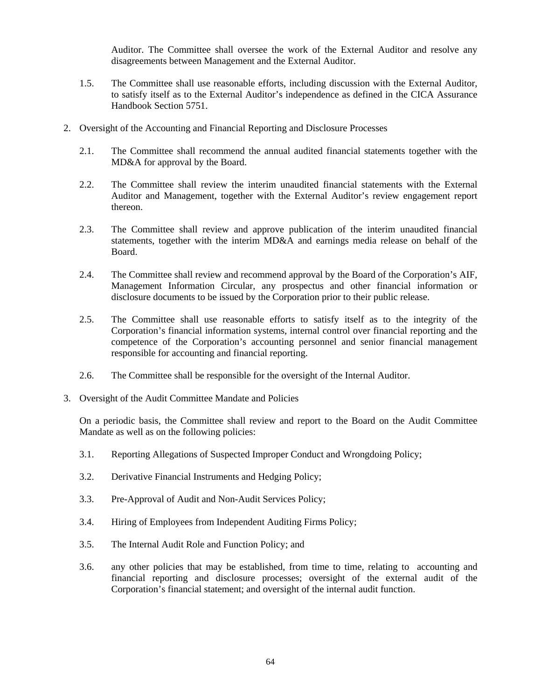Auditor. The Committee shall oversee the work of the External Auditor and resolve any disagreements between Management and the External Auditor.

- 1.5. The Committee shall use reasonable efforts, including discussion with the External Auditor, to satisfy itself as to the External Auditor's independence as defined in the CICA Assurance Handbook Section 5751.
- 2. Oversight of the Accounting and Financial Reporting and Disclosure Processes
	- 2.1. The Committee shall recommend the annual audited financial statements together with the MD&A for approval by the Board.
	- 2.2. The Committee shall review the interim unaudited financial statements with the External Auditor and Management, together with the External Auditor's review engagement report thereon.
	- 2.3. The Committee shall review and approve publication of the interim unaudited financial statements, together with the interim MD&A and earnings media release on behalf of the Board.
	- 2.4. The Committee shall review and recommend approval by the Board of the Corporation's AIF, Management Information Circular, any prospectus and other financial information or disclosure documents to be issued by the Corporation prior to their public release.
	- 2.5. The Committee shall use reasonable efforts to satisfy itself as to the integrity of the Corporation's financial information systems, internal control over financial reporting and the competence of the Corporation's accounting personnel and senior financial management responsible for accounting and financial reporting.
	- 2.6. The Committee shall be responsible for the oversight of the Internal Auditor.
- 3. Oversight of the Audit Committee Mandate and Policies

On a periodic basis, the Committee shall review and report to the Board on the Audit Committee Mandate as well as on the following policies:

- 3.1. Reporting Allegations of Suspected Improper Conduct and Wrongdoing Policy;
- 3.2. Derivative Financial Instruments and Hedging Policy;
- 3.3. Pre-Approval of Audit and Non-Audit Services Policy;
- 3.4. Hiring of Employees from Independent Auditing Firms Policy;
- 3.5. The Internal Audit Role and Function Policy; and
- 3.6. any other policies that may be established, from time to time, relating to accounting and financial reporting and disclosure processes; oversight of the external audit of the Corporation's financial statement; and oversight of the internal audit function.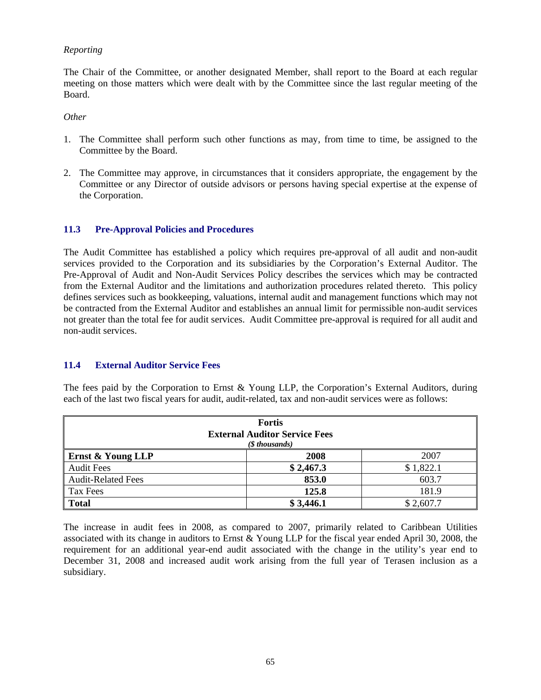## *Reporting*

The Chair of the Committee, or another designated Member, shall report to the Board at each regular meeting on those matters which were dealt with by the Committee since the last regular meeting of the Board.

#### *Other*

- 1. The Committee shall perform such other functions as may, from time to time, be assigned to the Committee by the Board.
- 2. The Committee may approve, in circumstances that it considers appropriate, the engagement by the Committee or any Director of outside advisors or persons having special expertise at the expense of the Corporation.

### **11.3 Pre-Approval Policies and Procedures**

The Audit Committee has established a policy which requires pre-approval of all audit and non-audit services provided to the Corporation and its subsidiaries by the Corporation's External Auditor. The Pre-Approval of Audit and Non-Audit Services Policy describes the services which may be contracted from the External Auditor and the limitations and authorization procedures related thereto. This policy defines services such as bookkeeping, valuations, internal audit and management functions which may not be contracted from the External Auditor and establishes an annual limit for permissible non-audit services not greater than the total fee for audit services. Audit Committee pre-approval is required for all audit and non-audit services.

### **11.4 External Auditor Service Fees**

The fees paid by the Corporation to Ernst & Young LLP, the Corporation's External Auditors, during each of the last two fiscal years for audit, audit-related, tax and non-audit services were as follows:

| <b>Fortis</b><br><b>External Auditor Service Fees</b><br>(\$ thousands) |           |           |  |  |
|-------------------------------------------------------------------------|-----------|-----------|--|--|
| Ernst & Young LLP                                                       | 2008      | 2007      |  |  |
| <b>Audit Fees</b>                                                       | \$2,467.3 | \$1,822.1 |  |  |
| <b>Audit-Related Fees</b>                                               | 853.0     | 603.7     |  |  |
| Tax Fees                                                                | 125.8     | 181.9     |  |  |
| <b>Total</b>                                                            | \$3,446.1 | \$2,607.7 |  |  |

The increase in audit fees in 2008, as compared to 2007, primarily related to Caribbean Utilities associated with its change in auditors to Ernst & Young LLP for the fiscal year ended April 30, 2008, the requirement for an additional year-end audit associated with the change in the utility's year end to December 31, 2008 and increased audit work arising from the full year of Terasen inclusion as a subsidiary.